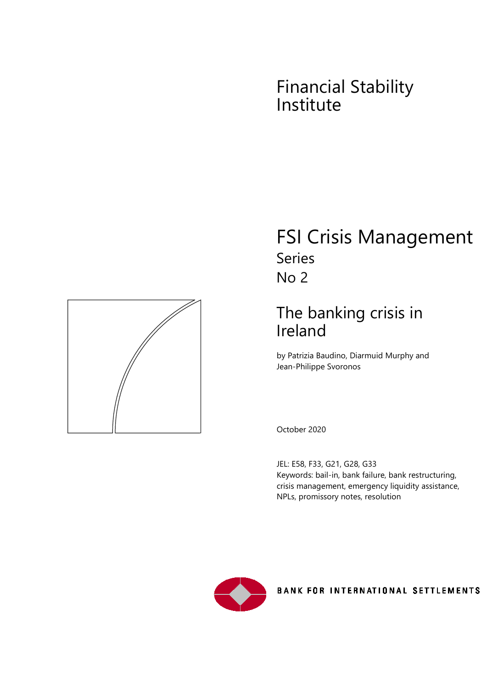# Financial Stability Institute



# FSI Crisis Management Series No 2

# The banking crisis in Ireland

by Patrizia Baudino, Diarmuid Murphy and Jean-Philippe Svoronos

October 2020

JEL: E58, F33, G21, G28, G33 Keywords: bail-in, bank failure, bank restructuring, crisis management, emergency liquidity assistance, NPLs, promissory notes, resolution



**BANK FOR INTERNATIONAL SETTLEMENTS**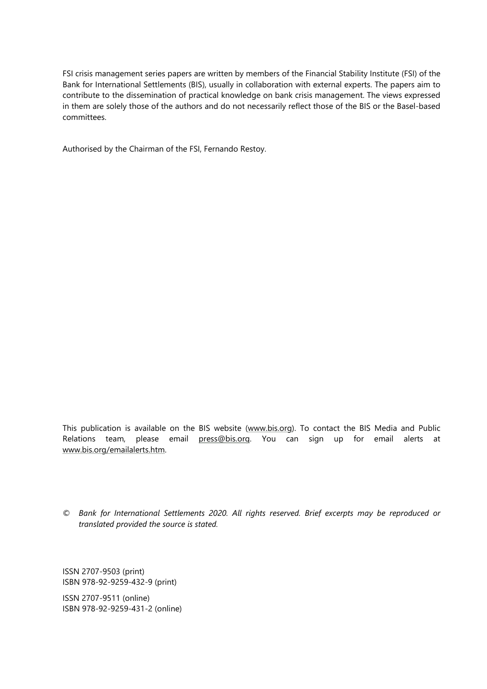FSI crisis management series papers are written by members of the Financial Stability Institute (FSI) of the Bank for International Settlements (BIS), usually in collaboration with external experts. The papers aim to contribute to the dissemination of practical knowledge on bank crisis management. The views expressed in them are solely those of the authors and do not necessarily reflect those of the BIS or the Basel-based committees.

Authorised by the Chairman of the FSI, Fernando Restoy.

This publication is available on the BIS website [\(www.bis.org\)](http://www.bis.org/). To contact the BIS Media and Public Relations team, please email [press@bis.org.](mailto:press@bis.org) You can sign up for email alerts at [www.bis.org/emailalerts.htm.](http://www.bis.org/emailalerts.htm)

*© Bank for International Settlements 2020. All rights reserved. Brief excerpts may be reproduced or translated provided the source is stated.*

ISSN 2707-9503 (print) ISBN 978-92-9259-432-9 (print)

ISSN 2707-9511 (online) ISBN 978-92-9259-431-2 (online)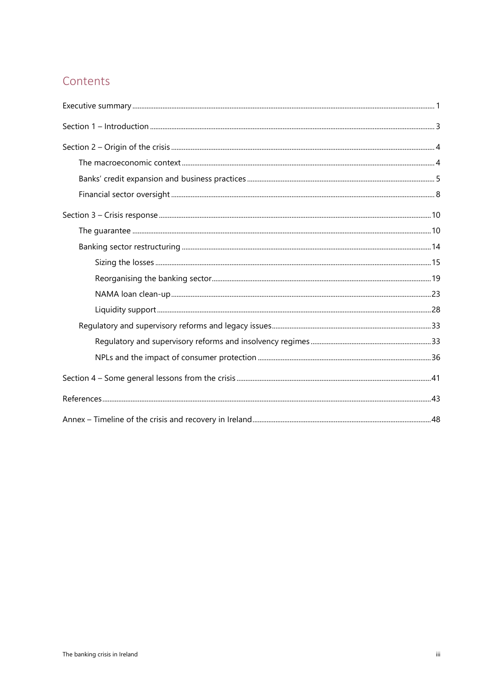### Contents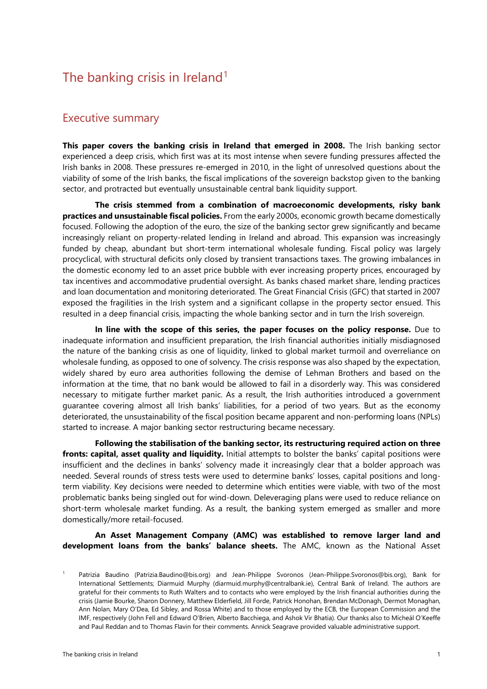### The banking crisis in Ireland<sup>[1](#page-3-1)</sup>

#### <span id="page-3-0"></span>Executive summary

**This paper covers the banking crisis in Ireland that emerged in 2008.** The Irish banking sector experienced a deep crisis, which first was at its most intense when severe funding pressures affected the Irish banks in 2008. These pressures re-emerged in 2010, in the light of unresolved questions about the viability of some of the Irish banks, the fiscal implications of the sovereign backstop given to the banking sector, and protracted but eventually unsustainable central bank liquidity support.

**The crisis stemmed from a combination of macroeconomic developments, risky bank practices and unsustainable fiscal policies.** From the early 2000s, economic growth became domestically focused. Following the adoption of the euro, the size of the banking sector grew significantly and became increasingly reliant on property-related lending in Ireland and abroad. This expansion was increasingly funded by cheap, abundant but short-term international wholesale funding. Fiscal policy was largely procyclical, with structural deficits only closed by transient transactions taxes. The growing imbalances in the domestic economy led to an asset price bubble with ever increasing property prices, encouraged by tax incentives and accommodative prudential oversight. As banks chased market share, lending practices and loan documentation and monitoring deteriorated. The Great Financial Crisis (GFC) that started in 2007 exposed the fragilities in the Irish system and a significant collapse in the property sector ensued. This resulted in a deep financial crisis, impacting the whole banking sector and in turn the Irish sovereign.

**In line with the scope of this series, the paper focuses on the policy response.** Due to inadequate information and insufficient preparation, the Irish financial authorities initially misdiagnosed the nature of the banking crisis as one of liquidity, linked to global market turmoil and overreliance on wholesale funding, as opposed to one of solvency. The crisis response was also shaped by the expectation, widely shared by euro area authorities following the demise of Lehman Brothers and based on the information at the time, that no bank would be allowed to fail in a disorderly way. This was considered necessary to mitigate further market panic. As a result, the Irish authorities introduced a government guarantee covering almost all Irish banks' liabilities, for a period of two years. But as the economy deteriorated, the unsustainability of the fiscal position became apparent and non-performing loans (NPLs) started to increase. A major banking sector restructuring became necessary.

**Following the stabilisation of the banking sector, its restructuring required action on three fronts: capital, asset quality and liquidity.** Initial attempts to bolster the banks' capital positions were insufficient and the declines in banks' solvency made it increasingly clear that a bolder approach was needed. Several rounds of stress tests were used to determine banks' losses, capital positions and longterm viability. Key decisions were needed to determine which entities were viable, with two of the most problematic banks being singled out for wind-down. Deleveraging plans were used to reduce reliance on short-term wholesale market funding. As a result, the banking system emerged as smaller and more domestically/more retail-focused.

**An Asset Management Company (AMC) was established to remove larger land and development loans from the banks' balance sheets.** The AMC, known as the National Asset

<span id="page-3-1"></span>Patrizia Baudino (Patrizia.Baudino@bis.org) and Jean-Philippe Svoronos (Jean-Philippe.Svoronos@bis.org), Bank for International Settlements; Diarmuid Murphy (diarmuid.murphy@centralbank.ie), Central Bank of Ireland. The authors are grateful for their comments to Ruth Walters and to contacts who were employed by the Irish financial authorities during the crisis (Jamie Bourke, Sharon Donnery, Matthew Elderfield, Jill Forde, Patrick Honohan, Brendan McDonagh, Dermot Monaghan, Ann Nolan, Mary O'Dea, Ed Sibley, and Rossa White) and to those employed by the ECB, the European Commission and the IMF, respectively (John Fell and Edward O'Brien, Alberto Bacchiega, and Ashok Vir Bhatia). Our thanks also to Mícheál O'Keeffe and Paul Reddan and to Thomas Flavin for their comments. Annick Seagrave provided valuable administrative support.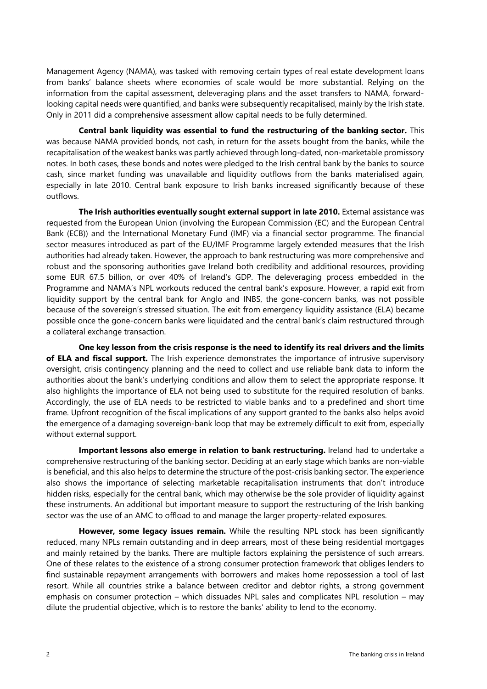Management Agency (NAMA), was tasked with removing certain types of real estate development loans from banks' balance sheets where economies of scale would be more substantial. Relying on the information from the capital assessment, deleveraging plans and the asset transfers to NAMA, forwardlooking capital needs were quantified, and banks were subsequently recapitalised, mainly by the Irish state. Only in 2011 did a comprehensive assessment allow capital needs to be fully determined.

**Central bank liquidity was essential to fund the restructuring of the banking sector.** This was because NAMA provided bonds, not cash, in return for the assets bought from the banks, while the recapitalisation of the weakest banks was partly achieved through long-dated, non-marketable promissory notes. In both cases, these bonds and notes were pledged to the Irish central bank by the banks to source cash, since market funding was unavailable and liquidity outflows from the banks materialised again, especially in late 2010. Central bank exposure to Irish banks increased significantly because of these outflows.

**The Irish authorities eventually sought external support in late 2010.** External assistance was requested from the European Union (involving the European Commission (EC) and the European Central Bank (ECB)) and the International Monetary Fund (IMF) via a financial sector programme. The financial sector measures introduced as part of the EU/IMF Programme largely extended measures that the Irish authorities had already taken. However, the approach to bank restructuring was more comprehensive and robust and the sponsoring authorities gave Ireland both credibility and additional resources, providing some EUR 67.5 billion, or over 40% of Ireland's GDP. The deleveraging process embedded in the Programme and NAMA's NPL workouts reduced the central bank's exposure. However, a rapid exit from liquidity support by the central bank for Anglo and INBS, the gone-concern banks, was not possible because of the sovereign's stressed situation. The exit from emergency liquidity assistance (ELA) became possible once the gone-concern banks were liquidated and the central bank's claim restructured through a collateral exchange transaction.

**One key lesson from the crisis response is the need to identify its real drivers and the limits of ELA and fiscal support.** The Irish experience demonstrates the importance of intrusive supervisory oversight, crisis contingency planning and the need to collect and use reliable bank data to inform the authorities about the bank's underlying conditions and allow them to select the appropriate response. It also highlights the importance of ELA not being used to substitute for the required resolution of banks. Accordingly, the use of ELA needs to be restricted to viable banks and to a predefined and short time frame. Upfront recognition of the fiscal implications of any support granted to the banks also helps avoid the emergence of a damaging sovereign-bank loop that may be extremely difficult to exit from, especially without external support.

**Important lessons also emerge in relation to bank restructuring.** Ireland had to undertake a comprehensive restructuring of the banking sector. Deciding at an early stage which banks are non-viable is beneficial, and this also helps to determine the structure of the post-crisis banking sector. The experience also shows the importance of selecting marketable recapitalisation instruments that don't introduce hidden risks, especially for the central bank, which may otherwise be the sole provider of liquidity against these instruments. An additional but important measure to support the restructuring of the Irish banking sector was the use of an AMC to offload to and manage the larger property-related exposures.

**However, some legacy issues remain.** While the resulting NPL stock has been significantly reduced, many NPLs remain outstanding and in deep arrears, most of these being residential mortgages and mainly retained by the banks. There are multiple factors explaining the persistence of such arrears. One of these relates to the existence of a strong consumer protection framework that obliges lenders to find sustainable repayment arrangements with borrowers and makes home repossession a tool of last resort. While all countries strike a balance between creditor and debtor rights, a strong government emphasis on consumer protection – which dissuades NPL sales and complicates NPL resolution – may dilute the prudential objective, which is to restore the banks' ability to lend to the economy.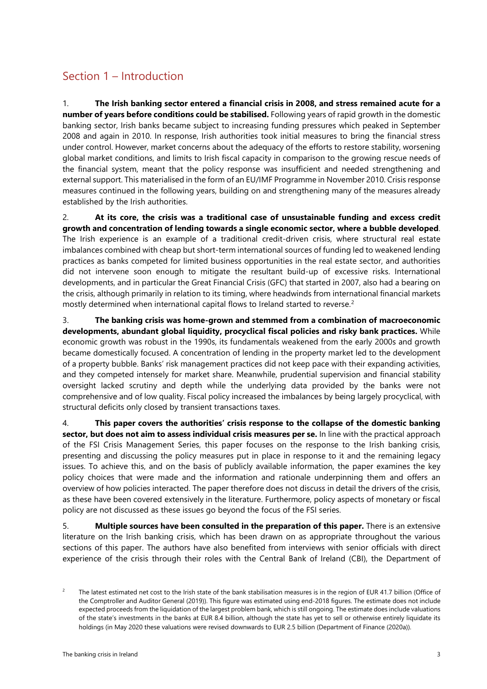### <span id="page-5-0"></span>Section 1 – Introduction

1. **The Irish banking sector entered a financial crisis in 2008, and stress remained acute for a number of years before conditions could be stabilised.** Following years of rapid growth in the domestic banking sector, Irish banks became subject to increasing funding pressures which peaked in September 2008 and again in 2010. In response, Irish authorities took initial measures to bring the financial stress under control. However, market concerns about the adequacy of the efforts to restore stability, worsening global market conditions, and limits to Irish fiscal capacity in comparison to the growing rescue needs of the financial system, meant that the policy response was insufficient and needed strengthening and external support. This materialised in the form of an EU/IMF Programme in November 2010. Crisis response measures continued in the following years, building on and strengthening many of the measures already established by the Irish authorities.

2. **At its core, the crisis was a traditional case of unsustainable funding and excess credit growth and concentration of lending towards a single economic sector, where a bubble developed**. The Irish experience is an example of a traditional credit-driven crisis, where structural real estate imbalances combined with cheap but short-term international sources of funding led to weakened lending practices as banks competed for limited business opportunities in the real estate sector, and authorities did not intervene soon enough to mitigate the resultant build-up of excessive risks. International developments, and in particular the Great Financial Crisis (GFC) that started in 2007, also had a bearing on the crisis, although primarily in relation to its timing, where headwinds from international financial markets mostly determined when international capital flows to Ireland started to reverse.<sup>[2](#page-5-1)</sup>

3. **The banking crisis was home-grown and stemmed from a combination of macroeconomic developments, abundant global liquidity, procyclical fiscal policies and risky bank practices.** While economic growth was robust in the 1990s, its fundamentals weakened from the early 2000s and growth became domestically focused. A concentration of lending in the property market led to the development of a property bubble. Banks' risk management practices did not keep pace with their expanding activities, and they competed intensely for market share. Meanwhile, prudential supervision and financial stability oversight lacked scrutiny and depth while the underlying data provided by the banks were not comprehensive and of low quality. Fiscal policy increased the imbalances by being largely procyclical, with structural deficits only closed by transient transactions taxes.

4. **This paper covers the authorities' crisis response to the collapse of the domestic banking sector, but does not aim to assess individual crisis measures per se.** In line with the practical approach of the FSI Crisis Management Series, this paper focuses on the response to the Irish banking crisis, presenting and discussing the policy measures put in place in response to it and the remaining legacy issues. To achieve this, and on the basis of publicly available information, the paper examines the key policy choices that were made and the information and rationale underpinning them and offers an overview of how policies interacted. The paper therefore does not discuss in detail the drivers of the crisis, as these have been covered extensively in the literature. Furthermore, policy aspects of monetary or fiscal policy are not discussed as these issues go beyond the focus of the FSI series.

5. **Multiple sources have been consulted in the preparation of this paper.** There is an extensive literature on the Irish banking crisis, which has been drawn on as appropriate throughout the various sections of this paper. The authors have also benefited from interviews with senior officials with direct experience of the crisis through their roles with the Central Bank of Ireland (CBI), the Department of

<span id="page-5-1"></span><sup>2</sup> The latest estimated net cost to the Irish state of the bank stabilisation measures is in the region of EUR 41.7 billion (Office of the Comptroller and Auditor General (2019)). This figure was estimated using end-2018 figures. The estimate does not include expected proceeds from the liquidation of the largest problem bank, which is still ongoing. The estimate does include valuations of the state's investments in the banks at EUR 8.4 billion, although the state has yet to sell or otherwise entirely liquidate its holdings (in May 2020 these valuations were revised downwards to EUR 2.5 billion (Department of Finance (2020a)).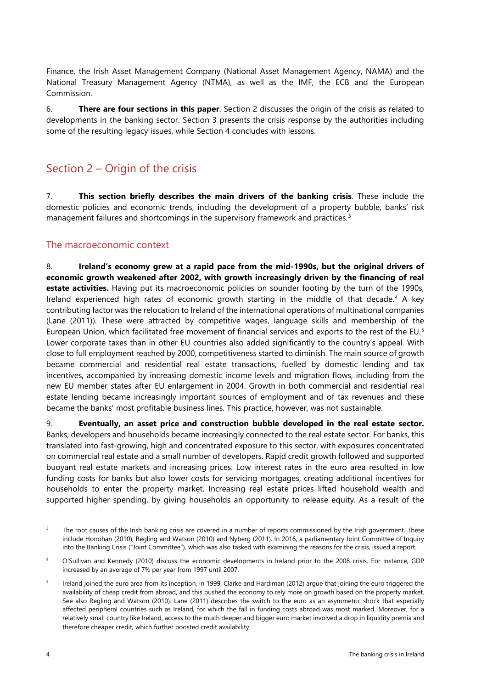Finance, the Irish Asset Management Company (National Asset Management Agency, NAMA) and the National Treasury Management Agency (NTMA), as well as the IMF, the ECB and the European Commission.

6. **There are four sections in this paper**. Section 2 discusses the origin of the crisis as related to developments in the banking sector. Section 3 presents the crisis response by the authorities including some of the resulting legacy issues, while Section 4 concludes with lessons.

### <span id="page-6-0"></span>Section 2 – Origin of the crisis

7. **This section briefly describes the main drivers of the banking crisis**. These include the domestic policies and economic trends, including the development of a property bubble, banks' risk management failures and shortcomings in the supervisory framework and practices.<sup>[3](#page-6-2)</sup>

#### <span id="page-6-1"></span>The macroeconomic context

8. **Ireland's economy grew at a rapid pace from the mid-1990s, but the original drivers of economic growth weakened after 2002, with growth increasingly driven by the financing of real estate activities.** Having put its macroeconomic policies on sounder footing by the turn of the 1990s, Ireland experienced high rates of economic growth starting in the middle of that decade. [4](#page-6-3) A key contributing factor was the relocation to Ireland of the international operations of multinational companies (Lane (2011)). These were attracted by competitive wages, language skills and membership of the European Union, which facilitated free movement of financial services and exports to the rest of the EU. [5](#page-6-4) Lower corporate taxes than in other EU countries also added significantly to the country's appeal. With close to full employment reached by 2000, competitiveness started to diminish. The main source of growth became commercial and residential real estate transactions, fuelled by domestic lending and tax incentives, accompanied by increasing domestic income levels and migration flows, including from the new EU member states after EU enlargement in 2004. Growth in both commercial and residential real estate lending became increasingly important sources of employment and of tax revenues and these became the banks' most profitable business lines. This practice, however, was not sustainable.

9. **Eventually, an asset price and construction bubble developed in the real estate sector.** Banks, developers and households became increasingly connected to the real estate sector. For banks, this translated into fast-growing, high and concentrated exposure to this sector, with exposures concentrated on commercial real estate and a small number of developers. Rapid credit growth followed and supported buoyant real estate markets and increasing prices. Low interest rates in the euro area resulted in low funding costs for banks but also lower costs for servicing mortgages, creating additional incentives for households to enter the property market. Increasing real estate prices lifted household wealth and supported higher spending, by giving households an opportunity to release equity. As a result of the

<span id="page-6-2"></span><sup>&</sup>lt;sup>3</sup> The root causes of the Irish banking crisis are covered in a number of reports commissioned by the Irish government. These include Honohan (2010), Regling and Watson (2010) and Nyberg (2011). In 2016, a parliamentary Joint Committee of Inquiry into the Banking Crisis ("Joint Committee"), which was also tasked with examining the reasons for the crisis, issued a report.

<span id="page-6-3"></span><sup>4</sup> O'Sullivan and Kennedy (2010) discuss the economic developments in Ireland prior to the 2008 crisis. For instance, GDP increased by an average of 7% per year from 1997 until 2007.

<span id="page-6-4"></span>Ireland joined the euro area from its inception, in 1999. Clarke and Hardiman (2012) argue that joining the euro triggered the availability of cheap credit from abroad, and this pushed the economy to rely more on growth based on the property market. See also Regling and Watson (2010). Lane (2011) describes the switch to the euro as an asymmetric shock that especially affected peripheral countries such as Ireland, for which the fall in funding costs abroad was most marked. Moreover, for a relatively small country like Ireland, access to the much deeper and bigger euro market involved a drop in liquidity premia and therefore cheaper credit, which further boosted credit availability.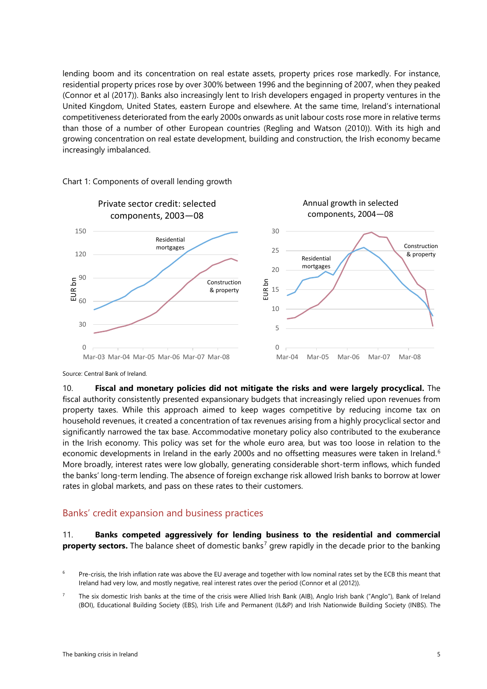lending boom and its concentration on real estate assets, property prices rose markedly. For instance, residential property prices rose by over 300% between 1996 and the beginning of 2007, when they peaked (Connor et al (2017)). Banks also increasingly lent to Irish developers engaged in property ventures in the United Kingdom, United States, eastern Europe and elsewhere. At the same time, Ireland's international competitiveness deteriorated from the early 2000s onwards as unit labour costs rose more in relative terms than those of a number of other European countries (Regling and Watson (2010)). With its high and growing concentration on real estate development, building and construction, the Irish economy became increasingly imbalanced.



#### Chart 1: Components of overall lending growth

Source: Central Bank of Ireland.

10. **Fiscal and monetary policies did not mitigate the risks and were largely procyclical.** The fiscal authority consistently presented expansionary budgets that increasingly relied upon revenues from property taxes. While this approach aimed to keep wages competitive by reducing income tax on household revenues, it created a concentration of tax revenues arising from a highly procyclical sector and significantly narrowed the tax base. Accommodative monetary policy also contributed to the exuberance in the Irish economy. This policy was set for the whole euro area, but was too loose in relation to the economic developments in Ireland in the early 2000s and no offsetting measures were taken in Ireland. [6](#page-7-1) More broadly, interest rates were low globally, generating considerable short-term inflows, which funded the banks' long-term lending. The absence of foreign exchange risk allowed Irish banks to borrow at lower rates in global markets, and pass on these rates to their customers.

#### <span id="page-7-0"></span>Banks' credit expansion and business practices

#### 11. **Banks competed aggressively for lending business to the residential and commercial property sectors.** The balance sheet of domestic banks<sup>[7](#page-7-2)</sup> grew rapidly in the decade prior to the banking

<span id="page-7-1"></span>Pre-crisis, the Irish inflation rate was above the EU average and together with low nominal rates set by the ECB this meant that Ireland had very low, and mostly negative, real interest rates over the period (Connor et al (2012)).

<span id="page-7-2"></span><sup>7</sup> The six domestic Irish banks at the time of the crisis were Allied Irish Bank (AIB), Anglo Irish bank ("Anglo"), Bank of Ireland (BOI), Educational Building Society (EBS), Irish Life and Permanent (IL&P) and Irish Nationwide Building Society (INBS). The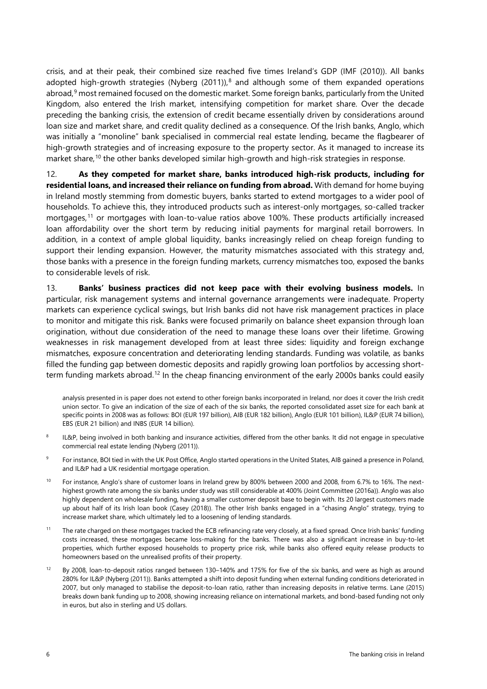crisis, and at their peak, their combined size reached five times Ireland's GDP (IMF (2010)). All banks adopted high-growth strategies (Nyberg  $(2011)$ ),<sup>[8](#page-8-0)</sup> and although some of them expanded operations abroad,<sup>[9](#page-8-1)</sup> most remained focused on the domestic market. Some foreign banks, particularly from the United Kingdom, also entered the Irish market, intensifying competition for market share. Over the decade preceding the banking crisis, the extension of credit became essentially driven by considerations around loan size and market share, and credit quality declined as a consequence. Of the Irish banks, Anglo, which was initially a "monoline" bank specialised in commercial real estate lending, became the flagbearer of high-growth strategies and of increasing exposure to the property sector. As it managed to increase its market share,<sup>[10](#page-8-2)</sup> the other banks developed similar high-growth and high-risk strategies in response.

12. **As they competed for market share, banks introduced high-risk products, including for residential loans, and increased their reliance on funding from abroad.** With demand for home buying in Ireland mostly stemming from domestic buyers, banks started to extend mortgages to a wider pool of households. To achieve this, they introduced products such as interest-only mortgages, so-called tracker mortgages, [11](#page-8-3) or mortgages with loan-to-value ratios above 100%. These products artificially increased loan affordability over the short term by reducing initial payments for marginal retail borrowers. In addition, in a context of ample global liquidity, banks increasingly relied on cheap foreign funding to support their lending expansion. However, the maturity mismatches associated with this strategy and, those banks with a presence in the foreign funding markets, currency mismatches too, exposed the banks to considerable levels of risk.

13. **Banks' business practices did not keep pace with their evolving business models.** In particular, risk management systems and internal governance arrangements were inadequate. Property markets can experience cyclical swings, but Irish banks did not have risk management practices in place to monitor and mitigate this risk. Banks were focused primarily on balance sheet expansion through loan origination, without due consideration of the need to manage these loans over their lifetime. Growing weaknesses in risk management developed from at least three sides: liquidity and foreign exchange mismatches, exposure concentration and deteriorating lending standards. Funding was volatile, as banks filled the funding gap between domestic deposits and rapidly growing loan portfolios by accessing shortterm funding markets abroad.[12](#page-8-4) In the cheap financing environment of the early 2000s banks could easily

analysis presented in is paper does not extend to other foreign banks incorporated in Ireland, nor does it cover the Irish credit union sector. To give an indication of the size of each of the six banks, the reported consolidated asset size for each bank at specific points in 2008 was as follows: BOI (EUR 197 billion), AIB (EUR 182 billion), Anglo (EUR 101 billion), IL&P (EUR 74 billion), EBS (EUR 21 billion) and INBS (EUR 14 billion).

- <span id="page-8-0"></span>IL&P, being involved in both banking and insurance activities, differed from the other banks. It did not engage in speculative commercial real estate lending (Nyberg (2011)).
- <span id="page-8-1"></span><sup>9</sup> For instance, BOI tied in with the UK Post Office, Anglo started operations in the United States, AIB gained a presence in Poland, and IL&P had a UK residential mortgage operation.
- <span id="page-8-2"></span><sup>10</sup> For instance, Anglo's share of customer loans in Ireland grew by 800% between 2000 and 2008, from 6.7% to 16%. The nexthighest growth rate among the six banks under study was still considerable at 400% (Joint Committee (2016a)). Anglo was also highly dependent on wholesale funding, having a smaller customer deposit base to begin with. Its 20 largest customers made up about half of its Irish loan book (Casey (2018)). The other Irish banks engaged in a "chasing Anglo" strategy, trying to increase market share, which ultimately led to a loosening of lending standards.
- <span id="page-8-3"></span><sup>11</sup> The rate charged on these mortgages tracked the ECB refinancing rate very closely, at a fixed spread. Once Irish banks' funding costs increased, these mortgages became loss-making for the banks. There was also a significant increase in buy-to-let properties, which further exposed households to property price risk, while banks also offered equity release products to homeowners based on the unrealised profits of their property.
- <span id="page-8-4"></span><sup>12</sup> By 2008, loan-to-deposit ratios ranged between 130–140% and 175% for five of the six banks, and were as high as around 280% for IL&P (Nyberg (2011)). Banks attempted a shift into deposit funding when external funding conditions deteriorated in 2007, but only managed to stabilise the deposit-to-loan ratio, rather than increasing deposits in relative terms. Lane (2015) breaks down bank funding up to 2008, showing increasing reliance on international markets, and bond-based funding not only in euros, but also in sterling and US dollars.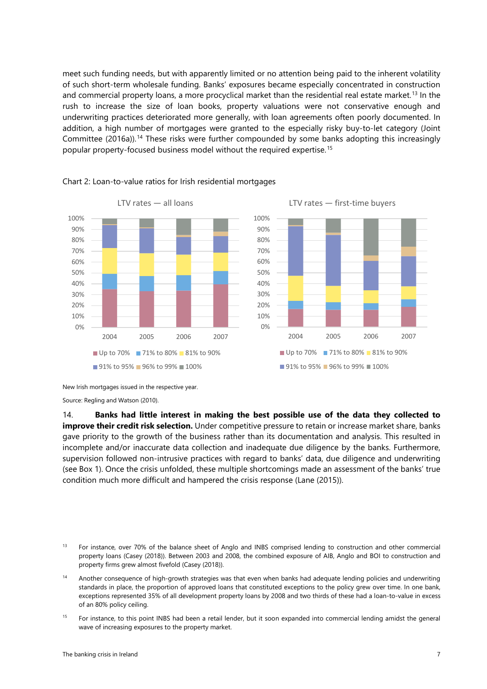meet such funding needs, but with apparently limited or no attention being paid to the inherent volatility of such short-term wholesale funding. Banks' exposures became especially concentrated in construction and commercial property loans, a more procyclical market than the residential real estate market.<sup>[13](#page-9-0)</sup> In the rush to increase the size of loan books, property valuations were not conservative enough and underwriting practices deteriorated more generally, with loan agreements often poorly documented. In addition, a high number of mortgages were granted to the especially risky buy-to-let category (Joint Committee (2016a)). [14](#page-9-1) These risks were further compounded by some banks adopting this increasingly popular property-focused business model without the required expertise.[15](#page-9-2)



#### Chart 2: Loan-to-value ratios for Irish residential mortgages

Source: Regling and Watson (2010).

14. **Banks had little interest in making the best possible use of the data they collected to improve their credit risk selection.** Under competitive pressure to retain or increase market share, banks gave priority to the growth of the business rather than its documentation and analysis. This resulted in incomplete and/or inaccurate data collection and inadequate due diligence by the banks. Furthermore, supervision followed non-intrusive practices with regard to banks' data, due diligence and underwriting (see Box 1). Once the crisis unfolded, these multiple shortcomings made an assessment of the banks' true condition much more difficult and hampered the crisis response (Lane (2015)).

<span id="page-9-0"></span><sup>13</sup> For instance, over 70% of the balance sheet of Anglo and INBS comprised lending to construction and other commercial property loans (Casey (2018)). Between 2003 and 2008, the combined exposure of AIB, Anglo and BOI to construction and property firms grew almost fivefold (Casey (2018)).

<span id="page-9-1"></span><sup>14</sup> Another consequence of high-growth strategies was that even when banks had adequate lending policies and underwriting standards in place, the proportion of approved loans that constituted exceptions to the policy grew over time. In one bank, exceptions represented 35% of all development property loans by 2008 and two thirds of these had a loan-to-value in excess of an 80% policy ceiling.

<span id="page-9-2"></span><sup>15</sup> For instance, to this point INBS had been a retail lender, but it soon expanded into commercial lending amidst the general wave of increasing exposures to the property market.

New Irish mortgages issued in the respective year.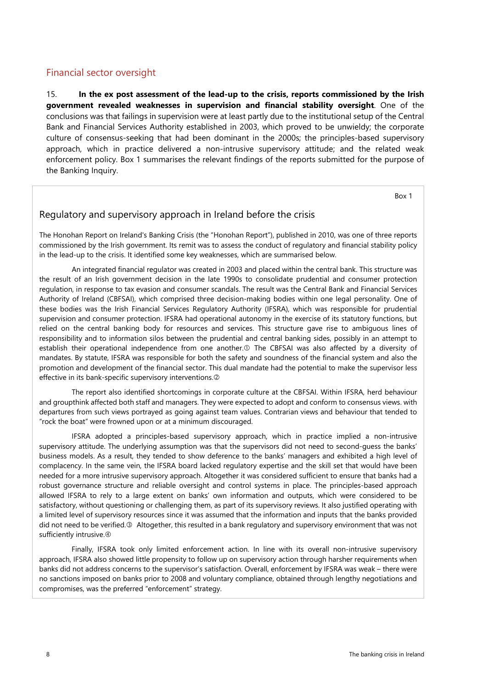#### <span id="page-10-0"></span>Financial sector oversight

15. **In the ex post assessment of the lead-up to the crisis, reports commissioned by the Irish government revealed weaknesses in supervision and financial stability oversight**. One of the conclusions was that failings in supervision were at least partly due to the institutional setup of the Central Bank and Financial Services Authority established in 2003, which proved to be unwieldy; the corporate culture of consensus-seeking that had been dominant in the 2000s; the principles-based supervisory approach, which in practice delivered a non-intrusive supervisory attitude; and the related weak enforcement policy. Box 1 summarises the relevant findings of the reports submitted for the purpose of the Banking Inquiry.

Box 1

#### Regulatory and supervisory approach in Ireland before the crisis

The Honohan Report on Ireland's Banking Crisis (the "Honohan Report"), published in 2010, was one of three reports commissioned by the Irish government. Its remit was to assess the conduct of regulatory and financial stability policy in the lead-up to the crisis. It identified some key weaknesses, which are summarised below.

An integrated financial regulator was created in 2003 and placed within the central bank. This structure was the result of an Irish government decision in the late 1990s to consolidate prudential and consumer protection regulation, in response to tax evasion and consumer scandals. The result was the Central Bank and Financial Services Authority of Ireland (CBFSAI), which comprised three decision-making bodies within one legal personality. One of these bodies was the Irish Financial Services Regulatory Authority (IFSRA), which was responsible for prudential supervision and consumer protection. IFSRA had operational autonomy in the exercise of its statutory functions, but relied on the central banking body for resources and services. This structure gave rise to ambiguous lines of responsibility and to information silos between the prudential and central banking sides, possibly in an attempt to establish their operational independence from one another.<sup>1</sup> The CBFSAI was also affected by a diversity of mandates. By statute, IFSRA was responsible for both the safety and soundness of the financial system and also the promotion and development of the financial sector. This dual mandate had the potential to make the supervisor less effective in its bank-specific supervisory interventions.

The report also identified shortcomings in corporate culture at the CBFSAI. Within IFSRA, herd behaviour and groupthink affected both staff and managers. They were expected to adopt and conform to consensus views. with departures from such views portrayed as going against team values. Contrarian views and behaviour that tended to "rock the boat" were frowned upon or at a minimum discouraged.

IFSRA adopted a principles-based supervisory approach, which in practice implied a non-intrusive supervisory attitude. The underlying assumption was that the supervisors did not need to second-guess the banks' business models. As a result, they tended to show deference to the banks' managers and exhibited a high level of complacency. In the same vein, the IFSRA board lacked regulatory expertise and the skill set that would have been needed for a more intrusive supervisory approach. Altogether it was considered sufficient to ensure that banks had a robust governance structure and reliable oversight and control systems in place. The principles-based approach allowed IFSRA to rely to a large extent on banks' own information and outputs, which were considered to be satisfactory, without questioning or challenging them, as part of its supervisory reviews. It also justified operating with a limited level of supervisory resources since it was assumed that the information and inputs that the banks provided did not need to be verified.<sup>3</sup> Altogether, this resulted in a bank regulatory and supervisory environment that was not sufficiently intrusive.

Finally, IFSRA took only limited enforcement action. In line with its overall non-intrusive supervisory approach, IFSRA also showed little propensity to follow up on supervisory action through harsher requirements when banks did not address concerns to the supervisor's satisfaction. Overall, enforcement by IFSRA was weak – there were no sanctions imposed on banks prior to 2008 and voluntary compliance, obtained through lengthy negotiations and compromises, was the preferred "enforcement" strategy.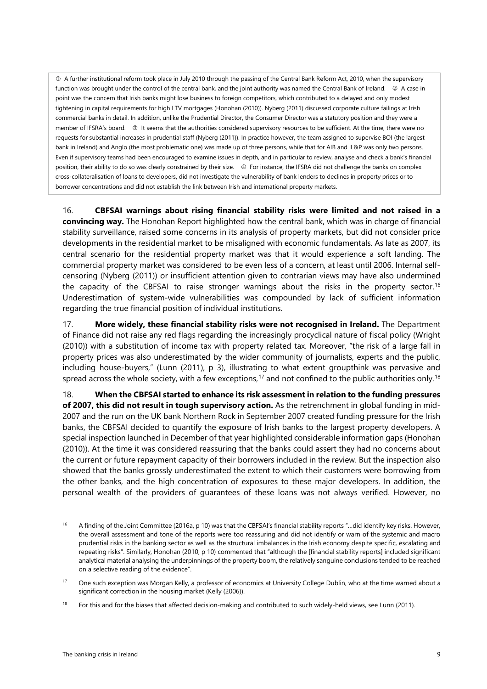A further institutional reform took place in July 2010 through the passing of the Central Bank Reform Act, 2010, when the supervisory function was brought under the control of the central bank, and the joint authority was named the Central Bank of Ireland. @ A case in point was the concern that Irish banks might lose business to foreign competitors, which contributed to a delayed and only modest tightening in capital requirements for high LTV mortgages (Honohan (2010)). Nyberg (2011) discussed corporate culture failings at Irish commercial banks in detail. In addition, unlike the Prudential Director, the Consumer Director was a statutory position and they were a member of IFSRA's board. <sup>3</sup> It seems that the authorities considered supervisory resources to be sufficient. At the time, there were no requests for substantial increases in prudential staff (Nyberg (2011)). In practice however, the team assigned to supervise BOI (the largest bank in Ireland) and Anglo (the most problematic one) was made up of three persons, while that for AIB and IL&P was only two persons. Even if supervisory teams had been encouraged to examine issues in depth, and in particular to review, analyse and check a bank's financial position, their ability to do so was clearly constrained by their size.  $\circledast$  For instance, the IFSRA did not challenge the banks on complex cross-collateralisation of loans to developers, did not investigate the vulnerability of bank lenders to declines in property prices or to borrower concentrations and did not establish the link between Irish and international property markets.

16. **CBFSAI warnings about rising financial stability risks were limited and not raised in a convincing way.** The Honohan Report highlighted how the central bank, which was in charge of financial stability surveillance, raised some concerns in its analysis of property markets, but did not consider price developments in the residential market to be misaligned with economic fundamentals. As late as 2007, its central scenario for the residential property market was that it would experience a soft landing. The commercial property market was considered to be even less of a concern, at least until 2006. Internal selfcensoring (Nyberg (2011)) or insufficient attention given to contrarian views may have also undermined the capacity of the CBFSAI to raise stronger warnings about the risks in the property sector.<sup>[16](#page-11-0)</sup> Underestimation of system-wide vulnerabilities was compounded by lack of sufficient information regarding the true financial position of individual institutions.

17. **More widely, these financial stability risks were not recognised in Ireland.** The Department of Finance did not raise any red flags regarding the increasingly procyclical nature of fiscal policy (Wright (2010)) with a substitution of income tax with property related tax. Moreover, "the risk of a large fall in property prices was also underestimated by the wider community of journalists, experts and the public, including house-buyers," (Lunn (2011), p 3), illustrating to what extent groupthink was pervasive and spread across the whole society, with a few exceptions,  $^{17}$  $^{17}$  $^{17}$  and not confined to the public authorities only.  $^{18}$  $^{18}$  $^{18}$ 

18. **When the CBFSAI started to enhance its risk assessment in relation to the funding pressures of 2007, this did not result in tough supervisory action.** As the retrenchment in global funding in mid-2007 and the run on the UK bank Northern Rock in September 2007 created funding pressure for the Irish banks, the CBFSAI decided to quantify the exposure of Irish banks to the largest property developers. A special inspection launched in December of that year highlighted considerable information gaps (Honohan (2010)). At the time it was considered reassuring that the banks could assert they had no concerns about the current or future repayment capacity of their borrowers included in the review. But the inspection also showed that the banks grossly underestimated the extent to which their customers were borrowing from the other banks, and the high concentration of exposures to these major developers. In addition, the personal wealth of the providers of guarantees of these loans was not always verified. However, no

<span id="page-11-0"></span><sup>&</sup>lt;sup>16</sup> A finding of the Joint Committee (2016a, p 10) was that the CBFSAI's financial stability reports "...did identify key risks. However, the overall assessment and tone of the reports were too reassuring and did not identify or warn of the systemic and macro prudential risks in the banking sector as well as the structural imbalances in the Irish economy despite specific, escalating and repeating risks". Similarly, Honohan (2010, p 10) commented that "although the [financial stability reports] included significant analytical material analysing the underpinnings of the property boom, the relatively sanguine conclusions tended to be reached on a selective reading of the evidence".

<span id="page-11-1"></span><sup>17</sup> One such exception was Morgan Kelly, a professor of economics at University College Dublin, who at the time warned about a significant correction in the housing market (Kelly (2006)).

<span id="page-11-2"></span><sup>&</sup>lt;sup>18</sup> For this and for the biases that affected decision-making and contributed to such widely-held views, see Lunn (2011).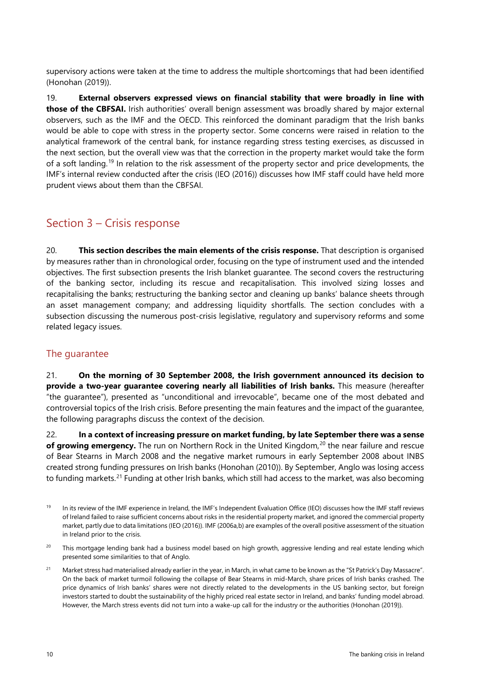supervisory actions were taken at the time to address the multiple shortcomings that had been identified (Honohan (2019)).

19. **External observers expressed views on financial stability that were broadly in line with those of the CBFSAI.** Irish authorities' overall benign assessment was broadly shared by major external observers, such as the IMF and the OECD. This reinforced the dominant paradigm that the Irish banks would be able to cope with stress in the property sector. Some concerns were raised in relation to the analytical framework of the central bank, for instance regarding stress testing exercises, as discussed in the next section, but the overall view was that the correction in the property market would take the form of a soft landing.<sup>[19](#page-12-2)</sup> In relation to the risk assessment of the property sector and price developments, the IMF's internal review conducted after the crisis (IEO (2016)) discusses how IMF staff could have held more prudent views about them than the CBFSAI.

### <span id="page-12-0"></span>Section 3 – Crisis response

20. **This section describes the main elements of the crisis response.** That description is organised by measures rather than in chronological order, focusing on the type of instrument used and the intended objectives. The first subsection presents the Irish blanket guarantee. The second covers the restructuring of the banking sector, including its rescue and recapitalisation. This involved sizing losses and recapitalising the banks; restructuring the banking sector and cleaning up banks' balance sheets through an asset management company; and addressing liquidity shortfalls. The section concludes with a subsection discussing the numerous post-crisis legislative, regulatory and supervisory reforms and some related legacy issues.

#### <span id="page-12-1"></span>The guarantee

21. **On the morning of 30 September 2008, the Irish government announced its decision to provide a two-year guarantee covering nearly all liabilities of Irish banks.** This measure (hereafter "the guarantee"), presented as "unconditional and irrevocable", became one of the most debated and controversial topics of the Irish crisis. Before presenting the main features and the impact of the guarantee, the following paragraphs discuss the context of the decision.

22. **In a context of increasing pressure on market funding, by late September there was a sense of growing emergency.** The run on Northern Rock in the United Kingdom, [20](#page-12-3) the near failure and rescue of Bear Stearns in March 2008 and the negative market rumours in early September 2008 about INBS created strong funding pressures on Irish banks (Honohan (2010)). By September, Anglo was losing access to funding markets.<sup>[21](#page-12-4)</sup> Funding at other Irish banks, which still had access to the market, was also becoming

<span id="page-12-3"></span><sup>20</sup> This mortgage lending bank had a business model based on high growth, aggressive lending and real estate lending which presented some similarities to that of Anglo.

<span id="page-12-4"></span><sup>21</sup> Market stress had materialised already earlier in the year, in March, in what came to be known as the "St Patrick's Day Massacre". On the back of market turmoil following the collapse of Bear Stearns in mid-March, share prices of Irish banks crashed. The price dynamics of Irish banks' shares were not directly related to the developments in the US banking sector, but foreign investors started to doubt the sustainability of the highly priced real estate sector in Ireland, and banks' funding model abroad. However, the March stress events did not turn into a wake-up call for the industry or the authorities (Honohan (2019)).

<span id="page-12-2"></span><sup>&</sup>lt;sup>19</sup> In its review of the IMF experience in Ireland, the IMF's Independent Evaluation Office (IEO) discusses how the IMF staff reviews of Ireland failed to raise sufficient concerns about risks in the residential property market, and ignored the commercial property market, partly due to data limitations (IEO (2016)). IMF (2006a,b) are examples of the overall positive assessment of the situation in Ireland prior to the crisis.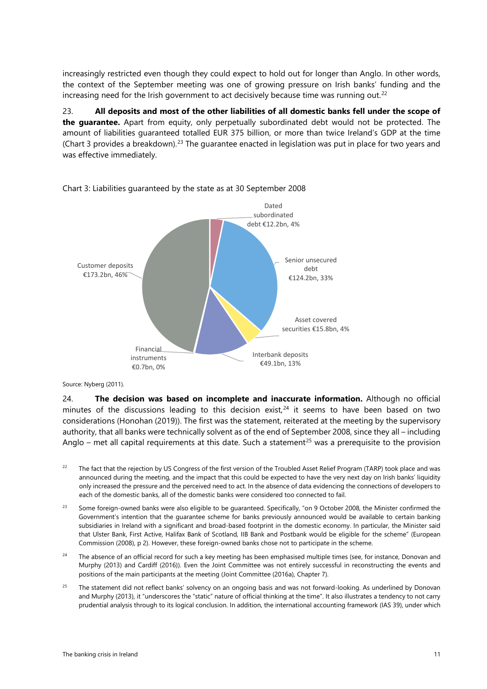increasingly restricted even though they could expect to hold out for longer than Anglo. In other words, the context of the September meeting was one of growing pressure on Irish banks' funding and the increasing need for the Irish government to act decisively because time was running out.<sup>[22](#page-13-0)</sup>

23. **All deposits and most of the other liabilities of all domestic banks fell under the scope of the guarantee.** Apart from equity, only perpetually subordinated debt would not be protected. The amount of liabilities guaranteed totalled EUR 375 billion, or more than twice Ireland's GDP at the time (Chart 3 provides a breakdown).<sup>[23](#page-13-1)</sup> The guarantee enacted in legislation was put in place for two years and was effective immediately.



Chart 3: Liabilities guaranteed by the state as at 30 September 2008

Source: Nyberg (2011).

24. **The decision was based on incomplete and inaccurate information.** Although no official minutes of the discussions leading to this decision exist, $24$  it seems to have been based on two considerations (Honohan (2019)). The first was the statement, reiterated at the meeting by the supervisory authority, that all banks were technically solvent as of the end of September 2008, since they all – including Anglo – met all capital requirements at this date. Such a statement<sup>[25](#page-13-3)</sup> was a prerequisite to the provision

- <span id="page-13-0"></span><sup>22</sup> The fact that the rejection by US Congress of the first version of the Troubled Asset Relief Program (TARP) took place and was announced during the meeting, and the impact that this could be expected to have the very next day on Irish banks' liquidity only increased the pressure and the perceived need to act. In the absence of data evidencing the connections of developers to each of the domestic banks, all of the domestic banks were considered too connected to fail.
- <span id="page-13-1"></span><sup>23</sup> Some foreign-owned banks were also eligible to be guaranteed. Specifically, "on 9 October 2008, the Minister confirmed the Government's intention that the guarantee scheme for banks previously announced would be available to certain banking subsidiaries in Ireland with a significant and broad-based footprint in the domestic economy. In particular, the Minister said that Ulster Bank, First Active, Halifax Bank of Scotland, IIB Bank and Postbank would be eligible for the scheme" (European Commission (2008), p 2). However, these foreign-owned banks chose not to participate in the scheme.
- <span id="page-13-2"></span><sup>24</sup> The absence of an official record for such a key meeting has been emphasised multiple times (see, for instance, Donovan and Murphy (2013) and Cardiff (2016)). Even the Joint Committee was not entirely successful in reconstructing the events and positions of the main participants at the meeting (Joint Committee (2016a), Chapter 7).
- <span id="page-13-3"></span><sup>25</sup> The statement did not reflect banks' solvency on an ongoing basis and was not forward-looking. As underlined by Donovan and Murphy (2013), it "underscores the "static" nature of official thinking at the time". It also illustrates a tendency to not carry prudential analysis through to its logical conclusion. In addition, the international accounting framework (IAS 39), under which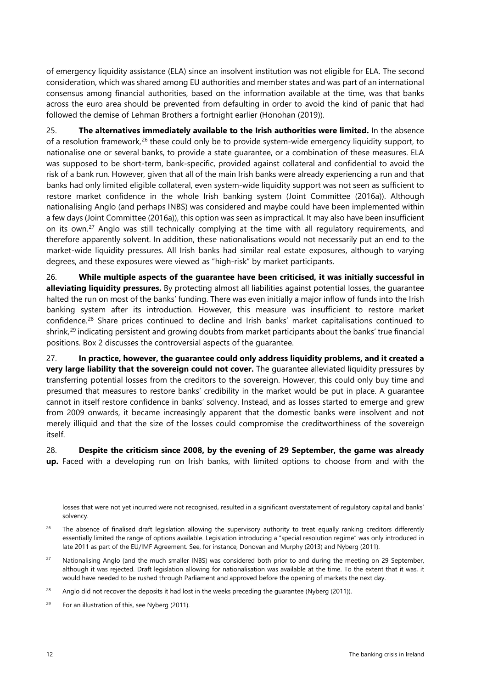of emergency liquidity assistance (ELA) since an insolvent institution was not eligible for ELA. The second consideration, which was shared among EU authorities and member states and was part of an international consensus among financial authorities, based on the information available at the time, was that banks across the euro area should be prevented from defaulting in order to avoid the kind of panic that had followed the demise of Lehman Brothers a fortnight earlier (Honohan (2019)).

25. **The alternatives immediately available to the Irish authorities were limited.** In the absence of a resolution framework, $26$  these could only be to provide system-wide emergency liquidity support, to nationalise one or several banks, to provide a state guarantee, or a combination of these measures. ELA was supposed to be short-term, bank-specific, provided against collateral and confidential to avoid the risk of a bank run. However, given that all of the main Irish banks were already experiencing a run and that banks had only limited eligible collateral, even system-wide liquidity support was not seen as sufficient to restore market confidence in the whole Irish banking system (Joint Committee (2016a)). Although nationalising Anglo (and perhaps INBS) was considered and maybe could have been implemented within a few days (Joint Committee (2016a)), this option was seen as impractical. It may also have been insufficient on its own.<sup>[27](#page-14-1)</sup> Anglo was still technically complying at the time with all regulatory requirements, and therefore apparently solvent. In addition, these nationalisations would not necessarily put an end to the market-wide liquidity pressures. All Irish banks had similar real estate exposures, although to varying degrees, and these exposures were viewed as "high-risk" by market participants.

26. **While multiple aspects of the guarantee have been criticised, it was initially successful in alleviating liquidity pressures.** By protecting almost all liabilities against potential losses, the guarantee halted the run on most of the banks' funding. There was even initially a major inflow of funds into the Irish banking system after its introduction. However, this measure was insufficient to restore market confidence.<sup>[28](#page-14-2)</sup> Share prices continued to decline and Irish banks' market capitalisations continued to shrink, [29](#page-14-3) indicating persistent and growing doubts from market participants about the banks' true financial positions. Box 2 discusses the controversial aspects of the guarantee.

27. **In practice, however, the guarantee could only address liquidity problems, and it created a very large liability that the sovereign could not cover.** The guarantee alleviated liquidity pressures by transferring potential losses from the creditors to the sovereign. However, this could only buy time and presumed that measures to restore banks' credibility in the market would be put in place. A guarantee cannot in itself restore confidence in banks' solvency. Instead, and as losses started to emerge and grew from 2009 onwards, it became increasingly apparent that the domestic banks were insolvent and not merely illiquid and that the size of the losses could compromise the creditworthiness of the sovereign itself.

28. **Despite the criticism since 2008, by the evening of 29 September, the game was already up.** Faced with a developing run on Irish banks, with limited options to choose from and with the

losses that were not yet incurred were not recognised, resulted in a significant overstatement of regulatory capital and banks' solvency.

- <span id="page-14-0"></span><sup>26</sup> The absence of finalised draft legislation allowing the supervisory authority to treat equally ranking creditors differently essentially limited the range of options available. Legislation introducing a "special resolution regime" was only introduced in late 2011 as part of the EU/IMF Agreement. See, for instance, Donovan and Murphy (2013) and Nyberg (2011).
- <span id="page-14-1"></span><sup>27</sup> Nationalising Anglo (and the much smaller INBS) was considered both prior to and during the meeting on 29 September, although it was rejected. Draft legislation allowing for nationalisation was available at the time. To the extent that it was, it would have needed to be rushed through Parliament and approved before the opening of markets the next day.
- <span id="page-14-2"></span><sup>28</sup> Anglo did not recover the deposits it had lost in the weeks preceding the guarantee (Nyberg (2011)).

<span id="page-14-3"></span><sup>29</sup> For an illustration of this, see Nyberg (2011).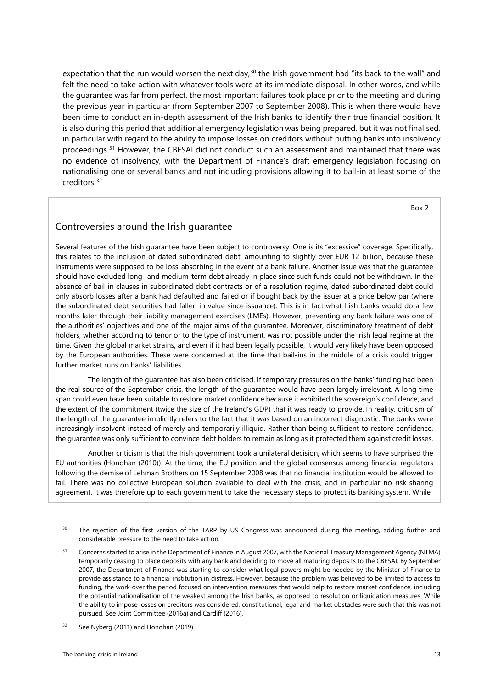expectation that the run would worsen the next day,<sup>[30](#page-15-0)</sup> the Irish government had "its back to the wall" and felt the need to take action with whatever tools were at its immediate disposal. In other words, and while the guarantee was far from perfect, the most important failures took place prior to the meeting and during the previous year in particular (from September 2007 to September 2008). This is when there would have been time to conduct an in-depth assessment of the Irish banks to identify their true financial position. It is also during this period that additional emergency legislation was being prepared, but it was not finalised, in particular with regard to the ability to impose losses on creditors without putting banks into insolvency proceedings. [31](#page-15-1) However, the CBFSAI did not conduct such an assessment and maintained that there was no evidence of insolvency, with the Department of Finance's draft emergency legislation focusing on nationalising one or several banks and not including provisions allowing it to bail-in at least some of the creditors. [32](#page-15-2)

Box 2

#### Controversies around the Irish guarantee

Several features of the Irish guarantee have been subject to controversy. One is its "excessive" coverage. Specifically, this relates to the inclusion of dated subordinated debt, amounting to slightly over EUR 12 billion, because these instruments were supposed to be loss-absorbing in the event of a bank failure. Another issue was that the guarantee should have excluded long- and medium-term debt already in place since such funds could not be withdrawn. In the absence of bail-in clauses in subordinated debt contracts or of a resolution regime, dated subordinated debt could only absorb losses after a bank had defaulted and failed or if bought back by the issuer at a price below par (where the subordinated debt securities had fallen in value since issuance). This is in fact what Irish banks would do a few months later through their liability management exercises (LMEs). However, preventing any bank failure was one of the authorities' objectives and one of the major aims of the guarantee. Moreover, discriminatory treatment of debt holders, whether according to tenor or to the type of instrument, was not possible under the Irish legal regime at the time. Given the global market strains, and even if it had been legally possible, it would very likely have been opposed by the European authorities. These were concerned at the time that bail-ins in the middle of a crisis could trigger further market runs on banks' liabilities.

The length of the guarantee has also been criticised. If temporary pressures on the banks' funding had been the real source of the September crisis, the length of the guarantee would have been largely irrelevant. A long time span could even have been suitable to restore market confidence because it exhibited the sovereign's confidence, and the extent of the commitment (twice the size of the Ireland's GDP) that it was ready to provide. In reality, criticism of the length of the guarantee implicitly refers to the fact that it was based on an incorrect diagnostic. The banks were increasingly insolvent instead of merely and temporarily illiquid. Rather than being sufficient to restore confidence, the guarantee was only sufficient to convince debt holders to remain as long as it protected them against credit losses.

Another criticism is that the Irish government took a unilateral decision, which seems to have surprised the EU authorities (Honohan (2010)). At the time, the EU position and the global consensus among financial regulators following the demise of Lehman Brothers on 15 September 2008 was that no financial institution would be allowed to fail. There was no collective European solution available to deal with the crisis, and in particular no risk-sharing agreement. It was therefore up to each government to take the necessary steps to protect its banking system. While

- <span id="page-15-0"></span><sup>30</sup> The rejection of the first version of the TARP by US Congress was announced during the meeting, adding further and considerable pressure to the need to take action.
- <span id="page-15-1"></span><sup>31</sup> Concerns started to arise in the Department of Finance in August 2007, with the National Treasury Management Agency (NTMA) temporarily ceasing to place deposits with any bank and deciding to move all maturing deposits to the CBFSAI. By September 2007, the Department of Finance was starting to consider what legal powers might be needed by the Minister of Finance to provide assistance to a financial institution in distress. However, because the problem was believed to be limited to access to funding, the work over the period focused on intervention measures that would help to restore market confidence, including the potential nationalisation of the weakest among the Irish banks, as opposed to resolution or liquidation measures. While the ability to impose losses on creditors was considered, constitutional, legal and market obstacles were such that this was not pursued. See Joint Committee (2016a) and Cardiff (2016).
- <span id="page-15-2"></span>See Nyberg (2011) and Honohan (2019).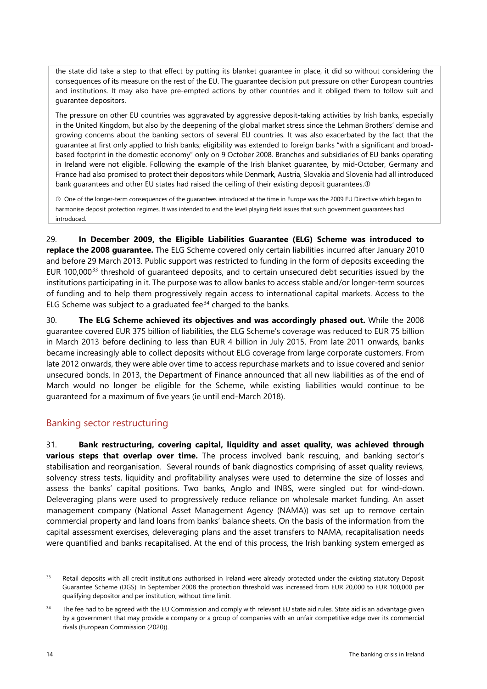the state did take a step to that effect by putting its blanket guarantee in place, it did so without considering the consequences of its measure on the rest of the EU. The guarantee decision put pressure on other European countries and institutions. It may also have pre-empted actions by other countries and it obliged them to follow suit and guarantee depositors.

The pressure on other EU countries was aggravated by aggressive deposit-taking activities by Irish banks, especially in the United Kingdom, but also by the deepening of the global market stress since the Lehman Brothers' demise and growing concerns about the banking sectors of several EU countries. It was also exacerbated by the fact that the guarantee at first only applied to Irish banks; eligibility was extended to foreign banks "with a significant and broadbased footprint in the domestic economy" only on 9 October 2008. Branches and subsidiaries of EU banks operating in Ireland were not eligible. Following the example of the Irish blanket guarantee, by mid-October, Germany and France had also promised to protect their depositors while Denmark, Austria, Slovakia and Slovenia had all introduced bank guarantees and other EU states had raised the ceiling of their existing deposit guarantees.  $\Phi$ 

 One of the longer-term consequences of the guarantees introduced at the time in Europe was the 2009 EU Directive which began to harmonise deposit protection regimes. It was intended to end the level playing field issues that such government guarantees had introduced.

29. **In December 2009, the Eligible Liabilities Guarantee (ELG) Scheme was introduced to replace the 2008 guarantee.** The ELG Scheme covered only certain liabilities incurred after January 2010 and before 29 March 2013. Public support was restricted to funding in the form of deposits exceeding the EUR 100,000[33](#page-16-1) threshold of guaranteed deposits, and to certain unsecured debt securities issued by the institutions participating in it. The purpose was to allow banks to access stable and/or longer-term sources of funding and to help them progressively regain access to international capital markets. Access to the ELG Scheme was subject to a graduated fee $34$  charged to the banks.

30. **The ELG Scheme achieved its objectives and was accordingly phased out.** While the 2008 guarantee covered EUR 375 billion of liabilities, the ELG Scheme's coverage was reduced to EUR 75 billion in March 2013 before declining to less than EUR 4 billion in July 2015. From late 2011 onwards, banks became increasingly able to collect deposits without ELG coverage from large corporate customers. From late 2012 onwards, they were able over time to access repurchase markets and to issue covered and senior unsecured bonds. In 2013, the Department of Finance announced that all new liabilities as of the end of March would no longer be eligible for the Scheme, while existing liabilities would continue to be guaranteed for a maximum of five years (ie until end-March 2018).

#### <span id="page-16-0"></span>Banking sector restructuring

31. **Bank restructuring, covering capital, liquidity and asset quality, was achieved through**  various steps that overlap over time. The process involved bank rescuing, and banking sector's stabilisation and reorganisation. Several rounds of bank diagnostics comprising of asset quality reviews, solvency stress tests, liquidity and profitability analyses were used to determine the size of losses and assess the banks' capital positions. Two banks, Anglo and INBS, were singled out for wind-down. Deleveraging plans were used to progressively reduce reliance on wholesale market funding. An asset management company (National Asset Management Agency (NAMA)) was set up to remove certain commercial property and land loans from banks' balance sheets. On the basis of the information from the capital assessment exercises, deleveraging plans and the asset transfers to NAMA, recapitalisation needs were quantified and banks recapitalised. At the end of this process, the Irish banking system emerged as

<span id="page-16-1"></span><sup>&</sup>lt;sup>33</sup> Retail deposits with all credit institutions authorised in Ireland were already protected under the existing statutory Deposit Guarantee Scheme (DGS). In September 2008 the protection threshold was increased from EUR 20,000 to EUR 100,000 per qualifying depositor and per institution, without time limit.

<span id="page-16-2"></span><sup>&</sup>lt;sup>34</sup> The fee had to be agreed with the EU Commission and comply with relevant EU state aid rules. State aid is an advantage given by a government that may provide a company or a group of companies with an unfair competitive edge over its commercial rivals (European Commission (2020)).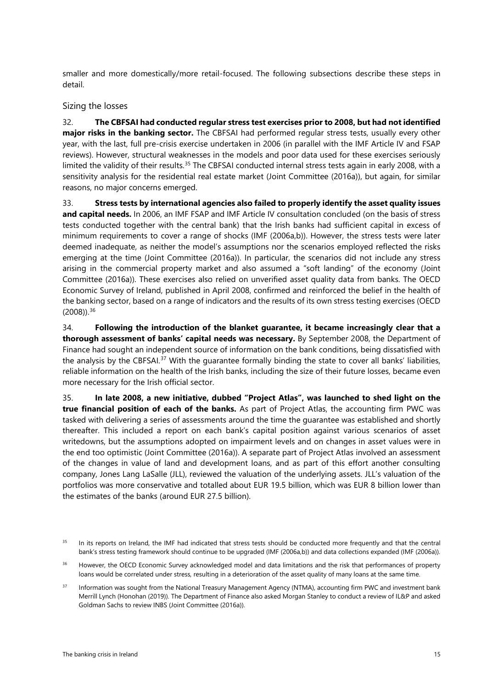smaller and more domestically/more retail-focused. The following subsections describe these steps in detail.

#### <span id="page-17-0"></span>Sizing the losses

32. **The CBFSAI had conducted regular stress test exercises prior to 2008, but had not identified major risks in the banking sector.** The CBFSAI had performed regular stress tests, usually every other year, with the last, full pre-crisis exercise undertaken in 2006 (in parallel with the IMF Article IV and FSAP reviews). However, structural weaknesses in the models and poor data used for these exercises seriously limited the validity of their results. [35](#page-17-1) The CBFSAI conducted internal stress tests again in early 2008, with a sensitivity analysis for the residential real estate market (Joint Committee (2016a)), but again, for similar reasons, no major concerns emerged.

33. **Stress tests by international agencies also failed to properly identify the asset quality issues and capital needs.** In 2006, an IMF FSAP and IMF Article IV consultation concluded (on the basis of stress tests conducted together with the central bank) that the Irish banks had sufficient capital in excess of minimum requirements to cover a range of shocks (IMF (2006a,b)). However, the stress tests were later deemed inadequate, as neither the model's assumptions nor the scenarios employed reflected the risks emerging at the time (Joint Committee (2016a)). In particular, the scenarios did not include any stress arising in the commercial property market and also assumed a "soft landing" of the economy (Joint Committee (2016a)). These exercises also relied on unverified asset quality data from banks. The OECD Economic Survey of Ireland, published in April 2008, confirmed and reinforced the belief in the health of the banking sector, based on a range of indicators and the results of its own stress testing exercises (OECD  $(2008)$ ).<sup>[36](#page-17-2)</sup>

34. **Following the introduction of the blanket guarantee, it became increasingly clear that a thorough assessment of banks' capital needs was necessary.** By September 2008, the Department of Finance had sought an independent source of information on the bank conditions, being dissatisfied with the analysis by the CBFSAI.[37](#page-17-3) With the guarantee formally binding the state to cover all banks' liabilities, reliable information on the health of the Irish banks, including the size of their future losses, became even more necessary for the Irish official sector.

35. **In late 2008, a new initiative, dubbed "Project Atlas", was launched to shed light on the true financial position of each of the banks.** As part of Project Atlas, the accounting firm PWC was tasked with delivering a series of assessments around the time the guarantee was established and shortly thereafter. This included a report on each bank's capital position against various scenarios of asset writedowns, but the assumptions adopted on impairment levels and on changes in asset values were in the end too optimistic (Joint Committee (2016a)). A separate part of Project Atlas involved an assessment of the changes in value of land and development loans, and as part of this effort another consulting company, Jones Lang LaSalle (JLL), reviewed the valuation of the underlying assets. JLL's valuation of the portfolios was more conservative and totalled about EUR 19.5 billion, which was EUR 8 billion lower than the estimates of the banks (around EUR 27.5 billion).

<span id="page-17-1"></span><sup>&</sup>lt;sup>35</sup> In its reports on Ireland, the IMF had indicated that stress tests should be conducted more frequently and that the central bank's stress testing framework should continue to be upgraded (IMF (2006a,b)) and data collections expanded (IMF (2006a)).

<span id="page-17-2"></span><sup>&</sup>lt;sup>36</sup> However, the OECD Economic Survey acknowledged model and data limitations and the risk that performances of property loans would be correlated under stress, resulting in a deterioration of the asset quality of many loans at the same time.

<span id="page-17-3"></span><sup>&</sup>lt;sup>37</sup> Information was sought from the National Treasury Management Agency (NTMA), accounting firm PWC and investment bank Merrill Lynch (Honohan (2019)). The Department of Finance also asked Morgan Stanley to conduct a review of IL&P and asked Goldman Sachs to review INBS (Joint Committee (2016a)).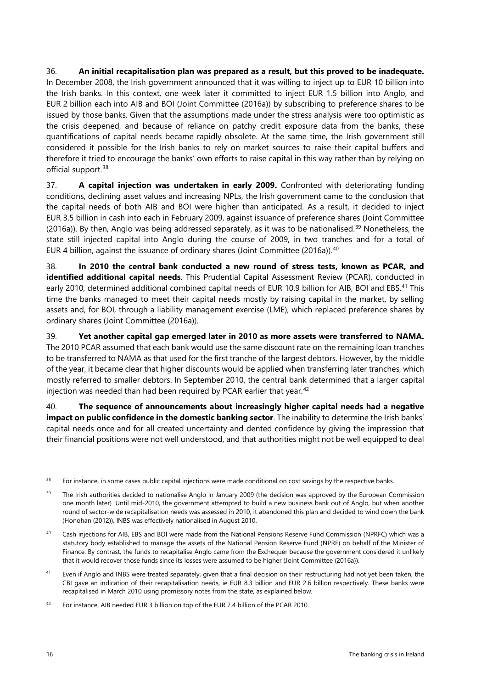36. **An initial recapitalisation plan was prepared as a result, but this proved to be inadequate.** In December 2008, the Irish government announced that it was willing to inject up to EUR 10 billion into the Irish banks. In this context, one week later it committed to inject EUR 1.5 billion into Anglo, and EUR 2 billion each into AIB and BOI (Joint Committee (2016a)) by subscribing to preference shares to be issued by those banks. Given that the assumptions made under the stress analysis were too optimistic as the crisis deepened, and because of reliance on patchy credit exposure data from the banks, these quantifications of capital needs became rapidly obsolete. At the same time, the Irish government still considered it possible for the Irish banks to rely on market sources to raise their capital buffers and therefore it tried to encourage the banks' own efforts to raise capital in this way rather than by relying on official support.<sup>[38](#page-18-0)</sup>

37. **A capital injection was undertaken in early 2009.** Confronted with deteriorating funding conditions, declining asset values and increasing NPLs, the Irish government came to the conclusion that the capital needs of both AIB and BOI were higher than anticipated. As a result, it decided to inject EUR 3.5 billion in cash into each in February 2009, against issuance of preference shares (Joint Committee (2016a)). By then, Anglo was being addressed separately, as it was to be nationalised.<sup>[39](#page-18-1)</sup> Nonetheless, the state still injected capital into Anglo during the course of 2009, in two tranches and for a total of EUR 4 billion, against the issuance of ordinary shares (Joint Committee (2016a)). [40](#page-18-2)

38. **In 2010 the central bank conducted a new round of stress tests, known as PCAR, and identified additional capital needs**. This Prudential Capital Assessment Review (PCAR), conducted in early 2010, determined additional combined capital needs of EUR 10.9 billion for AIB, BOI and EBS.<sup>41</sup> This time the banks managed to meet their capital needs mostly by raising capital in the market, by selling assets and, for BOI, through a liability management exercise (LME), which replaced preference shares by ordinary shares (Joint Committee (2016a)).

39. **Yet another capital gap emerged later in 2010 as more assets were transferred to NAMA.** The 2010 PCAR assumed that each bank would use the same discount rate on the remaining loan tranches to be transferred to NAMA as that used for the first tranche of the largest debtors. However, by the middle of the year, it became clear that higher discounts would be applied when transferring later tranches, which mostly referred to smaller debtors. In September 2010, the central bank determined that a larger capital injection was needed than had been required by PCAR earlier that year.<sup>[42](#page-18-4)</sup>

40. **The sequence of announcements about increasingly higher capital needs had a negative impact on public confidence in the domestic banking sector**. The inability to determine the Irish banks' capital needs once and for all created uncertainty and dented confidence by giving the impression that their financial positions were not well understood, and that authorities might not be well equipped to deal

<span id="page-18-0"></span><sup>&</sup>lt;sup>38</sup> For instance, in some cases public capital injections were made conditional on cost savings by the respective banks.

<span id="page-18-1"></span><sup>&</sup>lt;sup>39</sup> The Irish authorities decided to nationalise Anglo in January 2009 (the decision was approved by the European Commission one month later). Until mid-2010, the government attempted to build a new business bank out of Anglo, but when another round of sector-wide recapitalisation needs was assessed in 2010, it abandoned this plan and decided to wind down the bank [\(Honohan \(2012\)\)](https://www.bis.org/review/r120907j.pdf). INBS was effectively nationalised in August 2010.

<span id="page-18-2"></span><sup>&</sup>lt;sup>40</sup> Cash injections for AIB, EBS and BOI were made from the National Pensions Reserve Fund Commission (NPRFC) which was a statutory body established to manage the assets of the National Pension Reserve Fund (NPRF) on behalf of the Minister of Finance. By contrast, the funds to recapitalise Anglo came from the Exchequer because the government considered it unlikely that it would recover those funds since its losses were assumed to be higher (Joint Committee (2016a)).

<span id="page-18-3"></span><sup>&</sup>lt;sup>41</sup> Even if Anglo and INBS were treated separately, given that a final decision on their restructuring had not yet been taken, the CBI gave an indication of their recapitalisation needs, ie EUR 8.3 billion and EUR 2.6 billion respectively. These banks were recapitalised in March 2010 using promissory notes from the state, as explained below.

<span id="page-18-4"></span><sup>&</sup>lt;sup>42</sup> For instance, AIB needed EUR 3 billion on top of the EUR 7.4 billion of the PCAR 2010.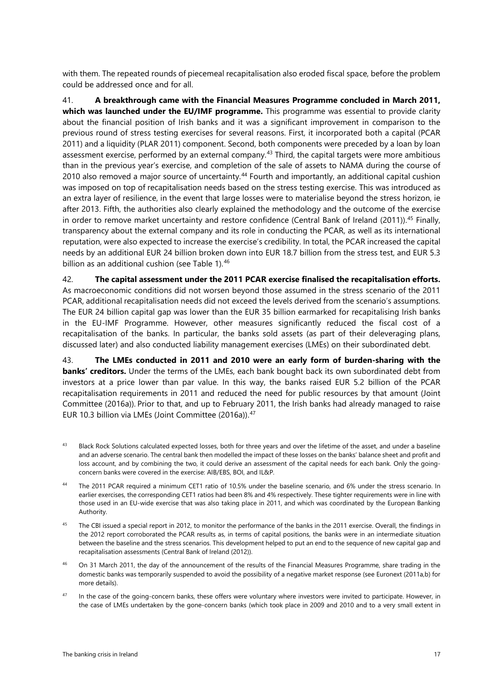with them. The repeated rounds of piecemeal recapitalisation also eroded fiscal space, before the problem could be addressed once and for all.

41. **A breakthrough came with the Financial Measures Programme concluded in March 2011, which was launched under the EU/IMF programme.** This programme was essential to provide clarity about the financial position of Irish banks and it was a significant improvement in comparison to the previous round of stress testing exercises for several reasons. First, it incorporated both a capital (PCAR 2011) and a liquidity (PLAR 2011) component. Second, both components were preceded by a loan by loan assessment exercise, performed by an external company.<sup>[43](#page-19-0)</sup> Third, the capital targets were more ambitious than in the previous year's exercise, and completion of the sale of assets to NAMA during the course of 2010 also removed a major source of uncertainty. [44](#page-19-1) Fourth and importantly, an additional capital cushion was imposed on top of recapitalisation needs based on the stress testing exercise. This was introduced as an extra layer of resilience, in the event that large losses were to materialise beyond the stress horizon, ie after 2013. Fifth, the authorities also clearly explained the methodology and the outcome of the exercise in order to remove market uncertainty and restore confidence (Central Bank of Ireland (2011)).<sup>[45](#page-19-2)</sup> Finally, transparency about the external company and its role in conducting the PCAR, as well as its international reputation, were also expected to increase the exercise's credibility. In total, the PCAR increased the capital needs by an additional EUR 24 billion broken down into EUR 18.7 billion from the stress test, and EUR 5.3 billion as an additional cushion (see Table 1).<sup>[46](#page-19-3)</sup>

42. **The capital assessment under the 2011 PCAR exercise finalised the recapitalisation efforts.** As macroeconomic conditions did not worsen beyond those assumed in the stress scenario of the 2011 PCAR, additional recapitalisation needs did not exceed the levels derived from the scenario's assumptions. The EUR 24 billion capital gap was lower than the EUR 35 billion earmarked for recapitalising Irish banks in the EU-IMF Programme. However, other measures significantly reduced the fiscal cost of a recapitalisation of the banks. In particular, the banks sold assets (as part of their deleveraging plans, discussed later) and also conducted liability management exercises (LMEs) on their subordinated debt.

43. **The LMEs conducted in 2011 and 2010 were an early form of burden-sharing with the banks' creditors.** Under the terms of the LMEs, each bank bought back its own subordinated debt from investors at a price lower than par value. In this way, the banks raised EUR 5.2 billion of the PCAR recapitalisation requirements in 2011 and reduced the need for public resources by that amount (Joint Committee (2016a)). Prior to that, and up to February 2011, the Irish banks had already managed to raise EUR 10.3 billion via LMEs (Joint Committee (2016a)).[47](#page-19-4)

- <span id="page-19-0"></span>43 Black Rock Solutions calculated expected losses, both for three years and over the lifetime of the asset, and under a baseline and an adverse scenario. The central bank then modelled the impact of these losses on the banks' balance sheet and profit and loss account, and by combining the two, it could derive an assessment of the capital needs for each bank. Only the goingconcern banks were covered in the exercise: AIB/EBS, BOI, and IL&P.
- <span id="page-19-1"></span><sup>44</sup> The 2011 PCAR required a minimum CET1 ratio of 10.5% under the baseline scenario, and 6% under the stress scenario. In earlier exercises, the corresponding CET1 ratios had been 8% and 4% respectively. These tighter requirements were in line with those used in an EU-wide exercise that was also taking place in 2011, and which was coordinated by the European Banking Authority.
- <span id="page-19-2"></span><sup>45</sup> The CBI issued a special report in 2012, to monitor the performance of the banks in the 2011 exercise. Overall, the findings in the 2012 report corroborated the PCAR results as, in terms of capital positions, the banks were in an intermediate situation between the baseline and the stress scenarios. This development helped to put an end to the sequence of new capital gap and recapitalisation assessments (Central Bank of Ireland (2012)).
- <span id="page-19-3"></span><sup>46</sup> On 31 March 2011, the day of the announcement of the results of the Financial Measures Programme, share trading in the domestic banks was temporarily suspended to avoid the possibility of a negative market response (see Euronext (2011a,b) for more details).
- <span id="page-19-4"></span>In the case of the going-concern banks, these offers were voluntary where investors were invited to participate. However, in the case of LMEs undertaken by the gone-concern banks (which took place in 2009 and 2010 and to a very small extent in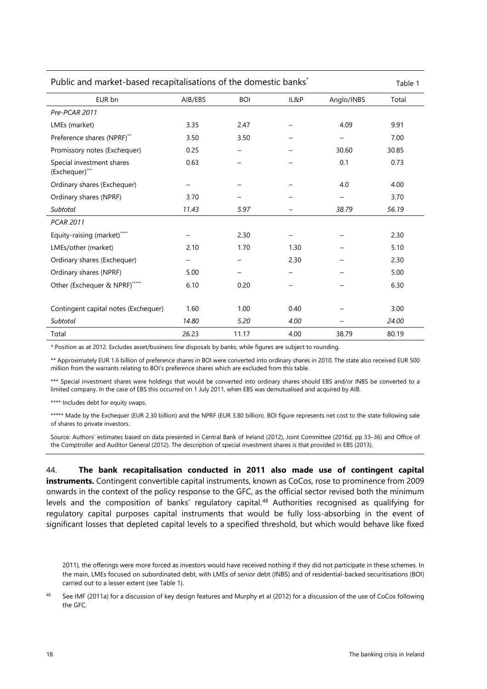| Public and market-based recapitalisations of the domestic banks <sup>*</sup> |         |            | Table 1 |            |       |
|------------------------------------------------------------------------------|---------|------------|---------|------------|-------|
| EUR bn                                                                       | AIB/EBS | <b>BOI</b> | IL&P    | Anglo/INBS | Total |
| Pre-PCAR 2011                                                                |         |            |         |            |       |
| LMEs (market)                                                                | 3.35    | 2.47       |         | 4.09       | 9.91  |
| Preference shares (NPRF)**                                                   | 3.50    | 3.50       |         | -          | 7.00  |
| Promissory notes (Exchequer)                                                 | 0.25    |            |         | 30.60      | 30.85 |
| Special investment shares<br>(Exchequer)***                                  | 0.63    |            |         | 0.1        | 0.73  |
| Ordinary shares (Exchequer)                                                  |         |            |         | 4.0        | 4.00  |
| Ordinary shares (NPRF)                                                       | 3.70    |            |         |            | 3.70  |
| Subtotal                                                                     | 11.43   | 5.97       |         | 38.79      | 56.19 |
| <b>PCAR 2011</b>                                                             |         |            |         |            |       |
| Equity-raising (market)****                                                  |         | 2.30       |         |            | 2.30  |
| LMEs/other (market)                                                          | 2.10    | 1.70       | 1.30    |            | 5.10  |
| Ordinary shares (Exchequer)                                                  |         |            | 2.30    |            | 2.30  |
| Ordinary shares (NPRF)                                                       | 5.00    |            | -       |            | 5.00  |
| Other (Exchequer & NPRF)*****                                                | 6.10    | 0.20       | —       |            | 6.30  |
|                                                                              |         |            |         |            |       |
| Contingent capital notes (Exchequer)                                         | 1.60    | 1.00       | 0.40    |            | 3.00  |
| Subtotal                                                                     | 14.80   | 5.20       | 4.00    |            | 24.00 |
| Total                                                                        | 26.23   | 11.17      | 4.00    | 38.79      | 80.19 |

\* Position as at 2012. Excludes asset/business line disposals by banks, while figures are subject to rounding.

\*\* Approximately EUR 1.6 billion of preference shares in BOI were converted into ordinary shares in 2010. The state also received EUR 500 million from the warrants relating to BOI's preference shares which are excluded from this table.

\*\*\* Special investment shares were holdings that would be converted into ordinary shares should EBS and/or INBS be converted to a limited company. In the case of EBS this occurred on 1 July 2011, when EBS was demutualised and acquired by AIB.

\*\*\*\* Includes debt for equity swaps.

\*\*\*\*\* Made by the Exchequer (EUR 2.30 billion) and the NPRF (EUR 3.80 billion). BOI figure represents net cost to the state following sale of shares to private investors.

Source: Authors' estimates based on data presented in Central Bank of Ireland (2012), Joint Committee (2016d, pp 33–36) and Office of the Comptroller and Auditor General (2012). The description of special investment shares is that provided in EBS (2013).

44. **The bank recapitalisation conducted in 2011 also made use of contingent capital instruments.** Contingent convertible capital instruments, known as CoCos, rose to prominence from 2009 onwards in the context of the policy response to the GFC, as the official sector revised both the minimum levels and the composition of banks' regulatory capital.<sup>[48](#page-20-0)</sup> Authorities recognised as qualifying for regulatory capital purposes capital instruments that would be fully loss-absorbing in the event of significant losses that depleted capital levels to a specified threshold, but which would behave like fixed

2011), the offerings were more forced as investors would have received nothing if they did not participate in these schemes. In the main, LMEs focused on subordinated debt, with LMEs of senior debt (INBS) and of residential-backed securitisations (BOI) carried out to a lesser extent (see Table 1).

<span id="page-20-0"></span>See IMF (2011a) for a discussion of key design features and Murphy et al (2012) for a discussion of the use of CoCos following the GFC.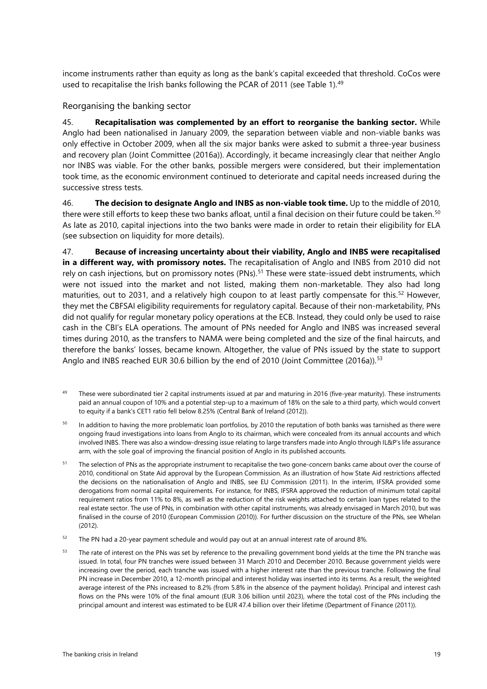income instruments rather than equity as long as the bank's capital exceeded that threshold. CoCos were used to recapitalise the Irish banks following the PCAR of 2011 (see Table 1). [49](#page-21-1)

#### <span id="page-21-0"></span>Reorganising the banking sector

45. **Recapitalisation was complemented by an effort to reorganise the banking sector.** While Anglo had been nationalised in January 2009, the separation between viable and non-viable banks was only effective in October 2009, when all the six major banks were asked to submit a three-year business and recovery plan (Joint Committee (2016a)). Accordingly, it became increasingly clear that neither Anglo nor INBS was viable. For the other banks, possible mergers were considered, but their implementation took time, as the economic environment continued to deteriorate and capital needs increased during the successive stress tests.

46. **The decision to designate Anglo and INBS as non-viable took time.** Up to the middle of 2010, there were still efforts to keep these two banks afloat, until a final decision on their future could be taken.<sup>[50](#page-21-2)</sup> As late as 2010, capital injections into the two banks were made in order to retain their eligibility for ELA (see subsection on liquidity for more details).

47. **Because of increasing uncertainty about their viability, Anglo and INBS were recapitalised in a different way, with promissory notes.** The recapitalisation of Anglo and INBS from 2010 did not rely on cash injections, but on promissory notes (PNs). [51](#page-21-3) These were state-issued debt instruments, which were not issued into the market and not listed, making them non-marketable. They also had long maturities, out to 2031, and a relatively high coupon to at least partly compensate for this.<sup>[52](#page-21-4)</sup> However, they met the CBFSAI eligibility requirements for regulatory capital. Because of their non-marketability, PNs did not qualify for regular monetary policy operations at the ECB. Instead, they could only be used to raise cash in the CBI's ELA operations. The amount of PNs needed for Anglo and INBS was increased several times during 2010, as the transfers to NAMA were being completed and the size of the final haircuts, and therefore the banks' losses, became known. Altogether, the value of PNs issued by the state to support Anglo and INBS reached EUR 30.6 billion by the end of 2010 (Joint Committee (2016a)).<sup>[53](#page-21-5)</sup>

- <span id="page-21-1"></span>49 These were subordinated tier 2 capital instruments issued at par and maturing in 2016 (five-year maturity). These instruments paid an annual coupon of 10% and a potential step-up to a maximum of 18% on the sale to a third party, which would convert to equity if a bank's CET1 ratio fell below 8.25% (Central Bank of Ireland (2012)).
- <span id="page-21-2"></span><sup>50</sup> In addition to having the more problematic loan portfolios, by 2010 the reputation of both banks was tarnished as there were ongoing fraud investigations into loans from Anglo to its chairman, which were concealed from its annual accounts and which involved INBS. There was also a window-dressing issue relating to large transfers made into Anglo through IL&P's life assurance arm, with the sole goal of improving the financial position of Anglo in its published accounts.
- <span id="page-21-3"></span><sup>51</sup> The selection of PNs as the appropriate instrument to recapitalise the two gone-concern banks came about over the course of 2010, conditional on State Aid approval by the European Commission. As an illustration of how State Aid restrictions affected the decisions on the nationalisation of Anglo and INBS, see EU Commission (2011). In the interim, IFSRA provided some derogations from normal capital requirements. For instance, for INBS, IFSRA approved the reduction of minimum total capital requirement ratios from 11% to 8%, as well as the reduction of the risk weights attached to certain loan types related to the real estate sector. The use of PNs, in combination with other capital instruments, was already envisaged in March 2010, but was finalised in the course of 2010 (European Commission (2010)). For further discussion on the structure of the PNs, see Whelan (2012).
- <span id="page-21-4"></span><sup>52</sup> The PN had a 20-year payment schedule and would pay out at an annual interest rate of around 8%.
- <span id="page-21-5"></span><sup>53</sup> The rate of interest on the PNs was set by reference to the prevailing government bond yields at the time the PN tranche was issued. In total, four PN tranches were issued between 31 March 2010 and December 2010. Because government yields were increasing over the period, each tranche was issued with a higher interest rate than the previous tranche. Following the final PN increase in December 2010, a 12-month principal and interest holiday was inserted into its terms. As a result, the weighted average interest of the PNs increased to 8.2% (from 5.8% in the absence of the payment holiday). Principal and interest cash flows on the PNs were 10% of the final amount (EUR 3.06 billion until 2023), where the total cost of the PNs including the principal amount and interest was estimated to be EUR 47.4 billion over their lifetime (Department of Finance (2011)).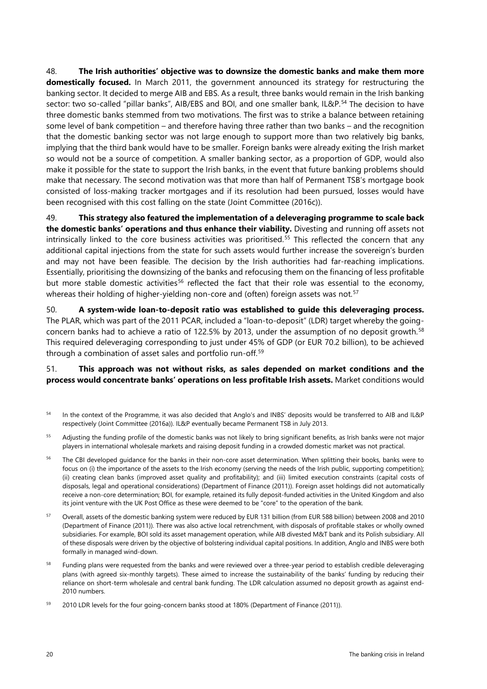48. **The Irish authorities' objective was to downsize the domestic banks and make them more domestically focused.** In March 2011, the government announced its strategy for restructuring the banking sector. It decided to merge AIB and EBS. As a result, three banks would remain in the Irish banking sector: two so-called "pillar banks", AIB/EBS and BOI, and one smaller bank, IL&P.<sup>[54](#page-22-0)</sup> The decision to have three domestic banks stemmed from two motivations. The first was to strike a balance between retaining some level of bank competition – and therefore having three rather than two banks – and the recognition that the domestic banking sector was not large enough to support more than two relatively big banks, implying that the third bank would have to be smaller. Foreign banks were already exiting the Irish market so would not be a source of competition. A smaller banking sector, as a proportion of GDP, would also make it possible for the state to support the Irish banks, in the event that future banking problems should make that necessary. The second motivation was that more than half of Permanent TSB's mortgage book consisted of loss-making tracker mortgages and if its resolution had been pursued, losses would have been recognised with this cost falling on the state (Joint Committee (2016c)).

49. **This strategy also featured the implementation of a deleveraging programme to scale back the domestic banks' operations and thus enhance their viability.** Divesting and running off assets not intrinsically linked to the core business activities was prioritised.<sup>[55](#page-22-1)</sup> This reflected the concern that any additional capital injections from the state for such assets would further increase the sovereign's burden and may not have been feasible. The decision by the Irish authorities had far-reaching implications. Essentially, prioritising the downsizing of the banks and refocusing them on the financing of less profitable but more stable domestic activities<sup>[56](#page-22-2)</sup> reflected the fact that their role was essential to the economy, whereas their holding of higher-yielding non-core and (often) foreign assets was not.<sup>[57](#page-22-3)</sup>

50. **A system-wide loan-to-deposit ratio was established to guide this deleveraging process.** The PLAR, which was part of the 2011 PCAR, included a "loan-to-deposit" (LDR) target whereby the goingconcern banks had to achieve a ratio of 122.5% by 2013, under the assumption of no deposit growth.[58](#page-22-4) This required deleveraging corresponding to just under 45% of GDP (or EUR 70.2 billion), to be achieved through a combination of asset sales and portfolio run-off.<sup>[59](#page-22-5)</sup>

#### 51. **This approach was not without risks, as sales depended on market conditions and the process would concentrate banks' operations on less profitable Irish assets.** Market conditions would

- <span id="page-22-0"></span><sup>54</sup> In the context of the Programme, it was also decided that Anglo's and INBS' deposits would be transferred to AIB and IL&P respectively (Joint Committee (2016a)). IL&P eventually became Permanent TSB in July 2013.
- <span id="page-22-1"></span><sup>55</sup> Adjusting the funding profile of the domestic banks was not likely to bring significant benefits, as Irish banks were not major players in international wholesale markets and raising deposit funding in a crowded domestic market was not practical.
- <span id="page-22-2"></span><sup>56</sup> The CBI developed guidance for the banks in their non-core asset determination. When splitting their books, banks were to focus on (i) the importance of the assets to the Irish economy (serving the needs of the Irish public, supporting competition); (ii) creating clean banks (improved asset quality and profitability); and (iii) limited execution constraints (capital costs of disposals, legal and operational considerations) (Department of Finance (2011)). Foreign asset holdings did not automatically receive a non-core determination; BOI, for example, retained its fully deposit-funded activities in the United Kingdom and also its joint venture with the UK Post Office as these were deemed to be "core" to the operation of the bank.
- <span id="page-22-3"></span><sup>57</sup> Overall, assets of the domestic banking system were reduced by EUR 131 billion (from EUR 588 billion) between 2008 and 2010 (Department of Finance (2011)). There was also active local retrenchment, with disposals of profitable stakes or wholly owned subsidiaries. For example, BOI sold its asset management operation, while AIB divested M&T bank and its Polish subsidiary. All of these disposals were driven by the objective of bolstering individual capital positions. In addition, Anglo and INBS were both formally in managed wind-down.
- <span id="page-22-4"></span><sup>58</sup> Funding plans were requested from the banks and were reviewed over a three-year period to establish credible deleveraging plans (with agreed six-monthly targets). These aimed to increase the sustainability of the banks' funding by reducing their reliance on short-term wholesale and central bank funding. The LDR calculation assumed no deposit growth as against end-2010 numbers.
- <span id="page-22-5"></span><sup>59</sup> 2010 LDR levels for the four going-concern banks stood at 180% (Department of Finance (2011)).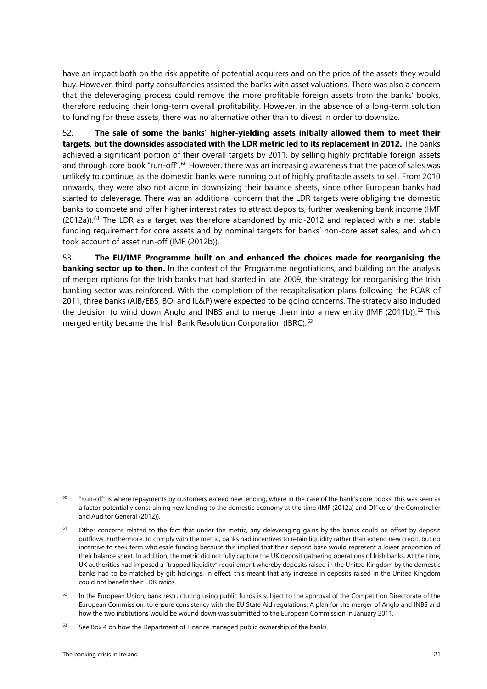have an impact both on the risk appetite of potential acquirers and on the price of the assets they would buy. However, third-party consultancies assisted the banks with asset valuations. There was also a concern that the deleveraging process could remove the more profitable foreign assets from the banks' books, therefore reducing their long-term overall profitability. However, in the absence of a long-term solution to funding for these assets, there was no alternative other than to divest in order to downsize.

52. **The sale of some the banks' higher-yielding assets initially allowed them to meet their targets, but the downsides associated with the LDR metric led to its replacement in 2012.** The banks achieved a significant portion of their overall targets by 2011, by selling highly profitable foreign assets and through core book "run-off".<sup>[60](#page-23-0)</sup> However, there was an increasing awareness that the pace of sales was <sub>.</sub> unlikely to continue, as the domestic banks were running out of highly profitable assets to sell. From 2010 onwards, they were also not alone in downsizing their balance sheets, since other European banks had started to deleverage. There was an additional concern that the LDR targets were obliging the domestic banks to compete and offer higher interest rates to attract deposits, further weakening bank income (IMF  $(2012a)$ ).<sup>[61](#page-23-1)</sup> The LDR as a target was therefore abandoned by mid-2012 and replaced with a net stable funding requirement for core assets and by nominal targets for banks' non-core asset sales, and which took account of asset run-off (IMF (2012b)).

53. **The EU/IMF Programme built on and enhanced the choices made for reorganising the banking sector up to then.** In the context of the Programme negotiations, and building on the analysis of merger options for the Irish banks that had started in late 2009, the strategy for reorganising the Irish banking sector was reinforced. With the completion of the recapitalisation plans following the PCAR of 2011, three banks (AIB/EBS, BOI and IL&P) were expected to be going concerns. The strategy also included the decision to wind down Anglo and INBS and to merge them into a new entity (IMF (2011b)).<sup>[62](#page-23-2)</sup> This merged entity became the Irish Bank Resolution Corporation (IBRC).<sup>[63](#page-23-3)</sup>

<span id="page-23-0"></span> $60$  "Run-off" is where repayments by customers exceed new lending, where in the case of the bank's core books, this was seen as a factor potentially constraining new lending to the domestic economy at the time (IMF (2012a) and Office of the Comptroller and Auditor General (2012)).

<span id="page-23-1"></span>Other concerns related to the fact that under the metric, any deleveraging gains by the banks could be offset by deposit outflows. Furthermore, to comply with the metric, banks had incentives to retain liquidity rather than extend new credit, but no incentive to seek term wholesale funding because this implied that their deposit base would represent a lower proportion of their balance sheet. In addition, the metric did not fully capture the UK deposit gathering operations of Irish banks. At the time, UK authorities had imposed a "trapped liquidity" requirement whereby deposits raised in the United Kingdom by the domestic banks had to be matched by gilt holdings. In effect, this meant that any increase in deposits raised in the United Kingdom could not benefit their LDR ratios.

<span id="page-23-2"></span> $62$  In the European Union, bank restructuring using public funds is subject to the approval of the Competition Directorate of the European Commission, to ensure consistency with the EU State Aid regulations. A plan for the merger of Anglo and INBS and how the two institutions would be wound down was submitted to the European Commission in January 2011.

<span id="page-23-3"></span> $63$  See Box 4 on how the Department of Finance managed public ownership of the banks.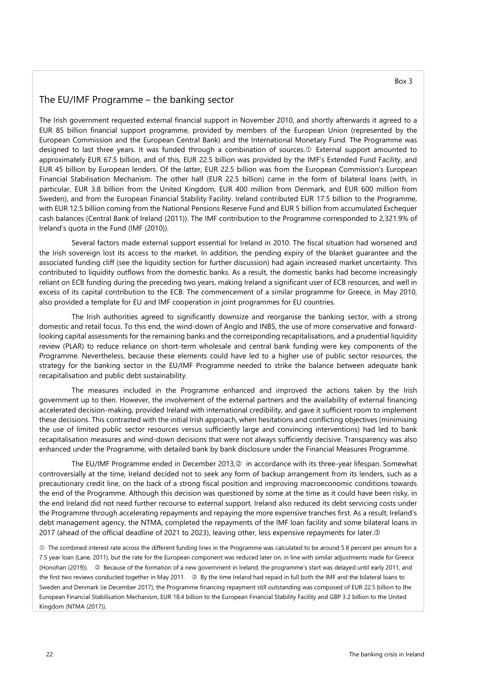#### The EU/IMF Programme – the banking sector

The Irish government requested external financial support in November 2010, and shortly afterwards it agreed to a EUR 85 billion financial support programme, provided by members of the European Union (represented by the European Commission and the European Central Bank) and the International Monetary Fund. The Programme was designed to last three years. It was funded through a combination of sources. External support amounted to approximately EUR 67.5 billion, and of this, EUR 22.5 billion was provided by the IMF's Extended Fund Facility, and EUR 45 billion by European lenders. Of the latter, EUR 22.5 billion was from the European Commission's European Financial Stabilisation Mechanism. The other half (EUR 22.5 billion) came in the form of bilateral loans (with, in particular, EUR 3.8 billion from the United Kingdom, EUR 400 million from Denmark, and EUR 600 million from Sweden), and from the European Financial Stability Facility. Ireland contributed EUR 17.5 billion to the Programme, with EUR 12.5 billion coming from the National Pensions Reserve Fund and EUR 5 billion from accumulated Exchequer cash balances (Central Bank of [Ireland \(2011](https://www.centralbank.ie/docs/default-source/publications/financial-measures-programme/the-financial-measures-programme-report.pdf?sfvrsn=2))). The IMF contribution to the Programme corresponded to 2,321.9% of Ireland's quota in the Fund [\(IMF \(2010\)](http://www.imf.org/external/pubs/ft/scr/2010/cr10366.pdf)).

Several factors made external support essential for Ireland in 2010. The fiscal situation had worsened and the Irish sovereign lost its access to the market. In addition, the pending expiry of the blanket guarantee and the associated funding cliff (see the liquidity section for further discussion) had again increased market uncertainty. This contributed to liquidity outflows from the domestic banks. As a result, the domestic banks had become increasingly reliant on ECB funding during the preceding two years, making Ireland a significant user of ECB resources, and well in excess of its capital contribution to the ECB. The commencement of a similar programme for Greece, in May 2010, also provided a template for EU and IMF cooperation in joint programmes for EU countries.

The Irish authorities agreed to significantly downsize and reorganise the banking sector, with a strong domestic and retail focus. To this end, the wind-down of Anglo and INBS, the use of more conservative and forwardlooking capital assessments for the remaining banks and the corresponding recapitalisations, and a prudential liquidity review (PLAR) to reduce reliance on short-term wholesale and central bank funding were key components of the Programme. Nevertheless, because these elements could have led to a higher use of public sector resources, the strategy for the banking sector in the EU/IMF Programme needed to strike the balance between adequate bank recapitalisation and public debt sustainability.

The measures included in the Programme enhanced and improved the actions taken by the Irish government up to then. However, the involvement of the external partners and the availability of external financing accelerated decision-making, provided Ireland with international credibility, and gave it sufficient room to implement these decisions. This contrasted with the initial Irish approach, when hesitations and conflicting objectives (minimising the use of limited public sector resources versus sufficiently large and convincing interventions) had led to bank recapitalisation measures and wind-down decisions that were not always sufficiently decisive. Transparency was also enhanced under the Programme, with detailed bank by bank disclosure under the Financial Measures Programme.

The EU/IMF Programme ended in December 2013, @ in accordance with its three-year lifespan. Somewhat controversially at the time, Ireland decided not to seek any form of backup arrangement from its lenders, such as a precautionary credit line, on the back of a strong fiscal position and improving macroeconomic conditions towards the end of the Programme. Although this decision was questioned by some at the time as it could have been risky, in the end Ireland did not need further recourse to external support. Ireland also reduced its debt servicing costs under the Programme through accelerating repayments and repaying the more expensive tranches first. As a result, Ireland's debt management agency, the NTMA, completed the repayments of the IMF loan facility and some bilateral loans in 2017 (ahead of the official deadline of 2021 to 2023), leaving other, less expensive repayments for later.<sup>3</sup>

 The combined interest rate across the different funding lines in the Programme was calculated to be around 5.8 percent per annum for a 7.5 year loan [\(Lane, 2011\)](https://www.tcd.ie/triss/assets/PDFs/iiis/iiisdp356.pdf), but the rate for the European component was reduced later on, in line with similar adjustments made for Greece (Honohan (2019)).  $\oslash$  Because of the formation of a new government in Ireland, the programme's start was delayed until early 2011, and the first two reviews conducted together in May 2011.  $\circledast$  By the time Ireland had repaid in full both the IMF and the bilateral loans to Sweden and Denmark (ie December 2017), the Programme financing repayment still outstanding was composed of EUR 22.5 billion to the European Financial Stabilisation Mechanism, EUR 18.4 billion to the European Financial Stability Facility and GBP 3.2 billion to the United Kingdom (NTMA ([2017\)](https://www.ntma.ie/news/ntma-completes-further-5-5-billion-early-repayment-of-eu-imf-programme-loans)).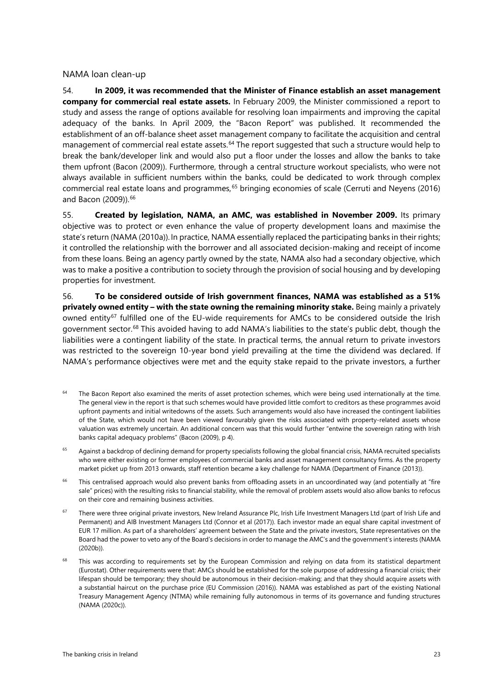#### <span id="page-25-0"></span>NAMA loan clean-up

54. **In 2009, it was recommended that the Minister of Finance establish an asset management company for commercial real estate assets.** In February 2009, the Minister commissioned a report to study and assess the range of options available for resolving loan impairments and improving the capital adequacy of the banks. In April 2009, the "Bacon Report" was published. It recommended the establishment of an off-balance sheet asset management company to facilitate the acquisition and central management of commercial real estate assets. [64](#page-25-1) The report suggested that such a structure would help to break the bank/developer link and would also put a floor under the losses and allow the banks to take them upfront (Bacon (2009)). Furthermore, through a central structure workout specialists, who were not always available in sufficient numbers within the banks, could be dedicated to work through complex commercial real estate loans and programmes, [65](#page-25-2) bringing economies of scale (Cerruti and Neyens (2016) and Bacon (2009)). [66](#page-25-3)

55. **Created by legislation, NAMA, an AMC, was established in November 2009.** Its primary objective was to protect or even enhance the value of property development loans and maximise the state's return (NAMA (2010a)). In practice, NAMA essentially replaced the participating banks in their rights; it controlled the relationship with the borrower and all associated decision-making and receipt of income from these loans. Being an agency partly owned by the state, NAMA also had a secondary objective, which was to make a positive a contribution to society through the provision of social housing and by developing properties for investment.

56. **To be considered outside of Irish government finances, NAMA was established as a 51% privately owned entity – with the state owning the remaining minority stake.** Being mainly a privately owned entity<sup>[67](#page-25-4)</sup> fulfilled one of the EU-wide requirements for AMCs to be considered outside the Irish government sector.<sup>[68](#page-25-5)</sup> This avoided having to add NAMA's liabilities to the state's public debt, though the liabilities were a contingent liability of the state. In practical terms, the annual return to private investors was restricted to the sovereign 10-year bond yield prevailing at the time the dividend was declared. If NAMA's performance objectives were met and the equity stake repaid to the private investors, a further

- <span id="page-25-1"></span><sup>64</sup> The Bacon Report also examined the merits of asset protection schemes, which were being used internationally at the time. The general view in the report is that such schemes would have provided little comfort to creditors as these programmes avoid upfront payments and initial writedowns of the assets. Such arrangements would also have increased the contingent liabilities of the State, which would not have been viewed favourably given the risks associated with property-related assets whose valuation was extremely uncertain. An additional concern was that this would further "entwine the sovereign rating with Irish banks capital adequacy problems" (Bacon (2009), p 4).
- <span id="page-25-2"></span><sup>65</sup> Against a backdrop of declining demand for property specialists following the global financial crisis, NAMA recruited specialists who were either existing or former employees of commercial banks and asset management consultancy firms. As the property market picket up from 2013 onwards, staff retention became a key challenge for NAMA (Department of Finance (2013)).
- <span id="page-25-3"></span><sup>66</sup> This centralised approach would also prevent banks from offloading assets in an uncoordinated way (and potentially at "fire sale" prices) with the resulting risks to financial stability, while the removal of problem assets would also allow banks to refocus on their core and remaining business activities.
- <span id="page-25-4"></span><sup>67</sup> There were three original private investors, New Ireland Assurance Plc, Irish Life Investment Managers Ltd (part of Irish Life and Permanent) and AIB Investment Managers Ltd (Connor et al (2017)). Each investor made an equal share capital investment of EUR 17 million. As part of a shareholders' agreement between the State and the private investors, State representatives on the Board had the power to veto any of the Board's decisions in order to manage the AMC's and the government's interests (NAMA (2020b)).
- <span id="page-25-5"></span><sup>68</sup> This was according to requirements set by the European Commission and relying on data from its statistical department (Eurostat). Other requirements were that: AMCs should be established for the sole purpose of addressing a financial crisis; their lifespan should be temporary; they should be autonomous in their decision-making; and that they should acquire assets with a substantial haircut on the purchase price (EU Commission (2016)). NAMA was established as part of the existing National Treasury Management Agency (NTMA) while remaining fully autonomous in terms of its governance and funding structures (NAMA (2020c)).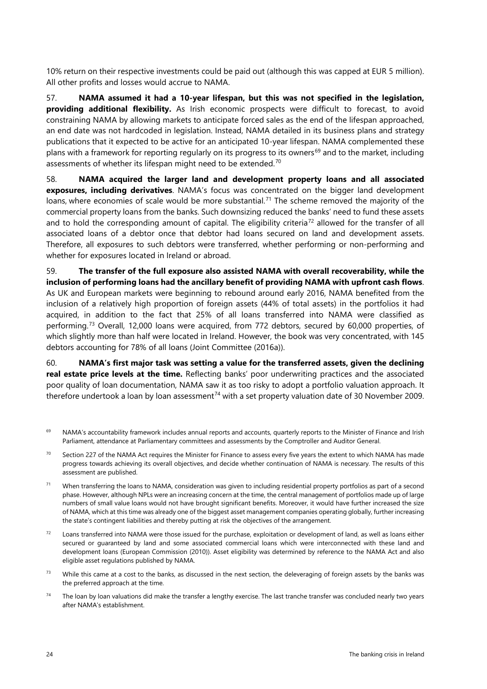10% return on their respective investments could be paid out (although this was capped at EUR 5 million). All other profits and losses would accrue to NAMA.

57. **NAMA assumed it had a 10-year lifespan, but this was not specified in the legislation, providing additional flexibility.** As Irish economic prospects were difficult to forecast, to avoid constraining NAMA by allowing markets to anticipate forced sales as the end of the lifespan approached, an end date was not hardcoded in legislation. Instead, NAMA detailed in its business plans and strategy publications that it expected to be active for an anticipated 10-year lifespan. NAMA complemented these plans with a framework for reporting regularly on its progress to its owners<sup>[69](#page-26-0)</sup> and to the market, including assessments of whether its lifespan might need to be extended.<sup>[70](#page-26-1)</sup>

58. **NAMA acquired the larger land and development property loans and all associated exposures, including derivatives**. NAMA's focus was concentrated on the bigger land development loans, where economies of scale would be more substantial.<sup>[71](#page-26-2)</sup> The scheme removed the majority of the commercial property loans from the banks. Such downsizing reduced the banks' need to fund these assets and to hold the corresponding amount of capital. The eligibility criteria<sup>[72](#page-26-3)</sup> allowed for the transfer of all associated loans of a debtor once that debtor had loans secured on land and development assets. Therefore, all exposures to such debtors were transferred, whether performing or non-performing and whether for exposures located in Ireland or abroad.

#### 59. **The transfer of the full exposure also assisted NAMA with overall recoverability, while the inclusion of performing loans had the ancillary benefit of providing NAMA with upfront cash flows**.

As UK and European markets were beginning to rebound around early 2016, NAMA benefited from the inclusion of a relatively high proportion of foreign assets (44% of total assets) in the portfolios it had acquired, in addition to the fact that 25% of all loans transferred into NAMA were classified as performing.[73](#page-26-4) Overall, 12,000 loans were acquired, from 772 debtors, secured by 60,000 properties, of which slightly more than half were located in Ireland. However, the book was very concentrated, with 145 debtors accounting for 78% of all loans (Joint Committee (2016a)).

60. **NAMA's first major task was setting a value for the transferred assets, given the declining real estate price levels at the time.** Reflecting banks' poor underwriting practices and the associated poor quality of loan documentation, NAMA saw it as too risky to adopt a portfolio valuation approach. It therefore undertook a loan by loan assessment<sup>[74](#page-26-5)</sup> with a set property valuation date of 30 November 2009.

- <span id="page-26-0"></span><sup>69</sup> NAMA's accountability framework includes annual reports and accounts, quarterly reports to the Minister of Finance and Irish Parliament, attendance at Parliamentary committees and assessments by the Comptroller and Auditor General.
- <span id="page-26-1"></span> $70$  Section 227 of the NAMA Act requires the Minister for Finance to assess every five years the extent to which NAMA has made progress towards achieving its overall objectives, and decide whether continuation of NAMA is necessary. The results of this assessment are published.
- <span id="page-26-2"></span> $71$  When transferring the loans to NAMA, consideration was given to including residential property portfolios as part of a second phase. However, although NPLs were an increasing concern at the time, the central management of portfolios made up of large numbers of small value loans would not have brought significant benefits. Moreover, it would have further increased the size of NAMA, which at this time was already one of the biggest asset management companies operating globally, further increasing the state's contingent liabilities and thereby putting at risk the objectives of the arrangement.
- <span id="page-26-3"></span> $72$  Loans transferred into NAMA were those issued for the purchase, exploitation or development of land, as well as loans either secured or guaranteed by land and some associated commercial loans which were interconnected with these land and development loans (European Commission (2010)). Asset eligibility was determined by reference to the NAMA Act and also eligible asset regulations published by NAMA.
- <span id="page-26-4"></span> $73$  While this came at a cost to the banks, as discussed in the next section, the deleveraging of foreign assets by the banks was the preferred approach at the time.
- <span id="page-26-5"></span> $74$  The loan by loan valuations did make the transfer a lengthy exercise. The last tranche transfer was concluded nearly two years after NAMA's establishment.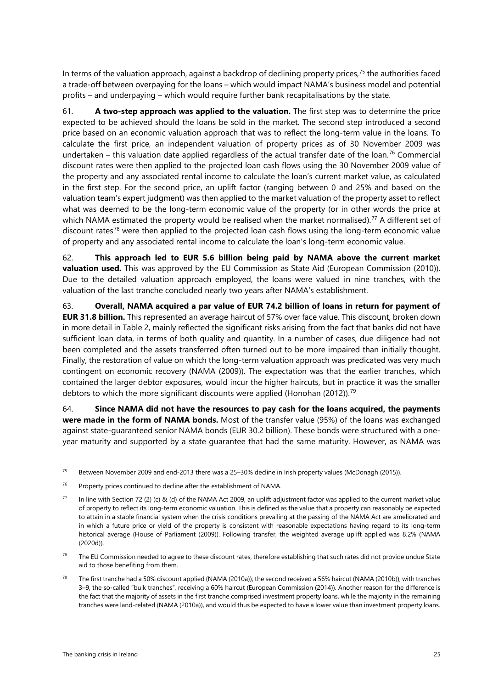In terms of the valuation approach, against a backdrop of declining property prices, [75](#page-27-0) the authorities faced a trade-off between overpaying for the loans – which would impact NAMA's business model and potential profits – and underpaying – which would require further bank recapitalisations by the state.

61. **A two-step approach was applied to the valuation.** The first step was to determine the price expected to be achieved should the loans be sold in the market. The second step introduced a second price based on an economic valuation approach that was to reflect the long-term value in the loans. To calculate the first price, an independent valuation of property prices as of 30 November 2009 was undertaken – this valuation date applied regardless of the actual transfer date of the loan. [76](#page-27-1) Commercial discount rates were then applied to the projected loan cash flows using the 30 November 2009 value of the property and any associated rental income to calculate the loan's current market value, as calculated in the first step. For the second price, an uplift factor (ranging between 0 and 25% and based on the valuation team's expert judgment) was then applied to the market valuation of the property asset to reflect what was deemed to be the long-term economic value of the property (or in other words the price at which NAMA estimated the property would be realised when the market normalised). [77](#page-27-2) A different set of discount rates<sup>[78](#page-27-3)</sup> were then applied to the projected loan cash flows using the long-term economic value of property and any associated rental income to calculate the loan's long-term economic value.

62. **This approach led to EUR 5.6 billion being paid by NAMA above the current market valuation used.** This was approved by the EU Commission as State Aid (European Commission (2010)). Due to the detailed valuation approach employed, the loans were valued in nine tranches, with the valuation of the last tranche concluded nearly two years after NAMA's establishment.

63. **Overall, NAMA acquired a par value of EUR 74.2 billion of loans in return for payment of EUR 31.8 billion.** This represented an average haircut of 57% over face value. This discount, broken down in more detail in Table 2, mainly reflected the significant risks arising from the fact that banks did not have sufficient loan data, in terms of both quality and quantity. In a number of cases, due diligence had not been completed and the assets transferred often turned out to be more impaired than initially thought. Finally, the restoration of value on which the long-term valuation approach was predicated was very much contingent on economic recovery (NAMA (2009)). The expectation was that the earlier tranches, which contained the larger debtor exposures, would incur the higher haircuts, but in practice it was the smaller debtors to which the more significant discounts were applied (Honohan (2012)).<sup>[79](#page-27-4)</sup>

64. **Since NAMA did not have the resources to pay cash for the loans acquired, the payments were made in the form of NAMA bonds.** Most of the transfer value (95%) of the loans was exchanged against state-guaranteed senior NAMA bonds (EUR 30.2 billion). These bonds were structured with a oneyear maturity and supported by a state guarantee that had the same maturity. However, as NAMA was

- <span id="page-27-0"></span><sup>75</sup> Between November 2009 and end-2013 there was a 25–30% decline in Irish property values (McDonagh (2015)).
- <span id="page-27-1"></span><sup>76</sup> Property prices continued to decline after the establishment of NAMA.
- <span id="page-27-2"></span> $77$  In line with Section 72 (2) (c) & (d) of the NAMA Act 2009, an uplift adjustment factor was applied to the current market value of property to reflect its long-term economic valuation. This is defined as the value that a property can reasonably be expected to attain in a stable financial system when the crisis conditions prevailing at the passing of the NAMA Act are ameliorated and in which a future price or yield of the property is consistent with reasonable expectations having regard to its long-term historical average (House of Parliament (2009)). Following transfer, the weighted average uplift applied was 8.2% (NAMA (2020d)).
- <span id="page-27-3"></span> $78$  The EU Commission needed to agree to these discount rates, therefore establishing that such rates did not provide undue State aid to those benefiting from them.
- <span id="page-27-4"></span><sup>79</sup> The first tranche had a 50% discount applied (NAMA (2010a)); the second received a 56% haircut (NAMA (2010b)), with tranches 3–9, the so-called "bulk tranches", receiving a 60% haircut (European Commission (2014)). Another reason for the difference is the fact that the majority of assets in the first tranche comprised investment property loans, while the majority in the remaining tranches were land-related (NAMA (2010a)), and would thus be expected to have a lower value than investment property loans.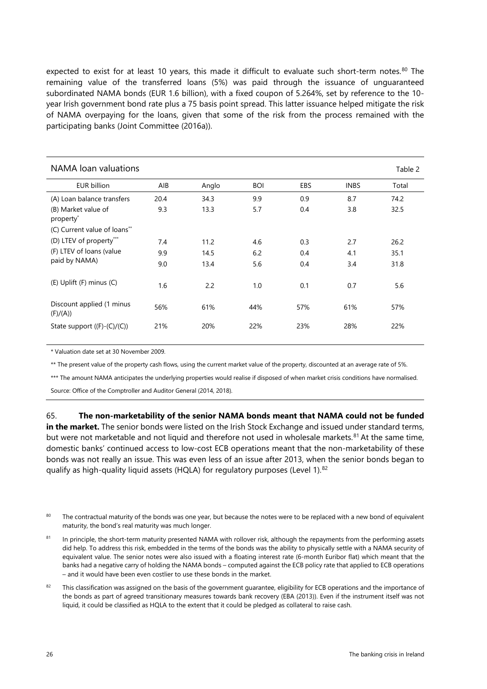expected to exist for at least 10 years, this made it difficult to evaluate such short-term notes.<sup>[80](#page-28-0)</sup> The remaining value of the transferred loans (5%) was paid through the issuance of unguaranteed subordinated NAMA bonds (EUR 1.6 billion), with a fixed coupon of 5.264%, set by reference to the 10 year Irish government bond rate plus a 75 basis point spread. This latter issuance helped mitigate the risk of NAMA overpaying for the loans, given that some of the risk from the process remained with the participating banks (Joint Committee (2016a)).

| NAMA loan valuations                         |      |       |            |     |             | Table 2 |
|----------------------------------------------|------|-------|------------|-----|-------------|---------|
| <b>EUR billion</b>                           | AIB  | Anglo | <b>BOI</b> | EBS | <b>INBS</b> | Total   |
| (A) Loan balance transfers                   | 20.4 | 34.3  | 9.9        | 0.9 | 8.7         | 74.2    |
| (B) Market value of<br>property <sup>*</sup> | 9.3  | 13.3  | 5.7        | 0.4 | 3.8         | 32.5    |
| (C) Current value of loans**                 |      |       |            |     |             |         |
| (D) LTEV of property***                      | 7.4  | 11.2  | 4.6        | 0.3 | 2.7         | 26.2    |
| (F) LTEV of loans (value                     | 9.9  | 14.5  | 6.2        | 0.4 | 4.1         | 35.1    |
| paid by NAMA)                                | 9.0  | 13.4  | 5.6        | 0.4 | 3.4         | 31.8    |
| (E) Uplift (F) minus (C)                     | 1.6  | 2.2   | 1.0        | 0.1 | 0.7         | 5.6     |
| Discount applied (1 minus<br>(F)/(A))        | 56%  | 61%   | 44%        | 57% | 61%         | 57%     |
| State support $((F)-(C)/(C))$                | 21%  | 20%   | 22%        | 23% | 28%         | 22%     |

\* Valuation date set at 30 November 2009.

\*\* The present value of the property cash flows, using the current market value of the property, discounted at an average rate of 5%.

\*\*\* The amount NAMA anticipates the underlying properties would realise if disposed of when market crisis conditions have normalised.

Source: Office of the Comptroller and Auditor General (2014, 2018).

#### 65. **The non-marketability of the senior NAMA bonds meant that NAMA could not be funded**

**in the market.** The senior bonds were listed on the Irish Stock Exchange and issued under standard terms, but were not marketable and not liquid and therefore not used in wholesale markets.<sup>[81](#page-28-1)</sup> At the same time, domestic banks' continued access to low-cost ECB operations meant that the non-marketability of these bonds was not really an issue. This was even less of an issue after 2013, when the senior bonds began to qualify as high-quality liquid assets (HQLA) for regulatory purposes (Level 1).<sup>[82](#page-28-2)</sup>

- <span id="page-28-0"></span><sup>80</sup> The contractual maturity of the bonds was one year, but because the notes were to be replaced with a new bond of equivalent maturity, the bond's real maturity was much longer.
- <span id="page-28-1"></span><sup>81</sup> In principle, the short-term maturity presented NAMA with rollover risk, although the repayments from the performing assets did help. To address this risk, embedded in the terms of the bonds was the ability to physically settle with a NAMA security of equivalent value. The senior notes were also issued with a floating interest rate (6-month Euribor flat) which meant that the banks had a negative carry of holding the NAMA bonds – computed against the ECB policy rate that applied to ECB operations – and it would have been even costlier to use these bonds in the market.
- <span id="page-28-2"></span><sup>82</sup> This classification was assigned on the basis of the government guarantee, eligibility for ECB operations and the importance of the bonds as part of agreed transitionary measures towards bank recovery (EBA (2013)). Even if the instrument itself was not liquid, it could be classified as HQLA to the extent that it could be pledged as collateral to raise cash.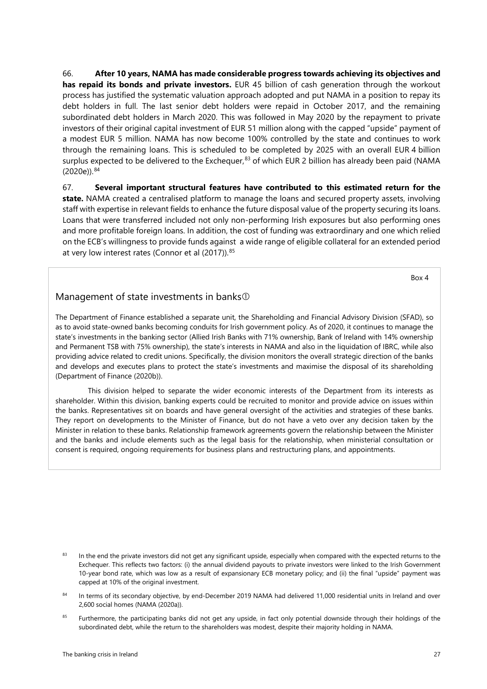66. **After 10 years, NAMA has made considerable progress towards achieving its objectives and has repaid its bonds and private investors.** EUR 45 billion of cash generation through the workout process has justified the systematic valuation approach adopted and put NAMA in a position to repay its debt holders in full. The last senior debt holders were repaid in October 2017, and the remaining subordinated debt holders in March 2020. This was followed in May 2020 by the repayment to private investors of their original capital investment of EUR 51 million along with the capped "upside" payment of a modest EUR 5 million. NAMA has now become 100% controlled by the state and continues to work through the remaining loans. This is scheduled to be completed by 2025 with an overall EUR 4 billion surplus expected to be delivered to the Exchequer,<sup>[83](#page-29-0)</sup> of which EUR 2 billion has already been paid (NAMA (2020e)). [84](#page-29-1)

67. **Several important structural features have contributed to this estimated return for the state.** NAMA created a centralised platform to manage the loans and secured property assets, involving staff with expertise in relevant fields to enhance the future disposal value of the property securing its loans. Loans that were transferred included not only non-performing Irish exposures but also performing ones and more profitable foreign loans. In addition, the cost of funding was extraordinary and one which relied on the ECB's willingness to provide funds against a wide range of eligible collateral for an extended period at very low interest rates (Connor et al (2017)).<sup>[85](#page-29-2)</sup>

Box 4

#### Management of state investments in banks

The Department of Finance established a separate unit, the Shareholding and Financial Advisory Division (SFAD), so as to avoid state-owned banks becoming conduits for Irish government policy. As of 2020, it continues to manage the state's investments in the banking sector (Allied Irish Banks with 71% ownership, Bank of Ireland with 14% ownership and Permanent TSB with 75% ownership), the state's interests in NAMA and also in the liquidation of IBRC, while also providing advice related to credit unions. Specifically, the division monitors the overall strategic direction of the banks and develops and executes plans to protect the state's investments and maximise the disposal of its shareholding (Department of Finance (2020b)).

This division helped to separate the wider economic interests of the Department from its interests as shareholder. Within this division, banking experts could be recruited to monitor and provide advice on issues within the banks. Representatives sit on boards and have general oversight of the activities and strategies of these banks. They report on developments to the Minister of Finance, but do not have a veto over any decision taken by the Minister in relation to these banks. Relationship framework agreements govern the relationship between the Minister and the banks and include elements such as the legal basis for the relationship, when ministerial consultation or consent is required, ongoing requirements for business plans and restructuring plans, and appointments.

<span id="page-29-2"></span><sup>85</sup> Furthermore, the participating banks did not get any upside, in fact only potential downside through their holdings of the subordinated debt, while the return to the shareholders was modest, despite their majority holding in NAMA.

<span id="page-29-0"></span><sup>83</sup> In the end the private investors did not get any significant upside, especially when compared with the expected returns to the Exchequer. This reflects two factors: (i) the annual dividend payouts to private investors were linked to the Irish Government 10-year bond rate, which was low as a result of expansionary ECB monetary policy; and (ii) the final "upside" payment was capped at 10% of the original investment.

<span id="page-29-1"></span><sup>84</sup> In terms of its secondary objective, by end-December 2019 NAMA had delivered 11,000 residential units in Ireland and over 2,600 social homes (NAMA (2020a)).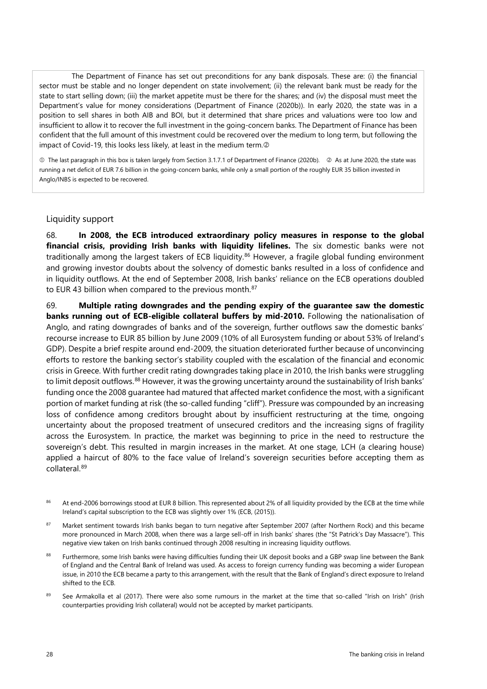The Department of Finance has set out preconditions for any bank disposals. These are: (i) the financial sector must be stable and no longer dependent on state involvement; (ii) the relevant bank must be ready for the state to start selling down; (iii) the market appetite must be there for the shares; and (iv) the disposal must meet the Department's value for money considerations (Department of Finance (2020b)). In early 2020, the state was in a position to sell shares in both AIB and BOI, but it determined that share prices and valuations were too low and insufficient to allow it to recover the full investment in the going-concern banks. The Department of Finance has been confident that the full amount of this investment could be recovered over the medium to long term, but following the impact of Covid-19, this looks less likely, at least in the medium term.

 $\odot$  The last paragraph in this box is taken largely from Section 3.1.7.1 of Department of Finance (2020b).  $\oslash$  As at June 2020, the state was running a net deficit of EUR 7.6 billion in the going-concern banks, while only a small portion of the roughly EUR 35 billion invested in Anglo/INBS is expected to be recovered.

#### <span id="page-30-0"></span>Liquidity support

68. **In 2008, the ECB introduced extraordinary policy measures in response to the global financial crisis, providing Irish banks with liquidity lifelines.** The six domestic banks were not traditionally among the largest takers of ECB liquidity. [86](#page-30-1) However, a fragile global funding environment and growing investor doubts about the solvency of domestic banks resulted in a loss of confidence and in liquidity outflows. At the end of September 2008, Irish banks' reliance on the ECB operations doubled to EUR 43 billion when compared to the previous month. [87](#page-30-2)

69. **Multiple rating downgrades and the pending expiry of the guarantee saw the domestic banks running out of ECB-eligible collateral buffers by mid-2010.** Following the nationalisation of Anglo, and rating downgrades of banks and of the sovereign, further outflows saw the domestic banks' recourse increase to EUR 85 billion by June 2009 (10% of all Eurosystem funding or about 53% of Ireland's GDP). Despite a brief respite around end-2009, the situation deteriorated further because of unconvincing efforts to restore the banking sector's stability coupled with the escalation of the financial and economic crisis in Greece. With further credit rating downgrades taking place in 2010, the Irish banks were struggling to limit deposit outflows.<sup>[88](#page-30-3)</sup> However, it was the growing uncertainty around the sustainability of Irish banks' funding once the 2008 guarantee had matured that affected market confidence the most, with a significant portion of market funding at risk (the so-called funding "cliff"). Pressure was compounded by an increasing loss of confidence among creditors brought about by insufficient restructuring at the time, ongoing uncertainty about the proposed treatment of unsecured creditors and the increasing signs of fragility across the Eurosystem. In practice, the market was beginning to price in the need to restructure the sovereign's debt. This resulted in margin increases in the market. At one stage, LCH (a clearing house) applied a haircut of 8[0%](https://www.reuters.com/article/lchclearnet-ireland/update-1-lch-clearnet-raises-margin-requirement-on-irish-bonds-idUSLDE72N0NN20110324) to the face value of Ireland's sovereign securities before accepting them as collateral. [89](#page-30-4)

- <span id="page-30-1"></span>86 At end-2006 borrowings stood at EUR 8 billion. This represented about 2% of all liquidity provided by the ECB at the time while Ireland's capital subscription to the ECB was slightly over 1% (ECB, (2015)).
- <span id="page-30-2"></span>87 Market sentiment towards Irish banks began to turn negative after September 2007 (after Northern Rock) and this became more pronounced in March 2008, when there was a large sell-off in Irish banks' shares (the "St Patrick's Day Massacre"). This negative view taken on Irish banks continued through 2008 resulting in increasing liquidity outflows.
- <span id="page-30-3"></span>88 Furthermore, some Irish banks were having difficulties funding their UK deposit books and a GBP swap line between the Bank of England and the Central Bank of Ireland was used. As access to foreign currency funding was becoming a wider European issue, in 2010 the ECB became a party to this arrangement, with the result that the Bank of England's direct exposure to Ireland shifted to the ECB.
- <span id="page-30-4"></span>See Armakolla et al (2017). There were also some rumours in the market at the time that so-called "Irish on Irish" (Irish counterparties providing Irish collateral) would not be accepted by market participants.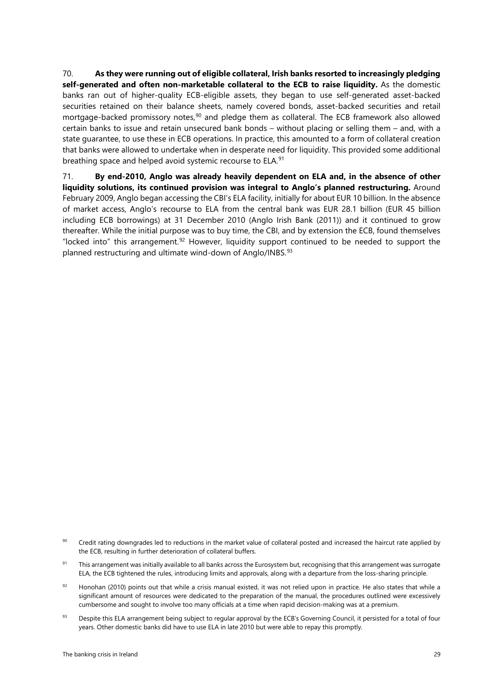70. **As they were running out of eligible collateral, Irish banks resorted to increasingly pledging self-generated and often non-marketable collateral to the ECB to raise liquidity.** As the domestic banks ran out of higher-quality ECB-eligible assets, they began to use self-generated asset-backed securities retained on their balance sheets, namely covered bonds, asset-backed securities and retail mortgage-backed promissory notes, [90](#page-31-0) and pledge them as collateral. The ECB framework also allowed certain banks to issue and retain unsecured bank bonds – without placing or selling them – and, with a state guarantee, to use these in ECB operations. In practice, this amounted to a form of collateral creation that banks were allowed to undertake when in desperate need for liquidity. This provided some additional breathing space and helped avoid systemic recourse to ELA. [91](#page-31-1)

71. **By end-2010, Anglo was already heavily dependent on ELA and, in the absence of other liquidity solutions, its continued provision was integral to Anglo's planned restructuring.** Around February 2009, Anglo began accessing the CBI's ELA facility, initially for about EUR 10 billion. In the absence of market access, Anglo's recourse to ELA from the central bank was EUR 28.1 billion (EUR 45 billion including ECB borrowings) at 31 December 2010 (Anglo Irish Bank (2011)) and it continued to grow thereafter. While the initial purpose was to buy time, the CBI, and by extension the ECB, found themselves "locked into" this arrangement.<sup>[92](#page-31-2)</sup> However, liquidity support continued to be needed to support the planned restructuring and ultimate wind-down of Anglo/INBS.<sup>[93](#page-31-3)</sup>

- <span id="page-31-0"></span>90 Credit rating downgrades led to reductions in the market value of collateral posted and increased the haircut rate applied by the ECB, resulting in further deterioration of collateral buffers.
- <span id="page-31-1"></span><sup>91</sup> This arrangement was initially available to all banks across the Eurosystem but, recognising that this arrangement was surrogate ELA, the ECB tightened the rules, introducing limits and approvals, along with a departure from the loss-sharing principle.
- <span id="page-31-2"></span> $92$  Honohan (2010) points out that while a crisis manual existed, it was not relied upon in practice. He also states that while a significant amount of resources were dedicated to the preparation of the manual, the procedures outlined were excessively cumbersome and sought to involve too many officials at a time when rapid decision-making was at a premium.
- <span id="page-31-3"></span>93 Despite this ELA arrangement being subject to regular approval by the ECB's Governing Council, it persisted for a total of four years. Other domestic banks did have to use ELA in late 2010 but were able to repay this promptly.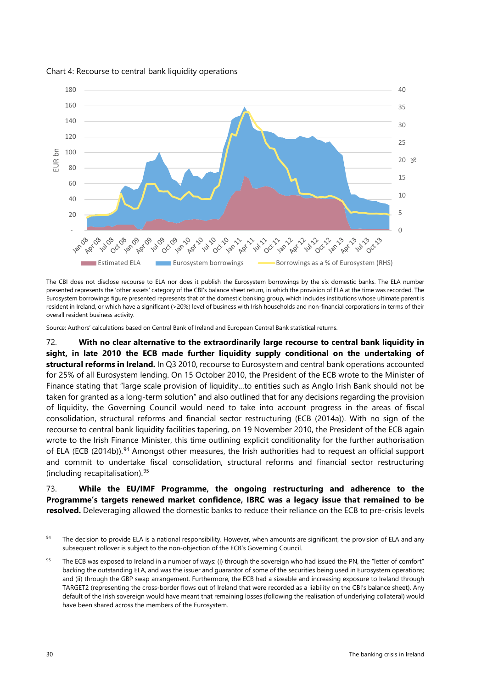

#### Chart 4: Recourse to central bank liquidity operations

The CBI does not disclose recourse to ELA nor does it publish the Eurosystem borrowings by the six domestic banks. The ELA number presented represents the 'other assets' category of the CBI's balance sheet return, in which the provision of ELA at the time was recorded. The Eurosystem borrowings figure presented represents that of the domestic banking group, which includes institutions whose ultimate parent is resident in Ireland, or which have a significant (>20%) level of business with Irish households and non-financial corporations in terms of their overall resident business activity.

Source: Authors' calculations based on Central Bank of Ireland and European Central Bank statistical returns.

72. **With no clear alternative to the extraordinarily large recourse to central bank liquidity in sight, in late 2010 the ECB made further liquidity supply conditional on the undertaking of structural reforms in Ireland.** In Q3 2010, recourse to Eurosystem and central bank operations accounted for 25% of all Eurosystem lending. On 15 October 2010, the President of the ECB wrote to the Minister of Finance stating that "large scale provision of liquidity…to entities such as Anglo Irish Bank should not be taken for granted as a long-term solution" and also outlined that for any decisions regarding the provision of liquidity, the Governing Council would need to take into account progress in the areas of fiscal consolidation, structural reforms and financial sector restructuring (ECB (2014a)). With no sign of the recourse to central bank liquidity facilities tapering, on 19 November 2010, the President of the ECB again wrote to the Irish Finance Minister, this time outlining explicit conditionality for the further authorisation of ELA (ECB (2014b)).<sup>[94](#page-32-0)</sup> Amongst other measures, the Irish authorities had to request an official support and commit to undertake fiscal consolidation, structural reforms and financial sector restructuring (including recapitalisation). [95](#page-32-1)

73. **While the EU/IMF Programme, the ongoing restructuring and adherence to the Programme's targets renewed market confidence, IBRC was a legacy issue that remained to be resolved.** Deleveraging allowed the domestic banks to reduce their reliance on the ECB to pre-crisis levels

<span id="page-32-0"></span><sup>&</sup>lt;sup>94</sup> The decision to provide ELA is a national responsibility. However, when amounts are significant, the provision of ELA and any subsequent rollover is subject to the non-objection of the ECB's Governing Council.

<span id="page-32-1"></span><sup>&</sup>lt;sup>95</sup> The ECB was exposed to Ireland in a number of ways: (i) through the sovereign who had issued the PN, the "letter of comfort" backing the outstanding ELA, and was the issuer and guarantor of some of the securities being used in Eurosystem operations; and (ii) through the GBP swap arrangement. Furthermore, the ECB had a sizeable and increasing exposure to Ireland through TARGET2 (representing the cross-border flows out of Ireland that were recorded as a liability on the CBI's balance sheet). Any default of the Irish sovereign would have meant that remaining losses (following the realisation of underlying collateral) would have been shared across the members of the Eurosystem.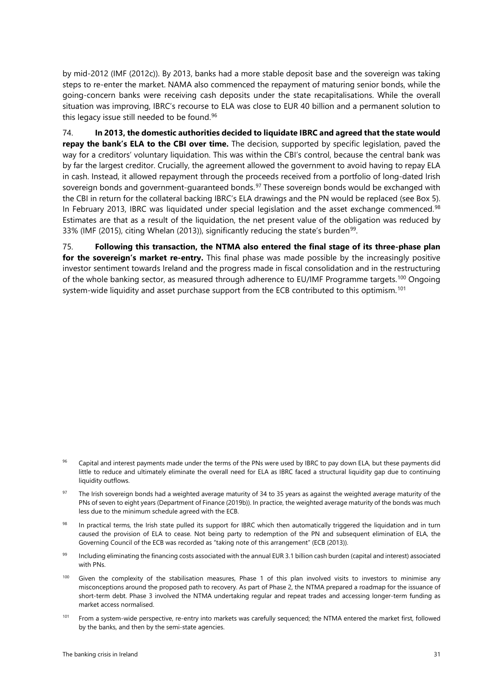by mid-2012 (IMF (2012c)). By 2013, banks had a more stable deposit base and the sovereign was taking steps to re-enter the market. NAMA also commenced the repayment of maturing senior bonds, while the going-concern banks were receiving cash deposits under the state recapitalisations. While the overall situation was improving, IBRC's recourse to ELA was close to EUR 40 billion and a permanent solution to this legacy issue still needed to be found.<sup>[96](#page-33-0)</sup>

74. **In 2013, the domestic authorities decided to liquidate IBRC and agreed that the state would repay the bank's ELA to the CBI over time.** The decision, supported by specific legislation, paved the way for a creditors' voluntary liquidation. This was within the CBI's control, because the central bank was by far the largest creditor. Crucially, the agreement allowed the government to avoid having to repay ELA in cash. Instead, it allowed repayment through the proceeds received from a portfolio of long-dated Irish sovereign bonds and government-guaranteed bonds.<sup>[97](#page-33-1)</sup> These sovereign bonds would be exchanged with the CBI in return for the collateral backing IBRC's ELA drawings and the PN would be replaced (see Box 5). In February 2013, IBRC was liquidated under special legislation and the asset exchange commenced. [98](#page-33-2) Estimates are that as a result of the liquidation, the net present value of the obligation was reduced by 33% (IMF (2015), citing Whelan (2013)), significantly reducing the state's burden<sup>[99](#page-33-3)</sup>.

75. **Following this transaction, the NTMA also entered the final stage of its three-phase plan for the sovereign's market re-entry.** This final phase was made possible by the increasingly positive investor sentiment towards Ireland and the progress made in fiscal consolidation and in the restructuring of the whole banking sector, as measured through adherence to EU/IMF Programme targets.<sup>[100](#page-33-4)</sup> Ongoing system-wide liquidity and asset purchase support from the ECB contributed to this optimism. [101](#page-33-5)

- <span id="page-33-0"></span>Capital and interest payments made under the terms of the PNs were used by IBRC to pay down ELA, but these payments did little to reduce and ultimately eliminate the overall need for ELA as IBRC faced a structural liquidity gap due to continuing liquidity outflows.
- <span id="page-33-1"></span><sup>97</sup> The Irish sovereign bonds had a weighted average maturity of 34 to 35 years as against the weighted average maturity of the PNs of seven to eight years (Department of Finance (2019b)). In practice, the weighted average maturity of the bonds was much less due to the minimum schedule agreed with the ECB.
- <span id="page-33-2"></span>In practical terms, the Irish state pulled its support for IBRC which then automatically triggered the liquidation and in turn caused the provision of ELA to cease. Not being party to redemption of the PN and subsequent elimination of ELA, the Governing Council of the ECB was recorded as "taking note of this arrangement" (ECB (2013)).
- <span id="page-33-3"></span>99 Including eliminating the financing costs associated with the annual EUR 3.1 billion cash burden (capital and interest) associated with PNs.
- <span id="page-33-4"></span><sup>100</sup> Given the complexity of the stabilisation measures, Phase 1 of this plan involved visits to investors to minimise any misconceptions around the proposed path to recovery. As part of Phase 2, the NTMA prepared a roadmap for the issuance of short-term debt. Phase 3 involved the NTMA undertaking regular and repeat trades and accessing longer-term funding as market access normalised.
- <span id="page-33-5"></span><sup>101</sup> From a system-wide perspective, re-entry into markets was carefully sequenced; the NTMA entered the market first, followed by the banks, and then by the semi-state agencies.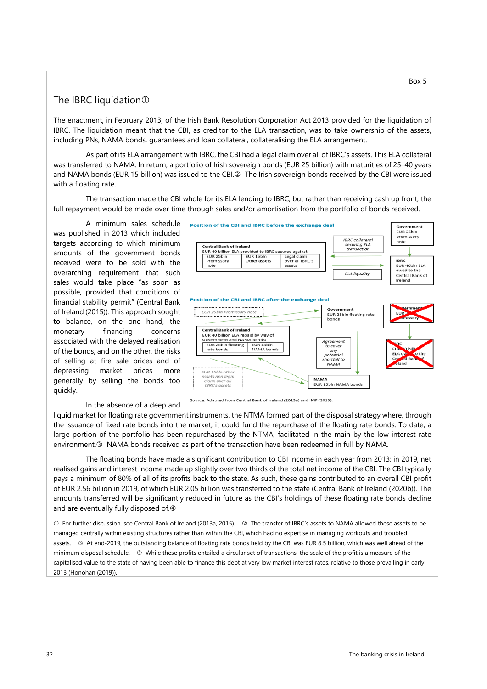#### The IBRC liquidation  $\odot$

The enactment, in February 2013, of the Irish Bank Resolution Corporation Act 2013 provided for the liquidation of IBRC. The liquidation meant that the CBI, as creditor to the ELA transaction, was to take ownership of the assets, including PNs, NAMA bonds, guarantees and loan collateral, collateralising the ELA arrangement.

As part of its ELA arrangement with IBRC, the CBI had a legal claim over all of IBRC's assets. This ELA collateral was transferred to NAMA. In return, a portfolio of Irish sovereign bonds (EUR 25 billion) with maturities of 25–40 years and NAMA bonds (EUR 15 billion) was issued to the CBI.<sup>2</sup> The Irish sovereign bonds received by the CBI were issued with a floating rate.

The transaction made the CBI whole for its ELA lending to IBRC, but rather than receiving cash up front, the full repayment would be made over time through sales and/or amortisation from the portfolio of bonds received.

A minimum sales schedule was published in 2013 which included targets according to which minimum amounts of the government bonds received were to be sold with the overarching requirement that such sales would take place "as soon as possible, provided that conditions of financial stability permit" (Central Bank of Ireland (2015)). This approach sought to balance, on the one hand, the monetary financing concerns associated with the delayed realisation of the bonds, and on the other, the risks of selling at fire sale prices and of depressing market prices more generally by selling the bonds too quickly.

#### In the absence of a deep and



liquid market for floating rate government instruments, the NTMA formed part of the disposal strategy where, through the issuance of fixed rate bonds into the market, it could fund the repurchase of the floating rate bonds. To date, a large portion of the portfolio has been repurchased by the NTMA, facilitated in the main by the low interest rate environment.<sup>®</sup> NAMA bonds received as part of the transaction have been redeemed in full by NAMA.

The floating bonds have made a significant contribution to CBI income in each year from 2013: in 2019, net realised gains and interest income made up slightly over two thirds of the total net income of the CBI. The CBI typically pays a minimum of 80% of all of its profits back to the state. As such, these gains contributed to an overall CBI profit of EUR 2.56 billion in 2019, of which EUR 2.05 billion was transferred to the state (Central Bank of Ireland (2020b)). The amounts transferred will be significantly reduced in future as the CBI's holdings of these floating rate bonds decline and are eventually fully disposed of. $\Phi$ 

 $\odot$  For further discussion, see Central Bank of Ireland (2013a, 2015).  $\oslash$  The transfer of IBRC's assets to NAMA allowed these assets to be managed centrally within existing structures rather than within the CBI, which had no expertise in managing workouts and troubled assets. 3 At end-2019, the outstanding balance of floating rate bonds held by the CBI was EUR 8.5 billion, which was well ahead of the minimum disposal schedule. While these profits entailed a circular set of transactions, the scale of the profit is a measure of the capitalised value to the state of having been able to finance this debt at very low market interest rates, relative to those prevailing in early 2013 (Honohan (2019)).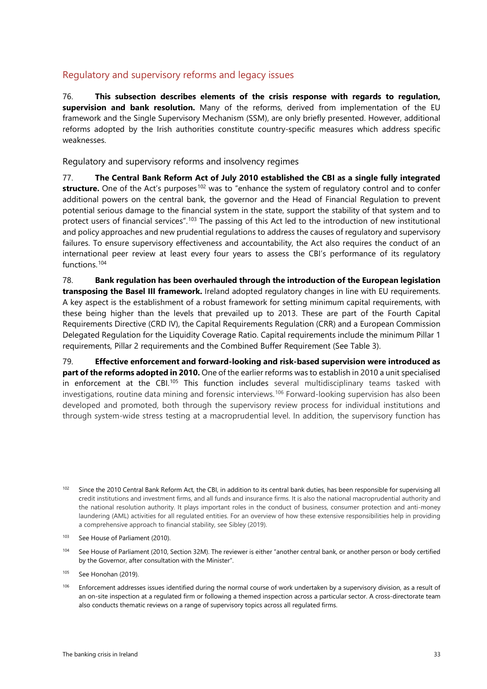### <span id="page-35-0"></span>Regulatory and supervisory reforms and legacy issues

76. **This subsection describes elements of the crisis response with regards to regulation, supervision and bank resolution.** Many of the reforms, derived from implementation of the EU framework and the Single Supervisory Mechanism (SSM), are only briefly presented. However, additional reforms adopted by the Irish authorities constitute country-specific measures which address specific weaknesses.

<span id="page-35-1"></span>Regulatory and supervisory reforms and insolvency regimes

77. **The Central Bank Reform Act of July 2010 established the CBI as a single fully integrated structure.** One of the Act's purposes<sup>[102](#page-35-2)</sup> was to "enhance the system of regulatory control and to confer additional powers on the central bank, the governor and the Head of Financial Regulation to prevent potential serious damage to the financial system in the state, support the stability of that system and to protect users of financial services".<sup>[103](#page-35-3)</sup> The passing of this Act led to the introduction of new institutional and policy approaches and new prudential regulations to address the causes of regulatory and supervisory failures. To ensure supervisory effectiveness and accountability, the Act also requires the conduct of an international peer review at least every four years to assess the CBI's performance of its regulatory functions.[104](#page-35-4)

78. **Bank regulation has been overhauled through the introduction of the European legislation transposing the Basel III framework.** Ireland adopted regulatory changes in line with EU requirements. A key aspect is the establishment of a robust framework for setting minimum capital requirements, with these being higher than the levels that prevailed up to 2013. These are part of the Fourth Capital Requirements Directive (CRD IV), the Capital Requirements Regulation (CRR) and a European Commission Delegated Regulation for the Liquidity Coverage Ratio. Capital requirements include the minimum Pillar 1 requirements, Pillar 2 requirements and the Combined Buffer Requirement (See Table 3).

79. **Effective enforcement and forward-looking and risk-based supervision were introduced as part of the reforms adopted in 2010.** One of the earlier reforms was to establish in 2010 a unit specialised in enforcement at the CBI.<sup>[105](#page-35-5)</sup> This function includes several multidisciplinary teams tasked with investigations, routine data mining and forensic interviews.<sup>[106](#page-35-6)</sup> Forward-looking supervision has also been developed and promoted, both through the supervisory review process for individual institutions and through system-wide stress testing at a macroprudential level. In addition, the supervisory function has

- <span id="page-35-3"></span>103 See House of Parliament (2010).
- <span id="page-35-4"></span><sup>104</sup> See House of Parliament (2010, Section 32M). The reviewer is either "another central bank, or another person or body certified by the Governor, after consultation with the Minister".
- <span id="page-35-5"></span> $105$  See Honohan (2019).
- <span id="page-35-6"></span><sup>106</sup> Enforcement addresses issues identified during the normal course of work undertaken by a supervisory division, as a result of an on-site inspection at a regulated firm or following a themed inspection across a particular sector. A cross-directorate team also conducts thematic reviews on a range of supervisory topics across all regulated firms.

<span id="page-35-2"></span><sup>&</sup>lt;sup>102</sup> Since the 2010 Central Bank Reform Act, the CBI, in addition to its central bank duties, has been responsible for supervising all credit institutions and investment firms, and all funds and insurance firms. It is also the national macroprudential authority and the national resolution authority. It plays important roles in the conduct of business, consumer protection and anti-money laundering (AML) activities for all regulated entities. For an overview of how these extensive responsibilities help in providing a comprehensive approach to financial stability, see Sibley (2019).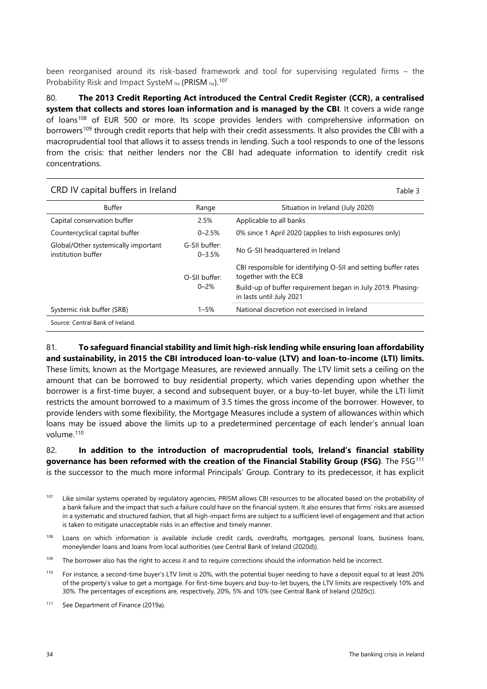been reorganised around its risk-based framework and tool for supervising regulated firms – the Probability Risk and Impact SysteM  $_{TM}$  (PRISM  $_{TM}$ ).<sup>[107](#page-36-0)</sup>

80. **The 2013 Credit Reporting Act introduced the Central Credit Register (CCR), a centralised system that collects and stores loan information and is managed by the CBI**. It covers a wide range of loans<sup>[108](#page-36-1)</sup> of EUR 500 or more. Its scope provides lenders with comprehensive information on borrowers<sup>[109](#page-36-2)</sup> through credit reports that help with their credit assessments. It also provides the CBI with a macroprudential tool that allows it to assess trends in lending. Such a tool responds to one of the lessons from the crisis: that neither lenders nor the CBI had adequate information to identify credit risk concentrations.

| CRD IV capital buffers in Ireland                         |                                                                                         | Table 3                                                                                 |
|-----------------------------------------------------------|-----------------------------------------------------------------------------------------|-----------------------------------------------------------------------------------------|
| Buffer                                                    | Range                                                                                   | Situation in Ireland (July 2020)                                                        |
| Capital conservation buffer                               | 2.5%                                                                                    | Applicable to all banks                                                                 |
| Countercyclical capital buffer                            | $0 - 2.5%$                                                                              | 0% since 1 April 2020 (applies to Irish exposures only)                                 |
| Global/Other systemically important<br>institution buffer | G-SII buffer:<br>$0 - 3.5%$                                                             | No G-SII headquartered in Ireland                                                       |
|                                                           | O-SII buffer:                                                                           | CBI responsible for identifying O-SII and setting buffer rates<br>together with the ECB |
| $0 - 2%$                                                  | Build-up of buffer requirement began in July 2019. Phasing-<br>in lasts until July 2021 |                                                                                         |
| Systemic risk buffer (SRB)                                | $1 - 5%$                                                                                | National discretion not exercised in Ireland                                            |
| Source: Central Bank of Ireland.                          |                                                                                         |                                                                                         |

81. **To safeguard financial stability and limit high-risk lending while ensuring loan affordability and sustainability, in 2015 the CBI introduced loan-to-value (LTV) and loan-to-income (LTI) limits.** These limits, known as the Mortgage Measures, are reviewed annually. The LTV limit sets a ceiling on the amount that can be borrowed to buy residential property, which varies depending upon whether the borrower is a first-time buyer, a second and subsequent buyer, or a buy-to-let buyer, while the LTI limit restricts the amount borrowed to a maximum of 3.5 times the gross income of the borrower. However, to provide lenders with some flexibility, the Mortgage Measures include a system of allowances within which loans may be issued above the limits up to a predetermined percentage of each lender's annual loan volume.<sup>[110](#page-36-3)</sup>

82. **In addition to the introduction of macroprudential tools, Ireland's financial stability governance has been reformed with the creation of the Financial Stability Group (FSG)**. The FSG[111](#page-36-4) is the successor to the much more informal Principals' Group. Contrary to its predecessor, it has explicit

- <span id="page-36-0"></span><sup>107</sup> Like similar systems operated by regulatory agencies, PRISM allows CBI resources to be allocated based on the probability of a bank failure and the impact that such a failure could have on the financial system. It also ensures that firms' risks are assessed in a systematic and structured fashion, that all high-impact firms are subject to a sufficient level of engagement and that action is taken to mitigate unacceptable risks in an effective and timely manner.
- <span id="page-36-1"></span><sup>108</sup> Loans on which information is available include credit cards, overdrafts, mortgages, personal loans, business loans, moneylender loans and loans from local authorities (see Central Bank of Ireland (2020d)).
- <span id="page-36-2"></span><sup>109</sup> The borrower also has the right to access it and to require corrections should the information held be incorrect.
- <span id="page-36-3"></span><sup>110</sup> For instance, a second-time buyer's LTV limit is 20%, with the potential buyer needing to have a deposit equal to at least 20% of the property's value to get a mortgage. For first-time buyers and buy-to-let buyers, the LTV limits are respectively 10% and 30%. The percentages of exceptions are, respectively, 20%, 5% and 10% (see [Central Bank of Ir](http://cbi/)eland (2020c)).
- <span id="page-36-4"></span><sup>111</sup> See Department of Finance (2019a).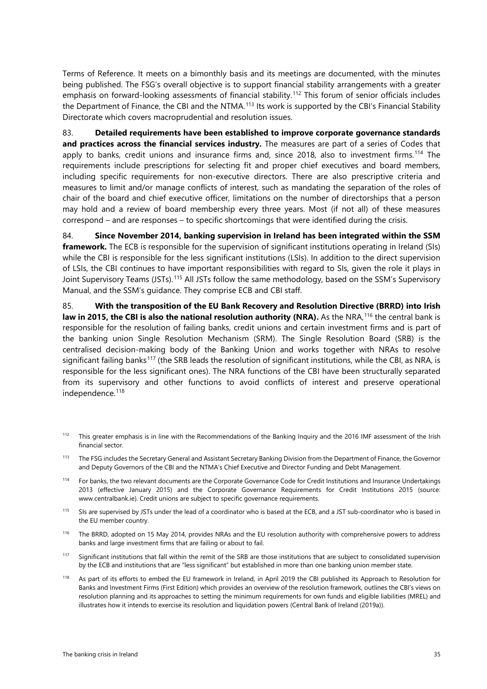Terms of Reference. It meets on a bimonthly basis and its meetings are documented, with the minutes being published. The FSG's overall objective is to support financial stability arrangements with a greater emphasis on forward-looking assessments of financial stability.<sup>[112](#page-37-0)</sup> This forum of senior officials includes the Department of Finance, the CBI and the NTMA.<sup>[113](#page-37-1)</sup> Its work is supported by the CBI's Financial Stability Directorate which covers macroprudential and resolution issues.

83. **Detailed requirements have been established to improve corporate governance standards and practices across the financial services industry.** The measures are part of a series of Codes that apply to banks, credit unions and insurance firms and, since 2018, also to investment firms.<sup>[114](#page-37-2)</sup> The requirements include prescriptions for selecting fit and proper chief executives and board members, including specific requirements for non-executive directors. There are also prescriptive criteria and measures to limit and/or manage conflicts of interest, such as mandating the separation of the roles of chair of the board and chief executive officer, limitations on the number of directorships that a person may hold and a review of board membership every three years. Most (if not all) of these measures correspond – and are responses – to specific shortcomings that were identified during the crisis.

84. **Since November 2014, banking supervision in Ireland has been integrated within the SSM framework.** The ECB is responsible for the supervision of significant institutions operating in Ireland (SIs) while the CBI is responsible for the less significant institutions (LSIs). In addition to the direct supervision of LSIs, the CBI continues to have important responsibilities with regard to SIs, given the role it plays in Joint Supervisory Teams (JSTs).<sup>[115](#page-37-3)</sup> All JSTs follow the same methodology, based on the SSM's Supervisory Manual, and the SSM's guidance. They comprise ECB and CBI staff.

85. **With the transposition of the EU Bank Recovery and Resolution Directive (BRRD) into Irish law in 2015, the CBI is also the national resolution authority (NRA).** As the NRA,<sup>[116](#page-37-4)</sup> the central bank is responsible for the resolution of failing banks, credit unions and certain investment firms and is part of the banking union Single Resolution Mechanism (SRM). The Single Resolution Board (SRB) is the centralised decision-making body of the Banking Union and works together with NRAs to resolve significant failing banks<sup>[117](#page-37-5)</sup> (the SRB leads the resolution of significant institutions, while the CBI, as NRA, is responsible for the less significant ones). The NRA functions of the CBI have been structurally separated from its supervisory and other functions to avoid conflicts of interest and preserve operational independence. [118](#page-37-6)

- <span id="page-37-0"></span><sup>112</sup> This greater emphasis is in line with the Recommendations of the Banking Inquiry and the 2016 IMF assessment of the Irish financial sector.
- <span id="page-37-1"></span>113 The FSG includes the Secretary General and Assistant Secretary Banking Division from the Department of Finance, the Governor and Deputy Governors of the CBI and the NTMA's Chief Executive and Director Funding and Debt Management.
- <span id="page-37-2"></span><sup>114</sup> For banks, the two relevant documents are the Corporate Governance Code for Credit Institutions and Insurance Undertakings 2013 (effective January 2015) and the Corporate Governance Requirements for Credit Institutions 2015 (source: [www.centralbank.ie\).](http://www.centralbank.ie/) Credit unions are subject to specific governance requirements.
- <span id="page-37-3"></span>115 SIs are supervised by JSTs under the lead of a coordinator who is based at the ECB, and a JST sub-coordinator who is based in the EU member country.
- <span id="page-37-4"></span><sup>116</sup> The BRRD, adopted on 15 May 2014, provides NRAs and the EU resolution authority with comprehensive powers to address banks and large investment firms that are failing or about to fail.
- <span id="page-37-5"></span>117 Significant institutions that fall within the remit of the SRB are those institutions that are subject to consolidated supervision by the ECB and institutions that are "less significant" but established in more than one banking union member state.
- <span id="page-37-6"></span><sup>118</sup> As part of its efforts to embed the EU framework in Ireland, in April 2019 the CBI published its Approach to Resolution for Banks and Investment Firms (First Edition) which provides an overview of the resolution framework, outlines the CBI's views on resolution planning and its approaches to setting the minimum requirements for own funds and eligible liabilities (MREL) and illustrates how it intends to exercise its resolution and liquidation powers (Central Bank of Ireland (2019a)).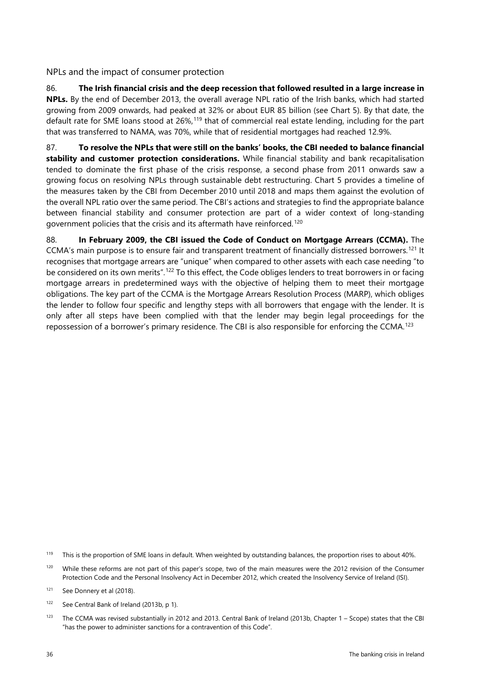<span id="page-38-0"></span>NPLs and the impact of consumer protection

86. **The Irish financial crisis and the deep recession that followed resulted in a large increase in NPLs.** By the end of December 2013, the overall average NPL ratio of the Irish banks, which had started growing from 2009 onwards, had peaked at 32% or about EUR 85 billion (see Chart 5). By that date, the default rate for SME loans stood at 26%,<sup>[119](#page-38-1)</sup> that of commercial real estate lending, including for the part that was transferred to NAMA, was 70%, while that of residential mortgages had reached 12.9%.

87. **To resolve the NPLs that were still on the banks' books, the CBI needed to balance financial stability and customer protection considerations.** While financial stability and bank recapitalisation tended to dominate the first phase of the crisis response, a second phase from 2011 onwards saw a growing focus on resolving NPLs through sustainable debt restructuring. Chart 5 provides a timeline of the measures taken by the CBI from December 2010 until 2018 and maps them against the evolution of the overall NPL ratio over the same period. The CBI's actions and strategies to find the appropriate balance between financial stability and consumer protection are part of a wider context of long-standing government policies that the crisis and its aftermath have reinforced. [120](#page-38-2)

88. **In February 2009, the CBI issued the Code of Conduct on Mortgage Arrears (CCMA).** The CCMA's main purpose is to ensure fair and transparent treatment of financially distressed borrowers. [121](#page-38-3) It recognises that mortgage arrears are "unique" when compared to other assets with each case needing "to be considered on its own merits".<sup>[122](#page-38-4)</sup> To this effect, the Code obliges lenders to treat borrowers in or facing mortgage arrears in predetermined ways with the objective of helping them to meet their mortgage obligations. The key part of the CCMA is the Mortgage Arrears Resolution Process (MARP), which obliges the lender to follow four specific and lengthy steps with all borrowers that engage with the lender. It is only after all steps have been complied with that the lender may begin legal proceedings for the repossession of a borrower's primary residence. The CBI is also responsible for enforcing the CCMA.[123](#page-38-5)

<span id="page-38-2"></span><sup>120</sup> While these reforms are not part of this paper's scope, two of the main measures were the 2012 revision of the Consumer Protection Code and the Personal Insolvency Act in December 2012, which created the Insolvency Service of Ireland (ISI).

<span id="page-38-1"></span><sup>&</sup>lt;sup>119</sup> This is the proportion of SME loans in default. When weighted by outstanding balances, the proportion rises to about 40%.

<span id="page-38-3"></span><sup>121</sup> See Donnery et al (2018).

<span id="page-38-4"></span><sup>122</sup> See Central Bank of Ireland (2013b, p 1).

<span id="page-38-5"></span><sup>&</sup>lt;sup>123</sup> The CCMA was revised substantially in 2012 and 2013. Central Bank of Ireland (2013b, Chapter 1 – Scope) states that the CBI "has the power to administer sanctions for a contravention of this Code".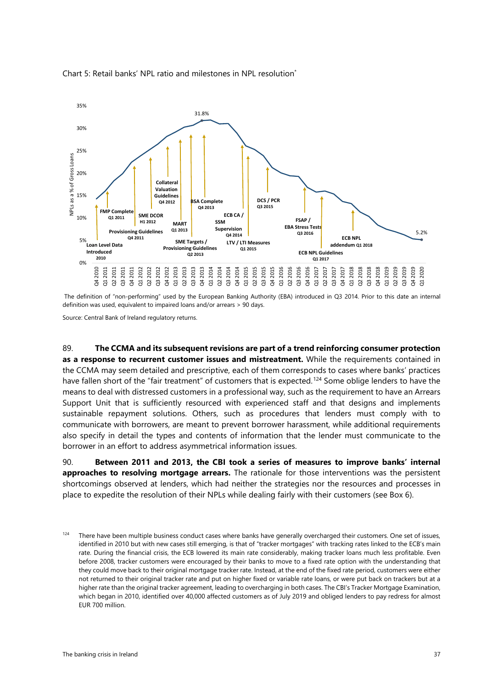

Chart 5: Retail banks' NPL ratio and milestones in NPL resolution\*

The definition of "non-performing" used by the European Banking Authority (EBA) introduced in Q3 2014. Prior to this date an internal definition was used, equivalent to impaired loans and/or arrears > 90 days.

Source: Central Bank of Ireland regulatory returns.

89. **The CCMA and its subsequent revisions are part of a trend reinforcing consumer protection as a response to recurrent customer issues and mistreatment.** While the requirements contained in the CCMA may seem detailed and prescriptive, each of them corresponds to cases where banks' practices have fallen short of the "fair treatment" of customers that is expected. [124](#page-39-0) Some oblige lenders to have the means to deal with distressed customers in a professional way, such as the requirement to have an Arrears Support Unit that is sufficiently resourced with experienced staff and that designs and implements sustainable repayment solutions. Others, such as procedures that lenders must comply with to communicate with borrowers, are meant to prevent borrower harassment, while additional requirements also specify in detail the types and contents of information that the lender must communicate to the borrower in an effort to address asymmetrical information issues.

90. **Between 2011 and 2013, the CBI took a series of measures to improve banks' internal approaches to resolving mortgage arrears.** The rationale for those interventions was the persistent shortcomings observed at lenders, which had neither the strategies nor the resources and processes in place to expedite the resolution of their NPLs while dealing fairly with their customers (see Box 6).

<span id="page-39-0"></span><sup>&</sup>lt;sup>124</sup> There have been multiple business conduct cases where banks have generally overcharged their customers. One set of issues, identified in 2010 but with new cases still emerging, is that of "tracker mortgages" with tracking rates linked to the ECB's main rate. During the financial crisis, the ECB lowered its main rate considerably, making tracker loans much less profitable. Even before 2008, tracker customers were encouraged by their banks to move to a fixed rate option with the understanding that they could move back to their original mortgage tracker rate. Instead, at the end of the fixed rate period, customers were either not returned to their original tracker rate and put on higher fixed or variable rate loans, or were put back on trackers but at a higher rate than the original tracker agreement, leading to overcharging in both cases. The CBI's Tracker Mortgage Examination, which began in 2010, identified over 40,000 affected customers as of July 2019 and obliged lenders to pay redress for almost EUR 700 million.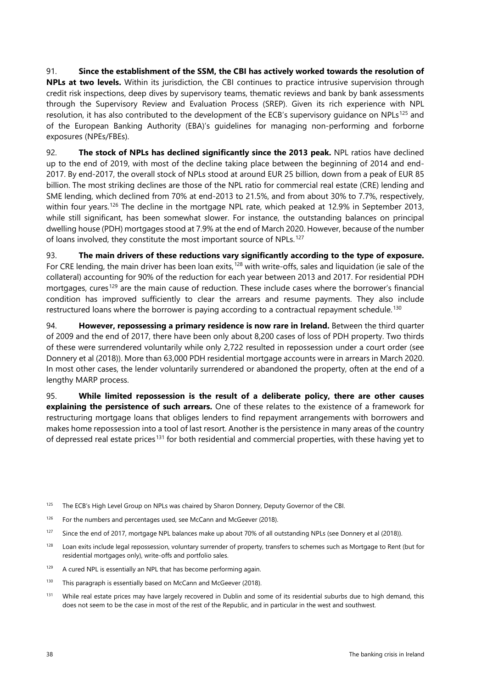91. **Since the establishment of the SSM, the CBI has actively worked towards the resolution of NPLs at two levels.** Within its jurisdiction, the CBI continues to practice intrusive supervision through credit risk inspections, deep dives by supervisory teams, thematic reviews and bank by bank assessments through the Supervisory Review and Evaluation Process (SREP). Given its rich experience with NPL resolution, it has also contributed to the development of the ECB's supervisory quidance on NPLs<sup>[125](#page-40-0)</sup> and of the European Banking Authority (EBA)'s guidelines for managing non-performing and forborne exposures (NPEs/FBEs).

92. **The stock of NPLs has declined significantly since the 2013 peak.** NPL ratios have declined up to the end of 2019, with most of the decline taking place between the beginning of 2014 and end-2017. By end-2017, the overall stock of NPLs stood at around EUR 25 billion, down from a peak of EUR 85 billion. The most striking declines are those of the NPL ratio for commercial real estate (CRE) lending and SME lending, which declined from 70% at end-2013 to 21.5%, and from about 30% to 7.7%, respectively, within four years. [126](#page-40-1) The decline in the mortgage NPL rate, which peaked at 12.9% in September 2013, while still significant, has been somewhat slower. For instance, the outstanding balances on principal dwelling house (PDH) mortgages stood at 7.9% at the end of March 2020. However, because of the number of loans involved, they constitute the most important source of NPLs.<sup>[127](#page-40-2)</sup>

93. **The main drivers of these reductions vary significantly according to the type of exposure.** For CRE lending, the main driver has been loan exits,<sup>[128](#page-40-3)</sup> with write-offs, sales and liquidation (ie sale of the collateral) accounting for 90% of the reduction for each year between 2013 and 2017. For residential PDH mortgages, cures<sup>[129](#page-40-4)</sup> are the main cause of reduction. These include cases where the borrower's financial condition has improved sufficiently to clear the arrears and resume payments. They also include restructured loans where the borrower is paying according to a contractual repayment schedule. [130](#page-40-5)

94. **However, repossessing a primary residence is now rare in Ireland.** Between the third quarter of 2009 and the end of 2017, there have been only about 8,200 cases of loss of PDH property. Two thirds of these were surrendered voluntarily while only 2,722 resulted in repossession under a court order (see Donnery et al (2018)). More than 63,000 PDH residential mortgage accounts were in arrears in March 2020. In most other cases, the lender voluntarily surrendered or abandoned the property, often at the end of a lengthy MARP process.

95. **While limited repossession is the result of a deliberate policy, there are other causes explaining the persistence of such arrears.** One of these relates to the existence of a framework for restructuring mortgage loans that obliges lenders to find repayment arrangements with borrowers and makes home repossession into a tool of last resort. Another is the persistence in many areas of the country of depressed real estate prices<sup>[131](#page-40-6)</sup> for both residential and commercial properties, with these having yet to

- <span id="page-40-0"></span><sup>125</sup> The ECB's High Level Group on NPLs was chaired by Sharon Donnery, Deputy Governor of the CBI.
- <span id="page-40-1"></span><sup>126</sup> For the numbers and percentages used, see McCann and McGeever (2018).
- <span id="page-40-2"></span><sup>127</sup> Since the end of 2017, mortgage NPL balances make up about 70% of all outstanding NPLs (see Donnery et al (2018)).
- <span id="page-40-3"></span><sup>128</sup> Loan exits include legal repossession, voluntary surrender of property, transfers to schemes such as Mortgage to Rent (but for residential mortgages only), write-offs and portfolio sales.
- <span id="page-40-4"></span><sup>129</sup> A cured NPL is essentially an NPL that has become performing again.
- <span id="page-40-5"></span><sup>130</sup> This paragraph is essentially based on McCann and McGeever (2018).
- <span id="page-40-6"></span><sup>131</sup> While real estate prices may have largely recovered in Dublin and some of its residential suburbs due to high demand, this does not seem to be the case in most of the rest of the Republic, and in particular in the west and southwest.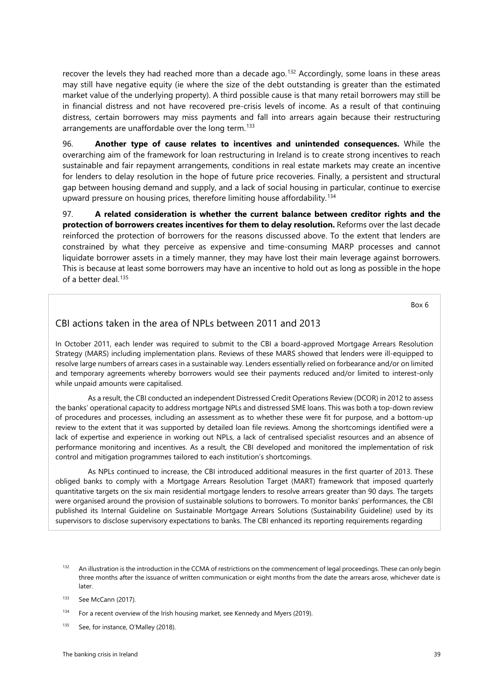recover the levels they had reached more than a decade ago.<sup>[132](#page-41-0)</sup> Accordingly, some loans in these areas may still have negative equity (ie where the size of the debt outstanding is greater than the estimated market value of the underlying property). A third possible cause is that many retail borrowers may still be in financial distress and not have recovered pre-crisis levels of income. As a result of that continuing distress, certain borrowers may miss payments and fall into arrears again because their restructuring arrangements are unaffordable over the long term. [133](#page-41-1)

96. **Another type of cause relates to incentives and unintended consequences.** While the overarching aim of the framework for loan restructuring in Ireland is to create strong incentives to reach sustainable and fair repayment arrangements, conditions in real estate markets may create an incentive for lenders to delay resolution in the hope of future price recoveries. Finally, a persistent and structural gap between housing demand and supply, and a lack of social housing in particular, continue to exercise upward pressure on housing prices, therefore limiting house affordability. [134](#page-41-2)

97. **A related consideration is whether the current balance between creditor rights and the protection of borrowers creates incentives for them to delay resolution.** Reforms over the last decade reinforced the protection of borrowers for the reasons discussed above. To the extent that lenders are constrained by what they perceive as expensive and time-consuming MARP processes and cannot liquidate borrower assets in a timely manner, they may have lost their main leverage against borrowers. This is because at least some borrowers may have an incentive to hold out as long as possible in the hope of a better deal. [135](#page-41-3)

Box 6

#### CBI actions taken in the area of NPLs between 2011 and 2013

In October 2011, each lender was required to submit to the CBI a board-approved Mortgage Arrears Resolution Strategy (MARS) including implementation plans. Reviews of these MARS showed that lenders were ill-equipped to resolve large numbers of arrears cases in a sustainable way. Lenders essentially relied on forbearance and/or on limited and temporary agreements whereby borrowers would see their payments reduced and/or limited to interest-only while unpaid amounts were capitalised.

As a result, the CBI conducted an independent Distressed Credit Operations Review (DCOR) in 2012 to assess the banks' operational capacity to address mortgage NPLs and distressed SME loans. This was both a top-down review of procedures and processes, including an assessment as to whether these were fit for purpose, and a bottom-up review to the extent that it was supported by detailed loan file reviews. Among the shortcomings identified were a lack of expertise and experience in working out NPLs, a lack of centralised specialist resources and an absence of performance monitoring and incentives. As a result, the CBI developed and monitored the implementation of risk control and mitigation programmes tailored to each institution's shortcomings.

As NPLs continued to increase, the CBI introduced additional measures in the first quarter of 2013. These obliged banks to comply with a Mortgage Arrears Resolution Target (MART) framework that imposed quarterly quantitative targets on the six main residential mortgage lenders to resolve arrears greater than 90 days. The targets were organised around the provision of sustainable solutions to borrowers. To monitor banks' performances, the CBI published its Internal Guideline on Sustainable Mortgage Arrears Solutions (Sustainability Guideline) used by its supervisors to disclose supervisory expectations to banks. The CBI enhanced its reporting requirements regarding

<span id="page-41-3"></span>135 See, for instance, O'Malley (2018).

<span id="page-41-0"></span>An illustration is the introduction in the CCMA of restrictions on the commencement of legal proceedings. These can only begin three months after the issuance of written communication or eight months from the date the arrears arose, whichever date is later.

<span id="page-41-1"></span><sup>133</sup> See McCann (2017).

<span id="page-41-2"></span><sup>&</sup>lt;sup>134</sup> For a recent overview of the Irish housing market, see Kennedy and Myers (2019).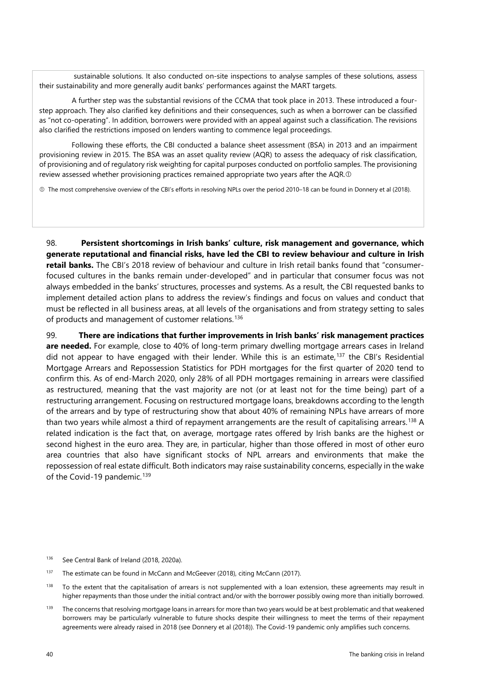sustainable solutions. It also conducted on-site inspections to analyse samples of these solutions, assess their sustainability and more generally audit banks' performances against the MART targets.

A further step was the substantial revisions of the CCMA that took place in 2013. These introduced a fourstep approach. They also clarified key definitions and their consequences, such as when a borrower can be classified as "not co-operating". In addition, borrowers were provided with an appeal against such a classification. The revisions also clarified the restrictions imposed on lenders wanting to commence legal proceedings.

Following these efforts, the CBI conducted a balance sheet assessment (BSA) in 2013 and an impairment provisioning review in 2015. The BSA was an asset quality review (AQR) to assess the adequacy of risk classification, of provisioning and of regulatory risk weighting for capital purposes conducted on portfolio samples. The provisioning review assessed whether provisioning practices remained appropriate two years after the AQR.<sup>®</sup>

The most comprehensive overview of the CBI's efforts in resolving NPLs over the period 2010–18 can be found in Donnery et al (2018).

98. **Persistent shortcomings in Irish banks' culture, risk management and governance, which generate reputational and financial risks, have led the CBI to review behaviour and culture in Irish retail banks.** The CBI's 2018 review of behaviour and culture in Irish retail banks found that "consumerfocused cultures in the banks remain under-developed" and in particular that consumer focus was not always embedded in the banks' structures, processes and systems. As a result, the CBI requested banks to implement detailed action plans to address the review's findings and focus on values and conduct that must be reflected in all business areas, at all levels of the organisations and from strategy setting to sales of products and management of customer relations.<sup>[136](#page-42-0)</sup>

99. **There are indications that further improvements in Irish banks' risk management practices are needed.** For example, close to 40% of long-term primary dwelling mortgage arrears cases in Ireland did not appear to have engaged with their lender. While this is an estimate, [137](#page-42-1) the CBI's Residential Mortgage Arrears and Repossession Statistics for PDH mortgages for the first quarter of 2020 tend to confirm this. As of end-March 2020, only 28% of all PDH mortgages remaining in arrears were classified as restructured, meaning that the vast majority are not (or at least not for the time being) part of a restructuring arrangement. Focusing on restructured mortgage loans, breakdowns according to the length of the arrears and by type of restructuring show that about 40% of remaining NPLs have arrears of more than two years while almost a third of repayment arrangements are the result of capitalising arrears.[138](#page-42-2) A related indication is the fact that, on average, mortgage rates offered by Irish banks are the highest or second highest in the euro area. They are, in particular, higher than those offered in most of other euro area countries that also have significant stocks of NPL arrears and environments that make the repossession of real estate difficult. Both indicators may raise sustainability concerns, especially in the wake of the Covid-19 pandemic.<sup>[139](#page-42-3)</sup>

- <span id="page-42-0"></span><sup>136</sup> See Central Bank of Ireland (2018, 2020a).
- <span id="page-42-1"></span><sup>137</sup> The estimate can be found in McCann and McGeever (2018), citing McCann (2017).
- <span id="page-42-2"></span>138 To the extent that the capitalisation of arrears is not supplemented with a loan extension, these agreements may result in higher repayments than those under the initial contract and/or with the borrower possibly owing more than initially borrowed.
- <span id="page-42-3"></span><sup>139</sup> The concerns that resolving mortgage loans in arrears for more than two years would be at best problematic and that weakened borrowers may be particularly vulnerable to future shocks despite their willingness to meet the terms of their repayment agreements were already raised in 2018 (see Donnery et al (2018)). The Covid-19 pandemic only amplifies such concerns.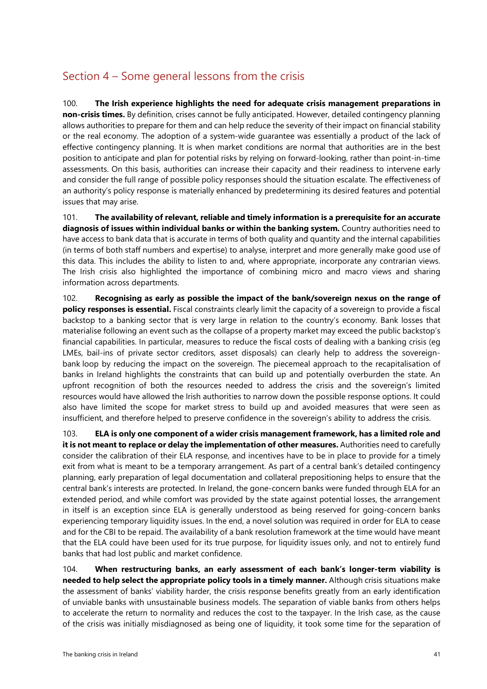### <span id="page-43-0"></span>Section 4 – Some general lessons from the crisis

100. **The Irish experience highlights the need for adequate crisis management preparations in non-crisis times.** By definition, crises cannot be fully anticipated. However, detailed contingency planning allows authorities to prepare for them and can help reduce the severity of their impact on financial stability or the real economy. The adoption of a system-wide guarantee was essentially a product of the lack of effective contingency planning. It is when market conditions are normal that authorities are in the best position to anticipate and plan for potential risks by relying on forward-looking, rather than point-in-time assessments. On this basis, authorities can increase their capacity and their readiness to intervene early and consider the full range of possible policy responses should the situation escalate. The effectiveness of an authority's policy response is materially enhanced by predetermining its desired features and potential issues that may arise.

101. **The availability of relevant, reliable and timely information is a prerequisite for an accurate diagnosis of issues within individual banks or within the banking system.** Country authorities need to have access to bank data that is accurate in terms of both quality and quantity and the internal capabilities (in terms of both staff numbers and expertise) to analyse, interpret and more generally make good use of this data. This includes the ability to listen to and, where appropriate, incorporate any contrarian views. The Irish crisis also highlighted the importance of combining micro and macro views and sharing information across departments.

102. **Recognising as early as possible the impact of the bank/sovereign nexus on the range of policy responses is essential.** Fiscal constraints clearly limit the capacity of a sovereign to provide a fiscal backstop to a banking sector that is very large in relation to the country's economy. Bank losses that materialise following an event such as the collapse of a property market may exceed the public backstop's financial capabilities. In particular, measures to reduce the fiscal costs of dealing with a banking crisis (eg LMEs, bail-ins of private sector creditors, asset disposals) can clearly help to address the sovereignbank loop by reducing the impact on the sovereign. The piecemeal approach to the recapitalisation of banks in Ireland highlights the constraints that can build up and potentially overburden the state. An upfront recognition of both the resources needed to address the crisis and the sovereign's limited resources would have allowed the Irish authorities to narrow down the possible response options. It could also have limited the scope for market stress to build up and avoided measures that were seen as insufficient, and therefore helped to preserve confidence in the sovereign's ability to address the crisis.

103. **ELA is only one component of a wider crisis management framework, has a limited role and it is not meant to replace or delay the implementation of other measures.** Authorities need to carefully consider the calibration of their ELA response, and incentives have to be in place to provide for a timely exit from what is meant to be a temporary arrangement. As part of a central bank's detailed contingency planning, early preparation of legal documentation and collateral prepositioning helps to ensure that the central bank's interests are protected. In Ireland, the gone-concern banks were funded through ELA for an extended period, and while comfort was provided by the state against potential losses, the arrangement in itself is an exception since ELA is generally understood as being reserved for going-concern banks experiencing temporary liquidity issues. In the end, a novel solution was required in order for ELA to cease and for the CBI to be repaid. The availability of a bank resolution framework at the time would have meant that the ELA could have been used for its true purpose, for liquidity issues only, and not to entirely fund banks that had lost public and market confidence.

104. **When restructuring banks, an early assessment of each bank's longer-term viability is needed to help select the appropriate policy tools in a timely manner.** Although crisis situations make the assessment of banks' viability harder, the crisis response benefits greatly from an early identification of unviable banks with unsustainable business models. The separation of viable banks from others helps to accelerate the return to normality and reduces the cost to the taxpayer. In the Irish case, as the cause of the crisis was initially misdiagnosed as being one of liquidity, it took some time for the separation of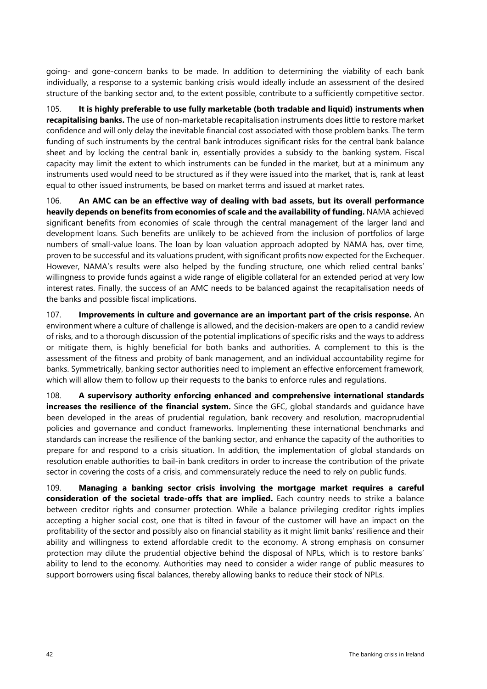going- and gone-concern banks to be made. In addition to determining the viability of each bank individually, a response to a systemic banking crisis would ideally include an assessment of the desired structure of the banking sector and, to the extent possible, contribute to a sufficiently competitive sector.

105. **It is highly preferable to use fully marketable (both tradable and liquid) instruments when recapitalising banks.** The use of non-marketable recapitalisation instruments does little to restore market confidence and will only delay the inevitable financial cost associated with those problem banks. The term funding of such instruments by the central bank introduces significant risks for the central bank balance sheet and by locking the central bank in, essentially provides a subsidy to the banking system. Fiscal capacity may limit the extent to which instruments can be funded in the market, but at a minimum any instruments used would need to be structured as if they were issued into the market, that is, rank at least equal to other issued instruments, be based on market terms and issued at market rates.

106. **An AMC can be an effective way of dealing with bad assets, but its overall performance heavily depends on benefits from economies of scale and the availability of funding.** NAMA achieved significant benefits from economies of scale through the central management of the larger land and development loans. Such benefits are unlikely to be achieved from the inclusion of portfolios of large numbers of small-value loans. The loan by loan valuation approach adopted by NAMA has, over time, proven to be successful and its valuations prudent, with significant profits now expected for the Exchequer. However, NAMA's results were also helped by the funding structure, one which relied central banks' willingness to provide funds against a wide range of eligible collateral for an extended period at very low interest rates. Finally, the success of an AMC needs to be balanced against the recapitalisation needs of the banks and possible fiscal implications.

107. **Improvements in culture and governance are an important part of the crisis response.** An environment where a culture of challenge is allowed, and the decision-makers are open to a candid review of risks, and to a thorough discussion of the potential implications of specific risks and the ways to address or mitigate them, is highly beneficial for both banks and authorities. A complement to this is the assessment of the fitness and probity of bank management, and an individual accountability regime for banks. Symmetrically, banking sector authorities need to implement an effective enforcement framework, which will allow them to follow up their requests to the banks to enforce rules and regulations.

108. **A supervisory authority enforcing enhanced and comprehensive international standards increases the resilience of the financial system.** Since the GFC, global standards and guidance have been developed in the areas of prudential regulation, bank recovery and resolution, macroprudential policies and governance and conduct frameworks. Implementing these international benchmarks and standards can increase the resilience of the banking sector, and enhance the capacity of the authorities to prepare for and respond to a crisis situation. In addition, the implementation of global standards on resolution enable authorities to bail-in bank creditors in order to increase the contribution of the private sector in covering the costs of a crisis, and commensurately reduce the need to rely on public funds.

109. **Managing a banking sector crisis involving the mortgage market requires a careful consideration of the societal trade-offs that are implied.** Each country needs to strike a balance between creditor rights and consumer protection. While a balance privileging creditor rights implies accepting a higher social cost, one that is tilted in favour of the customer will have an impact on the profitability of the sector and possibly also on financial stability as it might limit banks' resilience and their ability and willingness to extend affordable credit to the economy. A strong emphasis on consumer protection may dilute the prudential objective behind the disposal of NPLs, which is to restore banks' ability to lend to the economy. Authorities may need to consider a wider range of public measures to support borrowers using fiscal balances, thereby allowing banks to reduce their stock of NPLs.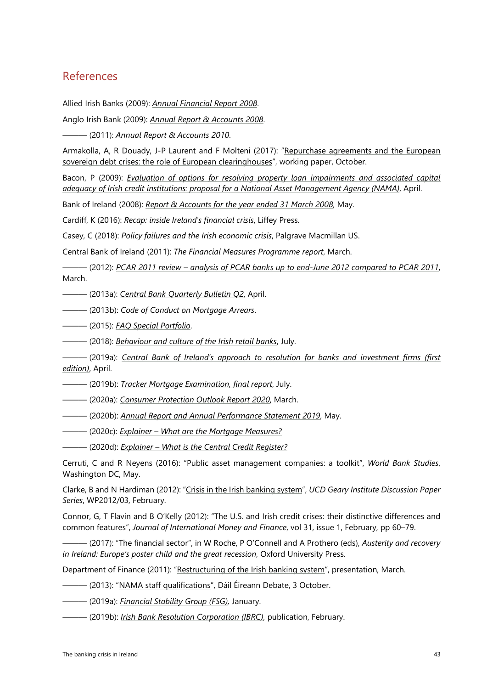### <span id="page-45-0"></span>References

Allied Irish Banks (2009): *[Annual Financial Report 2008](https://aib.ie/content/dam/aib/investorrelations/docs/Annual%20General%20Meeting/2009/annual-financial-report-2009.pdf)*.

Anglo Irish Bank (2009): *[Annual Report](https://www.rns-pdf.londonstockexchange.com/rns/6782N_-2009-2-20.pdf) & Accounts 2008*.

——— (2011): *[Annual Report](https://www.yumpu.com/en/document/view/3989100/annual-report-31-december-2010-anglo-irish-bank) & Accounts 2010*.

Armakolla, A, R Douady, J-P Laurent and F Molteni (2017): ["Repurchase agreements and the European](http://laurent.jeanpaul.free.fr/Armakolla_et_al_2017.pdf)  [sovereign debt crises: the role of European clearinghouses"](http://laurent.jeanpaul.free.fr/Armakolla_et_al_2017.pdf), working paper, October.

Bacon, P (2009): *[Evaluation of options for resolving property loan impairments and associated capital](https://www.nama.ie/fileadmin/user_upload/NAMAsummary.pdf)  [adequacy of Irish credit institutions: proposal for a National Asset Management Agency \(NAMA\)](https://www.nama.ie/fileadmin/user_upload/NAMAsummary.pdf)*, April.

Bank of Ireland (2008): *[Report & Accounts for the year ended 31 March 2008](https://investorrelations.bankofireland.com/app/uploads/Annual-Report-2008-for-the-year-ended-31.03.2008.pdf)*, May.

Cardiff, K (2016): *Recap: inside Ireland's financial crisis*, Liffey Press.

Casey, C (2018): *Policy failures and the Irish economic crisis*, Palgrave Macmillan US.

Central Bank of Ireland (2011): *[The Financial Measures Programme report](http://www.centralbank.ie/publication/financial-measures-programme)*, March.

——— (2012): *PCAR 2011 review – [analysis of PCAR banks up to end-June 2012 compared to PCAR 2011](https://www.centralbank.ie/docs/default-source/publications/financial-measures-programme/pcar-2011-review.pdf?sfvrsn=3)*, March.

——— (2013a): *[Central Bank Quarterly Bulletin Q2](https://centralbank.ie/publication/quarterly-bulletins/quarterly-bulletins-list)*, April.

——— (2013b): *[Code of Conduct on Mortgage Arrears](https://www.centralbank.ie/docs/default-source/regulation/consumer-protection/other-codes-of-conduct/24-gns-4-2-7-2013-ccma.pdf?sfvrsn=6#:%7E:text=This%20Code%20sets%20out%20the,meet%20his%2Fher%20mortgage%20obligations)*.

——— (2015): *[FAQ Special Portfolio](https://www.centralbank.ie/docs/default-source/news-and-media/press-releases/2015/April/faq-special-portfolio.pdf)*.

——— (2018): *[Behaviour and culture of the Irish retail banks](https://www.centralbank.ie/docs/default-source/publications/corporate-reports/behaviour-and-culture-of-the-irish-retail-banks.pdf?sfvrsn=2)*, July.

——— (2019a): *[Central Bank of Ireland's approach to resolution for banks and investment firms \(first](https://www.centralbank.ie/docs/default-source/regulation/how-we-regulate/resolution/resolution-framework/the-central-bank)  [edition\)](https://www.centralbank.ie/docs/default-source/regulation/how-we-regulate/resolution/resolution-framework/the-central-bank)*, April.

——— (2019b): *[Tracker Mortgage Examination,](https://www.centralbank.ie/consumer-hub/tracker-mortgage-examination) final report*, July.

——— (2020a): *[Consumer Protection Outlook Report](https://www.centralbank.ie/regulation/consumer-protection/consumer-protection-outlook-report) 2020*, March.

——— (2020b): *[Annual Report and Annual Performance Statement 2019](https://www.centralbank.ie/publication/corporate-reports/central-bank-annual-report-and-annual-performance-statement-2019)*, May.

——— (2020c): *Explainer – [What are the Mortgage Measures?](https://centralbank.ie/consumer-hub/explainers/what-are-the-mortgage-measures)*

——— (2020d): *Explainer – [What is the Central Credit Register?](https://www.centralbank.ie/consumer-hub/explainers/what-is-central-credit-register)*

Cerruti, C and R Neyens (2016): ["Public asset management companies: a](https://openknowledge.worldbank.org/bitstream/handle/10986/24332/9781464808746.pdf?sequence=2&isAllowed=y) toolkit", *World Bank Studies*, Washington DC, May.

Clarke, B and N Hardiman (2012): ["Crisis in the Irish banking system"](http://www.ucd.ie/geary/static/publications/workingpapers/gearywp201203.pdf), *UCD Geary Institute Discussion Paper Series*, WP2012/03, February.

Connor, G, T Flavin and B O'Kelly (2012): "The U.S. [and](https://www.sciencedirect.com/science/article/pii/S0261560611001586) Irish credit crises: their distinctive differences and common features", *Journal of International Money and Finance*, vol 31, issue 1, February, pp 60–79.

——— (2017): "The financial sector", in W Roche, P O'Connell and A Prothero (eds), *Austerity and recovery in Ireland: Europe's poster child and the great recession*, Oxford University Press.

Department of Finance (2011): ["Restructuring of the Irish banking system"](https://data.oireachtas.ie/ie/oireachtas/committee/dail/31/committee_of_public_accounts/submissions/2012/2012-06-07_pac-correspondence-meeting-of-7-june-2012-from-mr-john-moran-b_en.pdf), presentation, March.

- (2013): ["NAMA staff qualifications"](https://www.oireachtas.ie/en/debates/question/2013-10-03/7/), Dáil Éireann Debate, 3 October.
- ——— (2019a): *[Financial Stability Group \(FSG\),](https://www.gov.ie/en/publication/633c6c-financial-stability-group-fsg)* January.
- ——— (2019b): *[Irish Bank Resolution Corporation \(IBRC\)](https://www.gov.ie/en/publication/97fb9b-irish-bank-resolution-corporation-ibrc/)*, publication, February.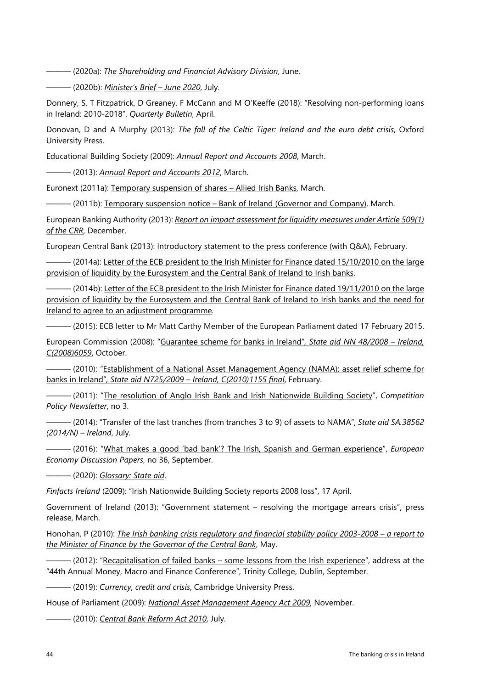——— (2020a): *[The Shareholding and Financial Advisory Division](https://www.gov.ie/en/organisation-information/f95734-the-shareholding-and-financial-advisory-division/)*, June.

——— (2020b): *[Minister's Brief](https://www.gov.ie/en/publication/d1da8-ministers-brief-june-2020/) – June 2020*, July.

Donnery, S, T Fitzpatrick, D Greaney, F McCann and M O'Keeffe (2018): ["Resolving non-performing loans](https://www.centralbank.ie/docs/default-source/publications/quarterly-bulletins/quarterly-bulletin-signed-articles/resolving-non-performing-loans-in-ireland-2018-(donnery-fitzpatrick-greaney-mccann-and-o%27keeffe).pdf?sfvrsn=6)  in Ireland: [2010-2018"](https://www.centralbank.ie/docs/default-source/publications/quarterly-bulletins/quarterly-bulletin-signed-articles/resolving-non-performing-loans-in-ireland-2018-(donnery-fitzpatrick-greaney-mccann-and-o%27keeffe).pdf?sfvrsn=6), *Quarterly Bulletin*, April.

Donovan, D and A Murphy (2013): *The fall of the Celtic Tiger: Ireland and the euro debt crisis*, Oxford University Press.

Educational Building Society (2009): *[Annual Report and Accounts 2008](https://www.ebs.ie/content/dam/ebs/pdfs/annual-financial-reports/annual-financial-report-2008.pdf)*, March.

——— (2013): *[Annual Report and Accounts 2012](https://www.ebs.ie/content/dam/ebs/pdfs/annual-financial-reports/annual-financial-report-2012.pdf)*, March.

Euronext (2011a): [Temporary suspension of shares –](https://direct.euronext.com/announcementRNSDownload.aspx?rnsId=29877202-48af-43b8-a48d-4064310ffaa1&rnsUrl=http://PPDXTSHF03001v.oad.exch.int:8090/_layouts/15/ExStream/CrmDocumentsView.aspx?folderURL=/sites/Market_Services/AnnouncementJobs/5a742aef-9edc-ea11-80e2-005056bef332&isDlg=1) Allied Irish Banks, March.

——— (2011b): Temporary suspension notice – [Bank of Ireland \(Governor and Company\),](https://direct.euronext.com/announcementRNSDownload.aspx?rnsId=4202f69e-f7d3-4d0f-943c-004b70a6a739&rnsUrl=http://PPDXTSHF03001v.oad.exch.int:8090/_layouts/15/ExStream/CrmDocumentsView.aspx?folderURL=/sites/Market_Services/AnnouncementJobs/63742aef-9edc-ea11-80e2-005056bef332&isDlg=1) March.

European Banking Authority (2013): *[Report on impact assessment for liquidity measures under Article 509\(1\)](https://eba.europa.eu/sites/default/documents/files/documents/10180/16145/c90add8d-4834-4df8-a184-721b0fd4dd54/EBA%20BS%202013%20415%20Report%20regarding%20LCR%20impact.pdf)  [of the CRR](https://eba.europa.eu/sites/default/documents/files/documents/10180/16145/c90add8d-4834-4df8-a184-721b0fd4dd54/EBA%20BS%202013%20415%20Report%20regarding%20LCR%20impact.pdf)*, December.

European Central Bank (2013): [Introductory statement to the press conference \(with Q&A\),](https://www.ecb.europa.eu/press/pressconf/2013/html/is130207.en.html) February.

— (2014a): Letter of the ECB president to the Irish Minister for Finance dated 15/10/2010 on the large [provision of liquidity by the Eurosystem and the Central Bank of Ireland to Irish banks.](https://www.ecb.europa.eu/press/shared/pdf/2010-10-15_Letter_ECB_President_to_IE_FinMin.pdf?e19978a39fa112418947d2e16895009a)

- (2014b): Letter of the ECB president to the Irish Minister for Finance dated 19/11/2010 on the large [provision of liquidity by the Eurosystem and the Central Bank of Ireland to Irish banks and the need for](https://www.ecb.europa.eu/press/shared/pdf/2010-11-19_Letter_ECB_President_to%20IE_FinMin.pdf?31295060a74c0ffe738a12cd9139f578)  [Ireland to agree to an adjustment programme](https://www.ecb.europa.eu/press/shared/pdf/2010-11-19_Letter_ECB_President_to%20IE_FinMin.pdf?31295060a74c0ffe738a12cd9139f578)*.*

— (2015): [ECB letter to Mr Matt Carthy Member of the European Parliament dated 17 February 2015.](https://www.ecb.europa.eu/pub/pdf/other/150218letter_carthy.en.pdf)

European Commission (2008): ["Guarantee scheme for banks in Ireland"](https://ec.europa.eu/competition/state_aid/cases/227694/227694_884719_59_2.pdf)*, State aid NN 48/2008 – Ireland, C(2008)6059*, October.

——— (2010): ["Establishment of a National Asset Management Agency \(NAMA\): asset relief scheme for](https://ec.europa.eu/competition/state_aid/cases/234489/234489_1086237_117_2.pdf)  banks in Ireland"*[, State aid N725/2009 –](https://ec.europa.eu/competition/state_aid/cases/234489/234489_1086237_117_2.pdf) Ireland, C(2010)1155 final*, February.

——— (2011): ["The resolution of Anglo Irish Bank and Irish Nationwide Building Society"](https://ec.europa.eu/competition/publications/cpn/2011_3_7_en.pdf), *Competition Policy Newsletter*, no 3.

——— (2014): ["Transfer of the last tranches \(from tranches 3 to 9\) of assets to NAMA"](https://ec.europa.eu/competition/state_aid/cases/252347/252347_1584913_91_2.pdf), *State aid SA.38562 (2014/N) – Ireland*, July.

——— (2016): ["What makes a good 'bad bank'? The Irish, Spanish and German experience"](https://ec.europa.eu/info/sites/info/files/dp036_en.pdf), *European Economy Discussion Papers*, no 36, September.

——— (2020): *[Glossary: State aid](https://ec.europa.eu/regional_policy/en/policy/what/glossary/s/state-aid)*.

*Finfacts Ireland* (2009): ["Irish Nationwide Building Society reports 2008 loss"](http://www.finfacts.ie/irishfinancenews/article_1016457.shtml), 17 April.

Government of Ireland (2013): "Government statement *–* [resolving the mortgage arrears crisis"](https://merrionstreet.ie/en/News-Room/Releases/government-statement-resolving-the-mortgage-arrears-crisis.html), press release, March.

Honohan, P (2010): *[The Irish banking crisis regulatory and financial stability policy 2003-2008 –](http://opac.oireachtas.ie/Data/Library3/HonohanTheIrish_BankingCrisisRegulatory_124340.pdf) a report to [the Minister of Finance by the Governor of the Central Bank](http://opac.oireachtas.ie/Data/Library3/HonohanTheIrish_BankingCrisisRegulatory_124340.pdf)*, May.

——— (2012): "Recapitalisation of failed banks – [some lessons from the Irish experience"](https://www.bis.org/review/r120907j.pdf), address at the "44th Annual Money, Macro and Finance Conference", Trinity College, Dublin, September.

——— (2019): *Currency, credit and crisis*, Cambridge University Press.

House of Parliament (2009): *[National Asset Management Agency Act 2009](https://www.oireachtas.ie/en/bills/bill/2009/60/)*, November.

——— (2010): *[Central Bank Reform Act 2010](https://www.oireachtas.ie/en/bills/bill/2010/12/)*, July.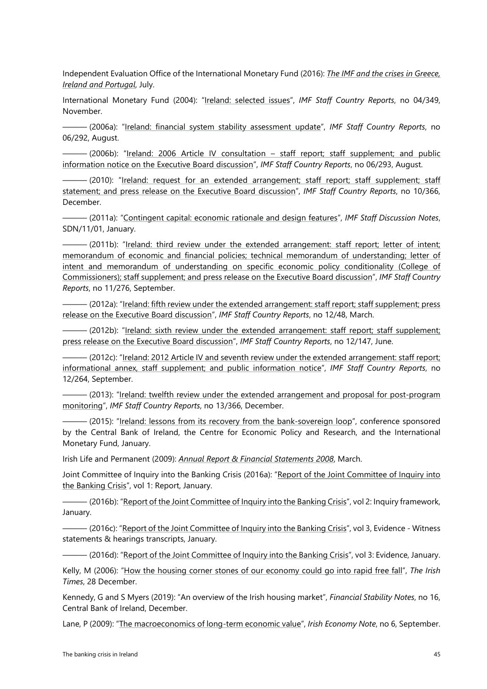Independent Evaluation Office of the International Monetary Fund (2016): *[The IMF and the crises in Greece,](https://ieo.imf.org/en/our-work/Evaluations/Completed/2016-0728-the-imf-and-the-crises-in-greece-ireland-and-portugal)  [Ireland and Portugal](https://ieo.imf.org/en/our-work/Evaluations/Completed/2016-0728-the-imf-and-the-crises-in-greece-ireland-and-portugal)*, July.

International Monetary Fund (2004): ["Ireland: selected issues"](https://www.elibrary.imf.org/doc/IMF002/03844-9781451818802/03844-9781451818802/Other_formats/Source_PDF/03844-9781452730660.pdf), *IMF Staff Country Reports*, no 04/349, November.

——— (2006a): ["Ireland: financial system stability assessment update"](https://www.imf.org/external/pubs/ft/scr/2006/cr06292.pdf), *IMF Staff Country Reports*, no 06/292, August.

——— (2006b): ["Ireland: 2006 Article IV consultation](https://www.imf.org/external/pubs/ft/scr/2006/cr06293.pdf) – staff report; staff supplement; and public information notice on the Executive Board discussion", *IMF Staff Country Reports*, no 06/293, August.

- (2010): ["Ireland: request for an extended arrangement; staff report; staff supplement;](https://www.imf.org/en/Publications/CR/Issues/2016/12/31/Ireland-Request-for-an-Extended-Arrangement-Staff-Report-Staff-Supplement-Staff-Statement-24510) staff statement; and press release on the Executive Board discussion", *IMF Staff Country Reports*, no 10/366, December.

——— (2011a): "Contingent capital: economic rationale and design features", *IMF Staff Discussion Notes*, SDN/11/01, January.

——— (2011b): ["Ireland: third review under the extended arrangement:](https://www.imf.org/external/pubs/ft/scr/2011/cr11276.pdf) staff report; letter of intent; memorandum of economic and financial policies; technical memorandum of understanding; letter of intent and memorandum of understanding on specific economic policy conditionality (College of Commissioners); staff supplement; and press release on the Executive Board discussion", *IMF Staff Country Reports*, no 11/276, September.

— (2012a): ["Ireland: fifth review under the extended arrangement: staff report;](https://www.imf.org/en/Publications/CR/Issues/2016/12/31/Ireland-Fifth-Review-Under-the-Extended-Arrangement-Staff-Report-Staff-Supplement-Press-25748) staff supplement; press release on the Executive Board discussion", *IMF Staff Country Reports*, no 12/48, March.

 $-$  (2012b): "Ireland: [sixth review under the extended arrangement:](https://www.imf.org/en/Publications/CR/Issues/2016/12/31/Ireland-Sixth-Review-Under-the-Extended-Arrangement-Staff-Report-Staff-Supplement-Press-26000) staff report; staff supplement; press release on the Executive Board discussion", *IMF Staff Country Reports*, no 12/147, June.

——— (2012c): ["Ireland: 2012 Article IV and seventh review under the extended arrangement:](https://www.imf.org/en/Publications/CR/Issues/2016/12/31/Ireland-2012-Article-IV-and-Seventh-Review-Under-the-Extended-Arrangement-Staff-Report-26248) staff report; informational annex, staff supplement; and public information notice", *IMF Staff Country Reports*, no 12/264, September.

——— (2013): ["Ireland: twelfth review under the extended arrangement and proposal for post-program](https://www.imf.org/en/Publications/CR/Issues/2016/12/31/Ireland-Twelfth-Review-Under-the-Extended-Arrangement-and-Proposal-for-Post-Program-41147)  [monitoring"](https://www.imf.org/en/Publications/CR/Issues/2016/12/31/Ireland-Twelfth-Review-Under-the-Extended-Arrangement-and-Proposal-for-Post-Program-41147), *IMF Staff Country Reports*, no 13/366, December.

— (2015): "<u>Ireland: lessons from its recovery from the bank-sovereign loop</u>", conference sponsored by the Central Bank of Ireland, the Centre for Economic Policy and Research, and the International Monetary Fund, January.

Irish Life and Permanent (2009): *[Annual Report & Financial Statements 2008](http://www.irishlifepermanent.ie/%7E/media/Files/I/Irish-Life-And-Permanent/Attachments/pdf/annual-and-interim-reports/2008/arep08.pdf)*, March.

[Joint Committee of Inquiry into](https://inquiries.oireachtas.ie/banking/wp-content/uploads/2016/01/02106-HOI-BE-Report-Volume1.pdf) the Banking Crisis (2016a): "Report of the Joint Committee of Inquiry into [the Banking Crisis"](https://inquiries.oireachtas.ie/banking/wp-content/uploads/2016/01/02106-HOI-BE-Report-Volume1.pdf), vol 1: Report, January.

– (2016b): ["Report of the Joint Committee of Inquiry into the Banking Crisis"](https://inquiries.oireachtas.ie/banking/wp-content/uploads/2016/01/02106-IBC-Report-Volume-2.pdf), vol 2: Inquiry framework, January.

——— (2016c): ["Report of the Joint Committee of Inquiry into the Banking Crisis"](https://inquiries.oireachtas.ie/banking/hearings-evidence/), vol 3, Evidence - Witness statements & hearings transcripts, January.

——— (2016d): ["Report of the Joint Committee of Inquiry into the Banking Crisis"](https://ptfs-oireachtas.s3.amazonaws.com/DriveH/AWData/Library3/Banking/BICBCoreBook6.pdf), vol 3: Evidence, January.

Kelly, M (2006): ["How the housing corner stones of our economy could go into rapid free fall"](https://www.irishtimes.com/business/how-the-housing-corner-stones-of-our-economy-could-go-into-rapid-free-fall-1.1042463), *The Irish Times*, 28 December.

Kennedy, G and S Myers (2019): "An overview of the Irish housing market", *Financial Stability Notes*, no 16, Central Bank of Ireland, December.

Lane, P (2009): ["The macroeconomics of long-term economic value"](http://www.irisheconomy.ie/Notes/IrishEconomyNote6.pdf), *Irish Economy Note*, no 6, September.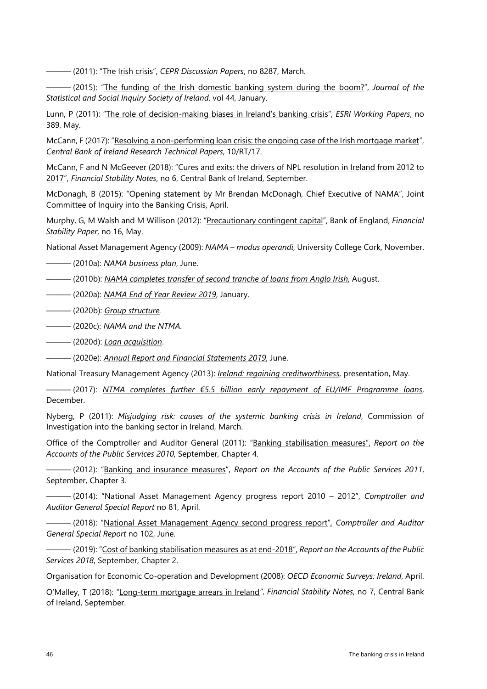——— (2011): "The Irish crisis", *CEPR Discussion Papers*, no 8287, March.

——— (2015): ["The funding of the Irish domestic banking system during the boom?"](http://www.tara.tcd.ie/bitstream/handle/2262/75031/3%20lane%20jssisi%202014-5.pdf?sequence=1&isAllowed=y), *Journal of the Statistical and Social Inquiry Society of Ireland*, vol 44, January.

Lunn, P (2011): ["The role of decision-making biases in Ireland's banking crisis"](https://www.esri.ie/system/files/media/file-uploads/2015-07/WP389.pdf), *ESRI Working Papers*, no 389, May.

McCann, F (2017): ["Resolving a non-performing loan crisis: the ongoing case of the Irish mortgage market"](https://www.centralbank.ie/docs/default-source/publications/research-technical-papers/10rt17---resolving-a-non-performing-loan-crisis-the-ongoing-case-of-the-irish-mortgage-market.pdf), *Central Bank of Ireland Research Technical Papers*, 10/RT/17.

McCann, F and N McGeever (2018): ["Cures and exits: the drivers of NPL resolution in Ireland from 2012 to](https://centralbank.ie/docs/default-source/publications/financial-stability-notes/no-6-cures-and-exits-the-drivers-of-npl-resolution-in-ireland-from-2012-to-2017-(mccann-and-mcgeever).pdf?sfvrsn=8)  [2017"](https://centralbank.ie/docs/default-source/publications/financial-stability-notes/no-6-cures-and-exits-the-drivers-of-npl-resolution-in-ireland-from-2012-to-2017-(mccann-and-mcgeever).pdf?sfvrsn=8), *Financial Stability Notes*, no 6, Central Bank of Ireland, September.

McDonagh, B (2015): ["Opening statement by Mr Brendan McDonagh,](https://www.nama.ie/uploads/documents/BrendanMcDonagh_NAMACEO_OpeningAddress_BankingInquiry.pdf) Chief Executive of NAMA", Joint [Committee of Inquiry into the Banking Crisis,](https://www.nama.ie/uploads/documents/BrendanMcDonagh_NAMACEO_OpeningAddress_BankingInquiry.pdf) April.

Murphy, G, M Walsh and M Willison (2012): ["Precautionary contingent capital"](https://www.bankofengland.co.uk/-/media/boe/files/financial-stability-paper/2012/precautionary-contingent-capital.pdf), Bank of England, *Financial Stability Paper*, no 16, May.

National Asset Management Agency (2009): *NAMA – [modus operandi](https://www.nama.ie/uploads/documents/NAMAPresentationNov2609UCD.pdf)*, University College Cork, November.

——— (2010a): *[NAMA business plan](https://www.nama.ie/uploads/documents/NamaBusinessPlan30June2010.pdf)*, June.

——— (2010b): *[NAMA completes transfer of second tranche of loans from Anglo Irish](https://www.nama.ie/news/nama-completes-transfer-of-second-tranche-of-loans-from-anglo-irish)*, August.

——— (2020a): *[NAMA End of Year Review 2019](https://www.nama.ie/uploads/documents/End-of-Year-Review-2019.pdf)*, January.

——— (2020b): *[Group structure.](https://www.nama.ie/about-us/group-structure)*

——— (2020c): *[NAMA and the NTMA](https://www.nama.ie/about-us/nama-and-the-ntma)*.

——— (2020d): *[Loan acquisition](https://www.nama.ie/our-work/loan-acquisition)*.

——— (2020e): *[Annual Report and Financial Statements 2019](https://www.nama.ie/uploads/documents/NAMA-Annual-Report-2019.pdf)*, June.

National Treasury Management Agency (2013): *[Ireland: regaining creditworthiness](https://www.ntma.ie/download/investor_presentation/NTMAInvestorPresentationMay2013.pdf)*, presentation, May.

——— (2017): *NTMA completes further €5.5 billion [early repayment of EU/IMF Programme loans](https://www.ntma.ie/news/ntma-completes-further-5-5-billion-early-repayment-of-eu-imf-programme-loans)*, December.

Nyberg, P (2011): *[Misjudging risk: causes of the systemic banking crisis in Ireland](https://www.nuigalway.ie/media/housinglawrightsandpolicy/nationalpolicy/Nyberg-Report-Misjuding-Risk---Causes-of-the-Systemic-Banking-Crisis-in-Ireland.pdf)*, Commission of Investigation into the banking sector in Ireland, March.

Office of the Comptroller and Auditor General (2011): ["Banking stabilisation measures"](https://www.audit.gov.ie/en/Find-Report/Publications/Report%20on%20the%20Accounts%20of%20the%20Public%20Services/Report%20on%20the%20Accounts%20of%20the%20Public%20Service%202010.html), *Report on the Accounts of the Public Services 2010*, September, Chapter 4.

——— (2012): ["Banking and insurance measures"](https://www.audit.gov.ie/en/Find-Report/Publications/Report%20on%20the%20Accounts%20of%20the%20Public%20Services/FullReport2011.pdf), *Report on the Accounts of the Public Services 2011*, September, Chapter 3.

——— (2014): ["National Asset Management Agency progress report 2010 –](https://www.nama.ie/uploads/documents/NAMAProgressReport_2010-2012.pdf) 2012", *Comptroller and Auditor General Special Report* no 81, April.

——— (2018): ["National Asset Management Agency second progress report"](https://www.audit.gov.ie/en/Find-Report/Publications/2018/Special-Report-102-National-Asset-Management-Agency-Second-Progress-Report.pdf)*, Comptroller and Auditor General Special Report* no 102, June.

——— (2019): ["Cost of banking stabilisation measures as at end-2018"](https://www.audit.gov.ie/en/Find-Report/Publications/2019/2018-Annual-Report-Chapter-2-Cost-of-Bank-Stabilisation-2018.pdf), *Report on the Accounts of the Public Services 2018*, September, Chapter 2.

Organisation for Economic Co-operation and Development (2008): *[OECD Economic Surveys: Ireland](https://www.oecd-ilibrary.org/docserver/eco_surveys-irl-2008-en.pdf?expires=1597237302&id=id&accname=ocid195623&checksum=161C563C3AEA0795A2CD35D53A571140)*, April.

O'Malley, T (2018): ["Long-term mortgage arrears in Ireland](https://www.centralbank.ie/docs/default-source/publications/financial-stability-notes/no-7-long-term-mortgage-arrears-in-ireland-(o)*"*, *Financial Stability Notes*, no 7, Central Bank of Ireland, September.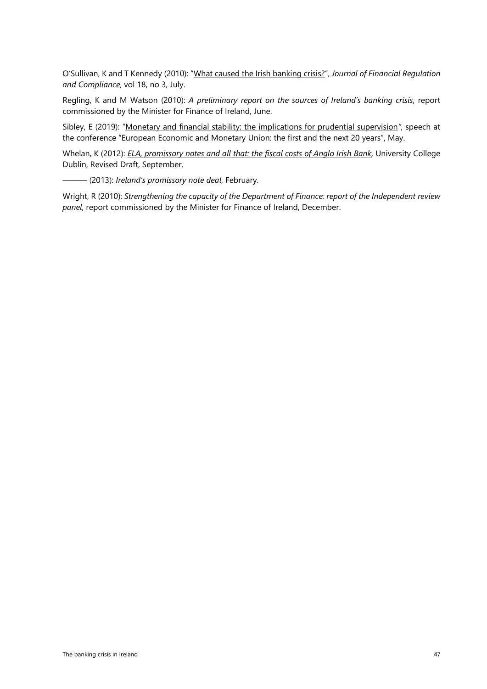O'Sullivan, K and T Kennedy (2010): ["What caused the Irish banking crisis?"](https://papers.ssrn.com/sol3/papers.cfm?abstract_id=1888342), *Journal of Financial Regulation and Compliance*, vol 18, no 3, July.

Regling, K and M Watson (2010): *[A preliminary report on the sources of Ireland's banking crisis](https://www.socialjustice.ie/sites/default/files/attach/policy-issue-article/3078/2010-06-08-theregling-watsonreport-preliminaryreportintoirelandsbankingcrisis31may2010.pdf)*, report commissioned by the Minister for Finance of Ireland, June.

Sibley, E (2019): ["Monetary and financial stability: the implications for prudential supervision](https://www.centralbank.ie/news/article/speech-monetary-financial-stability-implications-prudential-supervision-02-may-2019)*"*, speech at the conference "European Economic and Monetary Union: the first and the next 20 years", May.

Whelan, K (2012): *[ELA, promissory notes and all that: the fiscal costs of Anglo Irish Bank,](https://www.karlwhelan.com/IrishEconomy/Whelan-PNotes-September2012.pdf)* University College Dublin, Revised Draft, September.

——— (2013): *[Ireland's promissory note deal](https://karlwhelan.com/blog/?p=797)*, February.

Wright, R (2010): *[Strengthening the capacity of the Department of Finance:](https://www.socialjustice.ie/sites/default/files/file/Government%20Docs%20etc/2011-03-01%20-%20Dept%20of%20Finance%20Review.pdf) report of the Independent review [panel](https://www.socialjustice.ie/sites/default/files/file/Government%20Docs%20etc/2011-03-01%20-%20Dept%20of%20Finance%20Review.pdf)*, report commissioned by the Minister for Finance of Ireland, December.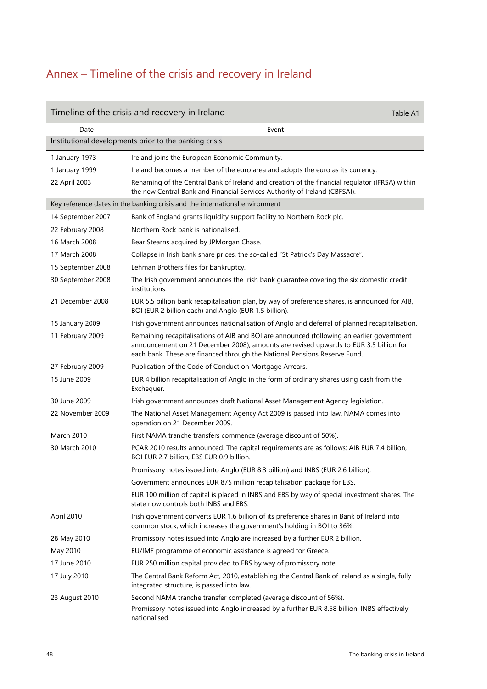## <span id="page-50-0"></span>Annex – Timeline of the crisis and recovery in Ireland

|                   | Timeline of the crisis and recovery in Ireland<br>Table A1                                                                                                                                                                                                      |  |
|-------------------|-----------------------------------------------------------------------------------------------------------------------------------------------------------------------------------------------------------------------------------------------------------------|--|
| Date              | Event                                                                                                                                                                                                                                                           |  |
|                   | Institutional developments prior to the banking crisis                                                                                                                                                                                                          |  |
| 1 January 1973    | Ireland joins the European Economic Community.                                                                                                                                                                                                                  |  |
| 1 January 1999    | Ireland becomes a member of the euro area and adopts the euro as its currency.                                                                                                                                                                                  |  |
| 22 April 2003     | Renaming of the Central Bank of Ireland and creation of the financial regulator (IFRSA) within<br>the new Central Bank and Financial Services Authority of Ireland (CBFSAI).                                                                                    |  |
|                   | Key reference dates in the banking crisis and the international environment                                                                                                                                                                                     |  |
| 14 September 2007 | Bank of England grants liquidity support facility to Northern Rock plc.                                                                                                                                                                                         |  |
| 22 February 2008  | Northern Rock bank is nationalised.                                                                                                                                                                                                                             |  |
| 16 March 2008     | Bear Stearns acquired by JPMorgan Chase.                                                                                                                                                                                                                        |  |
| 17 March 2008     | Collapse in Irish bank share prices, the so-called "St Patrick's Day Massacre".                                                                                                                                                                                 |  |
| 15 September 2008 | Lehman Brothers files for bankruptcy.                                                                                                                                                                                                                           |  |
| 30 September 2008 | The Irish government announces the Irish bank guarantee covering the six domestic credit<br>institutions.                                                                                                                                                       |  |
| 21 December 2008  | EUR 5.5 billion bank recapitalisation plan, by way of preference shares, is announced for AIB,<br>BOI (EUR 2 billion each) and Anglo (EUR 1.5 billion).                                                                                                         |  |
| 15 January 2009   | Irish government announces nationalisation of Anglo and deferral of planned recapitalisation.                                                                                                                                                                   |  |
| 11 February 2009  | Remaining recapitalisations of AIB and BOI are announced (following an earlier government<br>announcement on 21 December 2008); amounts are revised upwards to EUR 3.5 billion for<br>each bank. These are financed through the National Pensions Reserve Fund. |  |
| 27 February 2009  | Publication of the Code of Conduct on Mortgage Arrears.                                                                                                                                                                                                         |  |
| 15 June 2009      | EUR 4 billion recapitalisation of Anglo in the form of ordinary shares using cash from the<br>Exchequer.                                                                                                                                                        |  |
| 30 June 2009      | Irish government announces draft National Asset Management Agency legislation.                                                                                                                                                                                  |  |
| 22 November 2009  | The National Asset Management Agency Act 2009 is passed into law. NAMA comes into<br>operation on 21 December 2009.                                                                                                                                             |  |
| March 2010        | First NAMA tranche transfers commence (average discount of 50%).                                                                                                                                                                                                |  |
| 30 March 2010     | PCAR 2010 results announced. The capital requirements are as follows: AIB EUR 7.4 billion,<br>BOI EUR 2.7 billion, EBS EUR 0.9 billion.                                                                                                                         |  |
|                   | Promissory notes issued into Anglo (EUR 8.3 billion) and INBS (EUR 2.6 billion).                                                                                                                                                                                |  |
|                   | Government announces EUR 875 million recapitalisation package for EBS.                                                                                                                                                                                          |  |
|                   | EUR 100 million of capital is placed in INBS and EBS by way of special investment shares. The<br>state now controls both INBS and EBS.                                                                                                                          |  |
| April 2010        | Irish government converts EUR 1.6 billion of its preference shares in Bank of Ireland into<br>common stock, which increases the government's holding in BOI to 36%.                                                                                             |  |
| 28 May 2010       | Promissory notes issued into Anglo are increased by a further EUR 2 billion.                                                                                                                                                                                    |  |
| May 2010          | EU/IMF programme of economic assistance is agreed for Greece.                                                                                                                                                                                                   |  |
| 17 June 2010      | EUR 250 million capital provided to EBS by way of promissory note.                                                                                                                                                                                              |  |
| 17 July 2010      | The Central Bank Reform Act, 2010, establishing the Central Bank of Ireland as a single, fully<br>integrated structure, is passed into law.                                                                                                                     |  |
| 23 August 2010    | Second NAMA tranche transfer completed (average discount of 56%).                                                                                                                                                                                               |  |
|                   | Promissory notes issued into Anglo increased by a further EUR 8.58 billion. INBS effectively<br>nationalised.                                                                                                                                                   |  |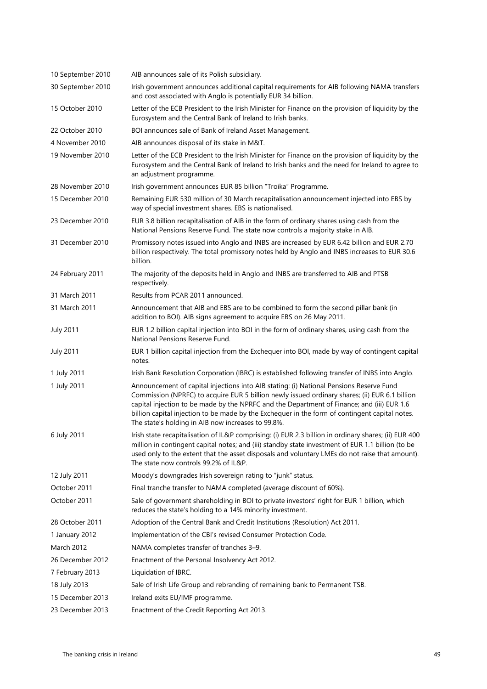| 10 September 2010 | AIB announces sale of its Polish subsidiary.                                                                                                                                                                                                                                                                                                                                                                                                    |
|-------------------|-------------------------------------------------------------------------------------------------------------------------------------------------------------------------------------------------------------------------------------------------------------------------------------------------------------------------------------------------------------------------------------------------------------------------------------------------|
| 30 September 2010 | Irish government announces additional capital requirements for AIB following NAMA transfers<br>and cost associated with Anglo is potentially EUR 34 billion.                                                                                                                                                                                                                                                                                    |
| 15 October 2010   | Letter of the ECB President to the Irish Minister for Finance on the provision of liquidity by the<br>Eurosystem and the Central Bank of Ireland to Irish banks.                                                                                                                                                                                                                                                                                |
| 22 October 2010   | BOI announces sale of Bank of Ireland Asset Management.                                                                                                                                                                                                                                                                                                                                                                                         |
| 4 November 2010   | AIB announces disposal of its stake in M&T.                                                                                                                                                                                                                                                                                                                                                                                                     |
| 19 November 2010  | Letter of the ECB President to the Irish Minister for Finance on the provision of liquidity by the<br>Eurosystem and the Central Bank of Ireland to Irish banks and the need for Ireland to agree to<br>an adjustment programme.                                                                                                                                                                                                                |
| 28 November 2010  | Irish government announces EUR 85 billion "Troika" Programme.                                                                                                                                                                                                                                                                                                                                                                                   |
| 15 December 2010  | Remaining EUR 530 million of 30 March recapitalisation announcement injected into EBS by<br>way of special investment shares. EBS is nationalised.                                                                                                                                                                                                                                                                                              |
| 23 December 2010  | EUR 3.8 billion recapitalisation of AIB in the form of ordinary shares using cash from the<br>National Pensions Reserve Fund. The state now controls a majority stake in AIB.                                                                                                                                                                                                                                                                   |
| 31 December 2010  | Promissory notes issued into Anglo and INBS are increased by EUR 6.42 billion and EUR 2.70<br>billion respectively. The total promissory notes held by Anglo and INBS increases to EUR 30.6<br>billion.                                                                                                                                                                                                                                         |
| 24 February 2011  | The majority of the deposits held in Anglo and INBS are transferred to AIB and PTSB<br>respectively.                                                                                                                                                                                                                                                                                                                                            |
| 31 March 2011     | Results from PCAR 2011 announced.                                                                                                                                                                                                                                                                                                                                                                                                               |
| 31 March 2011     | Announcement that AIB and EBS are to be combined to form the second pillar bank (in<br>addition to BOI). AIB signs agreement to acquire EBS on 26 May 2011.                                                                                                                                                                                                                                                                                     |
| <b>July 2011</b>  | EUR 1.2 billion capital injection into BOI in the form of ordinary shares, using cash from the<br>National Pensions Reserve Fund.                                                                                                                                                                                                                                                                                                               |
| <b>July 2011</b>  | EUR 1 billion capital injection from the Exchequer into BOI, made by way of contingent capital<br>notes.                                                                                                                                                                                                                                                                                                                                        |
| 1 July 2011       | Irish Bank Resolution Corporation (IBRC) is established following transfer of INBS into Anglo.                                                                                                                                                                                                                                                                                                                                                  |
| 1 July 2011       | Announcement of capital injections into AIB stating: (i) National Pensions Reserve Fund<br>Commission (NPRFC) to acquire EUR 5 billion newly issued ordinary shares; (ii) EUR 6.1 billion<br>capital injection to be made by the NPRFC and the Department of Finance; and (iii) EUR 1.6<br>billion capital injection to be made by the Exchequer in the form of contingent capital notes.<br>The state's holding in AIB now increases to 99.8%. |
| 6 July 2011       | Irish state recapitalisation of IL&P comprising: (i) EUR 2.3 billion in ordinary shares; (ii) EUR 400<br>million in contingent capital notes; and (iii) standby state investment of EUR 1.1 billion (to be<br>used only to the extent that the asset disposals and voluntary LMEs do not raise that amount).<br>The state now controls 99.2% of IL&P.                                                                                           |
| 12 July 2011      | Moody's downgrades Irish sovereign rating to "junk" status.                                                                                                                                                                                                                                                                                                                                                                                     |
| October 2011      | Final tranche transfer to NAMA completed (average discount of 60%).                                                                                                                                                                                                                                                                                                                                                                             |
| October 2011      | Sale of government shareholding in BOI to private investors' right for EUR 1 billion, which<br>reduces the state's holding to a 14% minority investment.                                                                                                                                                                                                                                                                                        |
| 28 October 2011   | Adoption of the Central Bank and Credit Institutions (Resolution) Act 2011.                                                                                                                                                                                                                                                                                                                                                                     |
| 1 January 2012    | Implementation of the CBI's revised Consumer Protection Code.                                                                                                                                                                                                                                                                                                                                                                                   |
| <b>March 2012</b> | NAMA completes transfer of tranches 3-9.                                                                                                                                                                                                                                                                                                                                                                                                        |
| 26 December 2012  | Enactment of the Personal Insolvency Act 2012.                                                                                                                                                                                                                                                                                                                                                                                                  |
|                   |                                                                                                                                                                                                                                                                                                                                                                                                                                                 |
| 7 February 2013   | Liquidation of IBRC.                                                                                                                                                                                                                                                                                                                                                                                                                            |
| 18 July 2013      | Sale of Irish Life Group and rebranding of remaining bank to Permanent TSB.                                                                                                                                                                                                                                                                                                                                                                     |
| 15 December 2013  | Ireland exits EU/IMF programme.                                                                                                                                                                                                                                                                                                                                                                                                                 |